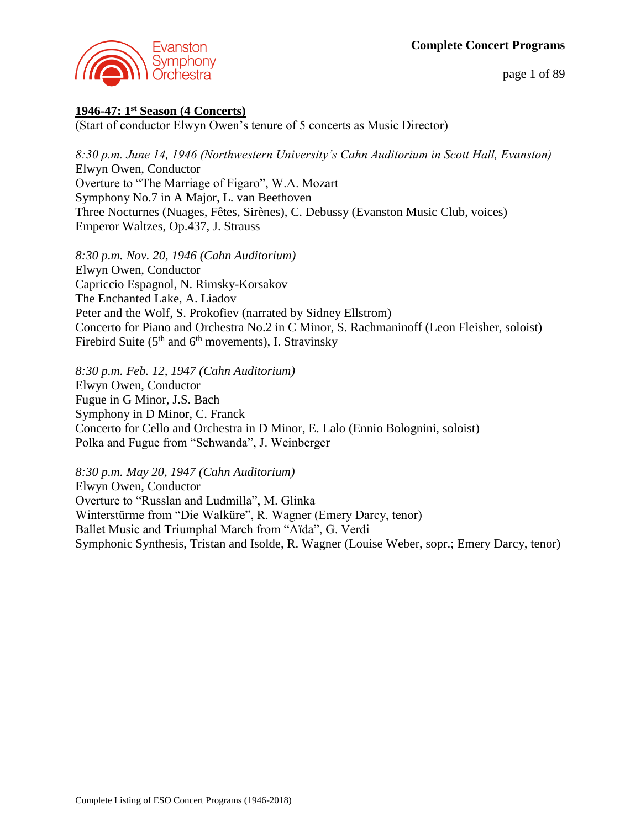

page 1 of 89

#### **1946-47: 1st Season (4 Concerts)**

(Start of conductor Elwyn Owen's tenure of 5 concerts as Music Director)

*8:30 p.m. June 14, 1946 (Northwestern University's Cahn Auditorium in Scott Hall, Evanston)* Elwyn Owen, Conductor Overture to "The Marriage of Figaro", W.A. Mozart Symphony No.7 in A Major, L. van Beethoven Three Nocturnes (Nuages, Fêtes, Sirènes), C. Debussy (Evanston Music Club, voices) Emperor Waltzes, Op.437, J. Strauss

*8:30 p.m. Nov. 20, 1946 (Cahn Auditorium)* Elwyn Owen, Conductor Capriccio Espagnol, N. Rimsky-Korsakov The Enchanted Lake, A. Liadov Peter and the Wolf, S. Prokofiev (narrated by Sidney Ellstrom) Concerto for Piano and Orchestra No.2 in C Minor, S. Rachmaninoff (Leon Fleisher, soloist) Firebird Suite ( $5<sup>th</sup>$  and  $6<sup>th</sup>$  movements), I. Stravinsky

*8:30 p.m. Feb. 12, 1947 (Cahn Auditorium)* Elwyn Owen, Conductor Fugue in G Minor, J.S. Bach Symphony in D Minor, C. Franck Concerto for Cello and Orchestra in D Minor, E. Lalo (Ennio Bolognini, soloist) Polka and Fugue from "Schwanda", J. Weinberger

*8:30 p.m. May 20, 1947 (Cahn Auditorium)* Elwyn Owen, Conductor Overture to "Russlan and Ludmilla", M. Glinka Winterstürme from "Die Walküre", R. Wagner (Emery Darcy, tenor) Ballet Music and Triumphal March from "Aïda", G. Verdi Symphonic Synthesis, Tristan and Isolde, R. Wagner (Louise Weber, sopr.; Emery Darcy, tenor)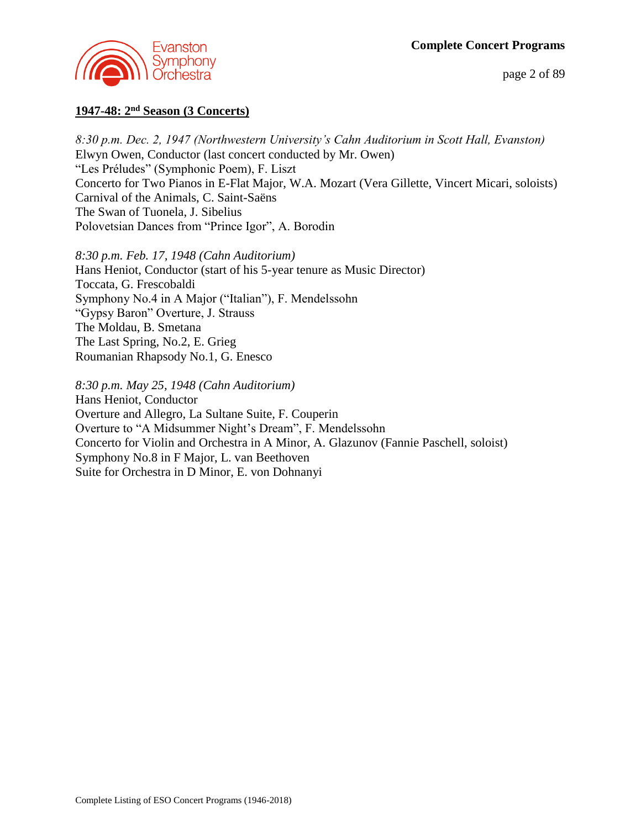



## **1947-48: 2nd Season (3 Concerts)**

*8:30 p.m. Dec. 2, 1947 (Northwestern University's Cahn Auditorium in Scott Hall, Evanston)* Elwyn Owen, Conductor (last concert conducted by Mr. Owen) "Les Préludes" (Symphonic Poem), F. Liszt Concerto for Two Pianos in E-Flat Major, W.A. Mozart (Vera Gillette, Vincert Micari, soloists) Carnival of the Animals, C. Saint-Saëns The Swan of Tuonela, J. Sibelius Polovetsian Dances from "Prince Igor", A. Borodin

*8:30 p.m. Feb. 17, 1948 (Cahn Auditorium)* Hans Heniot, Conductor (start of his 5-year tenure as Music Director) Toccata, G. Frescobaldi Symphony No.4 in A Major ("Italian"), F. Mendelssohn "Gypsy Baron" Overture, J. Strauss The Moldau, B. Smetana The Last Spring, No.2, E. Grieg Roumanian Rhapsody No.1, G. Enesco

*8:30 p.m. May 25, 1948 (Cahn Auditorium)* Hans Heniot, Conductor Overture and Allegro, La Sultane Suite, F. Couperin Overture to "A Midsummer Night's Dream", F. Mendelssohn Concerto for Violin and Orchestra in A Minor, A. Glazunov (Fannie Paschell, soloist) Symphony No.8 in F Major, L. van Beethoven Suite for Orchestra in D Minor, E. von Dohnanyi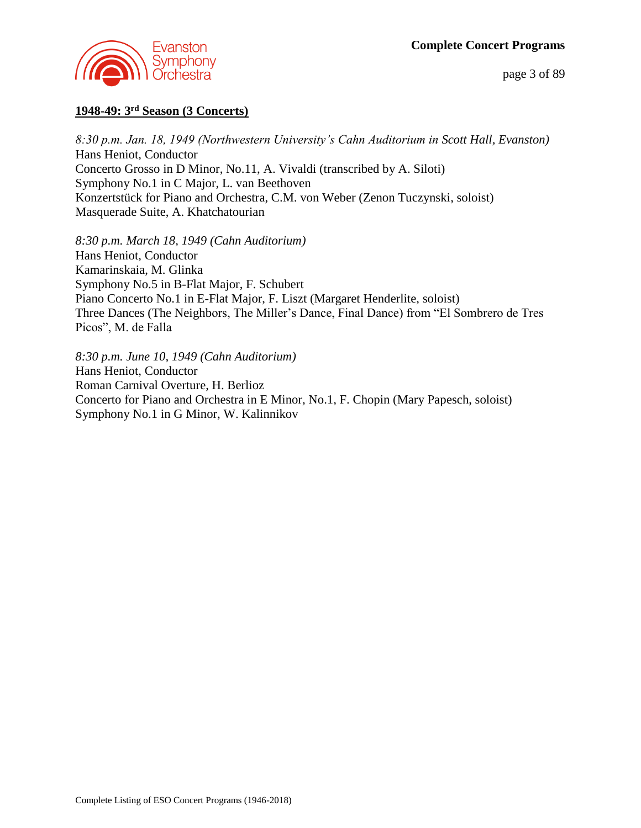

page 3 of 89

# **1948-49: 3rd Season (3 Concerts)**

*8:30 p.m. Jan. 18, 1949 (Northwestern University's Cahn Auditorium in Scott Hall, Evanston)* Hans Heniot, Conductor Concerto Grosso in D Minor, No.11, A. Vivaldi (transcribed by A. Siloti) Symphony No.1 in C Major, L. van Beethoven Konzertstück for Piano and Orchestra, C.M. von Weber (Zenon Tuczynski, soloist) Masquerade Suite, A. Khatchatourian

*8:30 p.m. March 18, 1949 (Cahn Auditorium)* Hans Heniot, Conductor Kamarinskaia, M. Glinka Symphony No.5 in B-Flat Major, F. Schubert Piano Concerto No.1 in E-Flat Major, F. Liszt (Margaret Henderlite, soloist) Three Dances (The Neighbors, The Miller's Dance, Final Dance) from "El Sombrero de Tres Picos", M. de Falla

*8:30 p.m. June 10, 1949 (Cahn Auditorium)* Hans Heniot, Conductor Roman Carnival Overture, H. Berlioz Concerto for Piano and Orchestra in E Minor, No.1, F. Chopin (Mary Papesch, soloist) Symphony No.1 in G Minor, W. Kalinnikov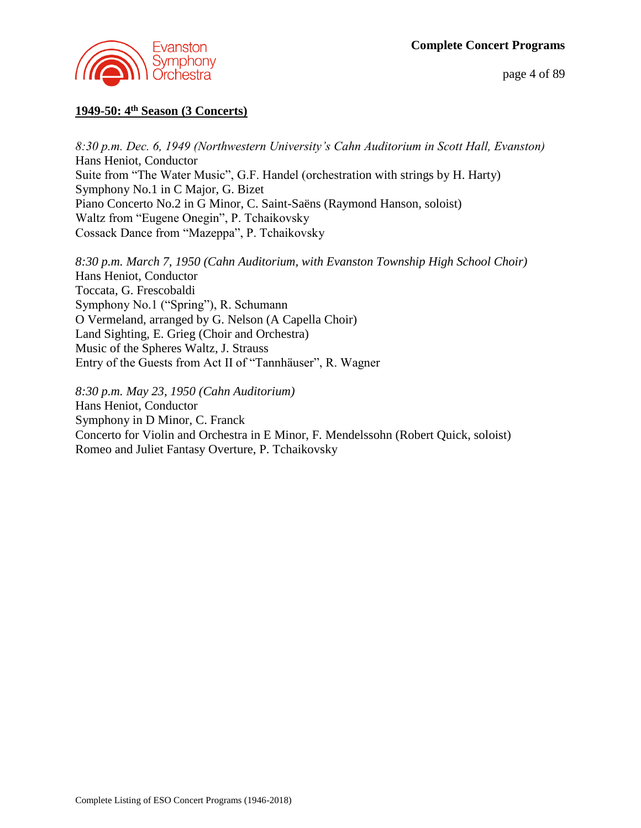page 4 of 89

## **1949-50: 4th Season (3 Concerts)**

*8:30 p.m. Dec. 6, 1949 (Northwestern University's Cahn Auditorium in Scott Hall, Evanston)* Hans Heniot, Conductor Suite from "The Water Music", G.F. Handel (orchestration with strings by H. Harty) Symphony No.1 in C Major, G. Bizet Piano Concerto No.2 in G Minor, C. Saint-Saëns (Raymond Hanson, soloist) Waltz from "Eugene Onegin", P. Tchaikovsky Cossack Dance from "Mazeppa", P. Tchaikovsky

*8:30 p.m. March 7, 1950 (Cahn Auditorium, with Evanston Township High School Choir)* Hans Heniot, Conductor Toccata, G. Frescobaldi Symphony No.1 ("Spring"), R. Schumann O Vermeland, arranged by G. Nelson (A Capella Choir) Land Sighting, E. Grieg (Choir and Orchestra) Music of the Spheres Waltz, J. Strauss Entry of the Guests from Act II of "Tannhäuser", R. Wagner

*8:30 p.m. May 23, 1950 (Cahn Auditorium)* Hans Heniot, Conductor Symphony in D Minor, C. Franck Concerto for Violin and Orchestra in E Minor, F. Mendelssohn (Robert Quick, soloist) Romeo and Juliet Fantasy Overture, P. Tchaikovsky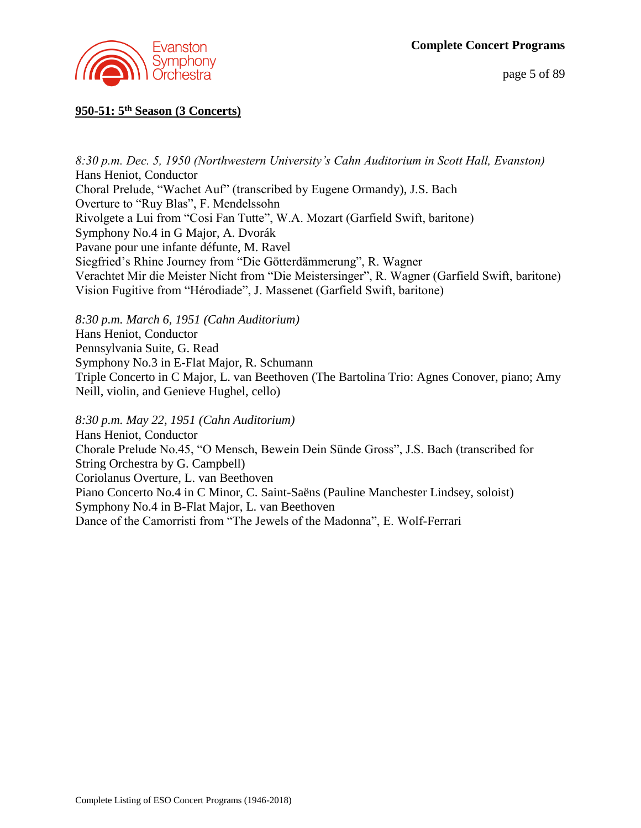

#### **950-51: 5th Season (3 Concerts)**

*8:30 p.m. Dec. 5, 1950 (Northwestern University's Cahn Auditorium in Scott Hall, Evanston)* Hans Heniot, Conductor Choral Prelude, "Wachet Auf" (transcribed by Eugene Ormandy), J.S. Bach Overture to "Ruy Blas", F. Mendelssohn Rivolgete a Lui from "Cosi Fan Tutte", W.A. Mozart (Garfield Swift, baritone) Symphony No.4 in G Major, A. Dvorák Pavane pour une infante défunte, M. Ravel Siegfried's Rhine Journey from "Die Götterdämmerung", R. Wagner Verachtet Mir die Meister Nicht from "Die Meistersinger", R. Wagner (Garfield Swift, baritone) Vision Fugitive from "Hérodiade", J. Massenet (Garfield Swift, baritone)

*8:30 p.m. March 6, 1951 (Cahn Auditorium)* Hans Heniot, Conductor Pennsylvania Suite, G. Read Symphony No.3 in E-Flat Major, R. Schumann Triple Concerto in C Major, L. van Beethoven (The Bartolina Trio: Agnes Conover, piano; Amy Neill, violin, and Genieve Hughel, cello)

*8:30 p.m. May 22, 1951 (Cahn Auditorium)* Hans Heniot, Conductor Chorale Prelude No.45, "O Mensch, Bewein Dein Sünde Gross", J.S. Bach (transcribed for String Orchestra by G. Campbell) Coriolanus Overture, L. van Beethoven Piano Concerto No.4 in C Minor, C. Saint-Saëns (Pauline Manchester Lindsey, soloist) Symphony No.4 in B-Flat Major, L. van Beethoven Dance of the Camorristi from "The Jewels of the Madonna", E. Wolf-Ferrari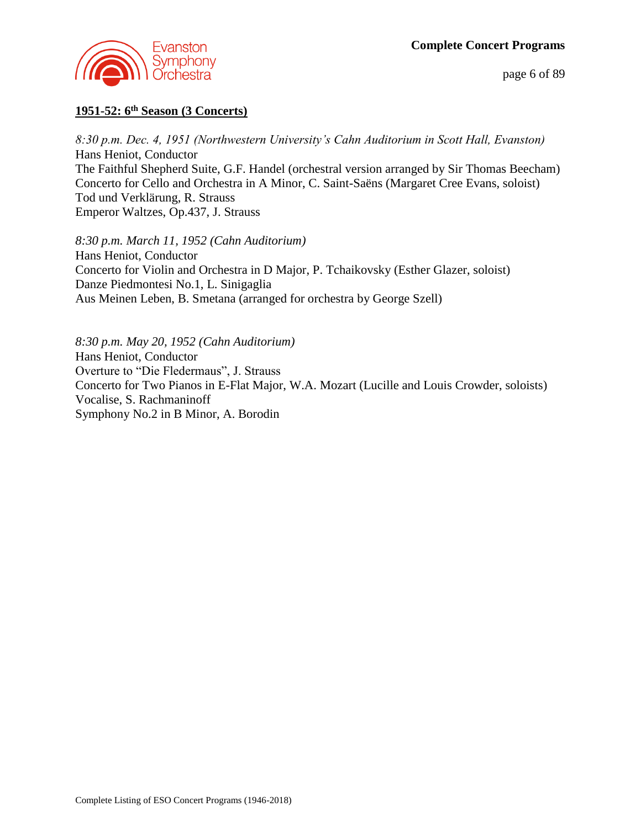

page 6 of 89

## **1951-52: 6th Season (3 Concerts)**

*8:30 p.m. Dec. 4, 1951 (Northwestern University's Cahn Auditorium in Scott Hall, Evanston)* Hans Heniot, Conductor The Faithful Shepherd Suite, G.F. Handel (orchestral version arranged by Sir Thomas Beecham) Concerto for Cello and Orchestra in A Minor, C. Saint-Saëns (Margaret Cree Evans, soloist) Tod und Verklärung, R. Strauss Emperor Waltzes, Op.437, J. Strauss

*8:30 p.m. March 11, 1952 (Cahn Auditorium)* Hans Heniot, Conductor Concerto for Violin and Orchestra in D Major, P. Tchaikovsky (Esther Glazer, soloist) Danze Piedmontesi No.1, L. Sinigaglia Aus Meinen Leben, B. Smetana (arranged for orchestra by George Szell)

*8:30 p.m. May 20, 1952 (Cahn Auditorium)* Hans Heniot, Conductor Overture to "Die Fledermaus", J. Strauss Concerto for Two Pianos in E-Flat Major, W.A. Mozart (Lucille and Louis Crowder, soloists) Vocalise, S. Rachmaninoff Symphony No.2 in B Minor, A. Borodin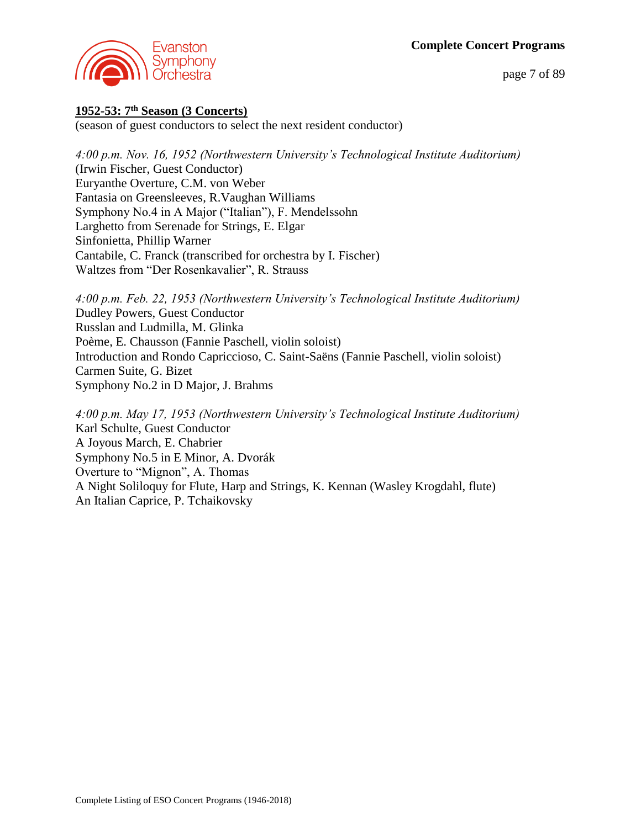

page 7 of 89

#### **1952-53: 7th Season (3 Concerts)**

(season of guest conductors to select the next resident conductor)

*4:00 p.m. Nov. 16, 1952 (Northwestern University's Technological Institute Auditorium)* (Irwin Fischer, Guest Conductor) Euryanthe Overture, C.M. von Weber Fantasia on Greensleeves, R.Vaughan Williams Symphony No.4 in A Major ("Italian"), F. Mendelssohn Larghetto from Serenade for Strings, E. Elgar Sinfonietta, Phillip Warner Cantabile, C. Franck (transcribed for orchestra by I. Fischer) Waltzes from "Der Rosenkavalier", R. Strauss

*4:00 p.m. Feb. 22, 1953 (Northwestern University's Technological Institute Auditorium)* Dudley Powers, Guest Conductor Russlan and Ludmilla, M. Glinka Poème, E. Chausson (Fannie Paschell, violin soloist) Introduction and Rondo Capriccioso, C. Saint-Saëns (Fannie Paschell, violin soloist) Carmen Suite, G. Bizet Symphony No.2 in D Major, J. Brahms

*4:00 p.m. May 17, 1953 (Northwestern University's Technological Institute Auditorium)* Karl Schulte, Guest Conductor A Joyous March, E. Chabrier Symphony No.5 in E Minor, A. Dvorák Overture to "Mignon", A. Thomas A Night Soliloquy for Flute, Harp and Strings, K. Kennan (Wasley Krogdahl, flute) An Italian Caprice, P. Tchaikovsky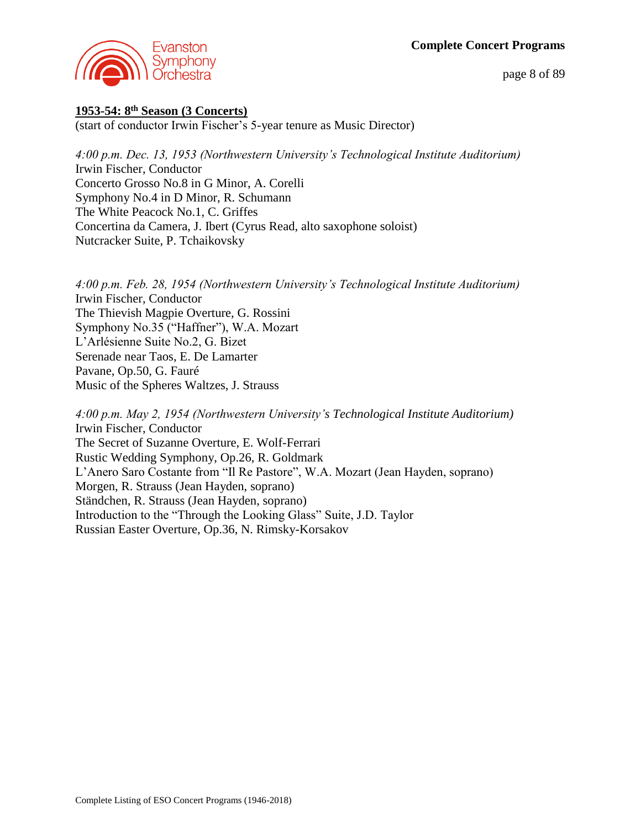

page 8 of 89

#### **1953-54: 8th Season (3 Concerts)**

(start of conductor Irwin Fischer's 5-year tenure as Music Director)

*4:00 p.m. Dec. 13, 1953 (Northwestern University's Technological Institute Auditorium)* Irwin Fischer, Conductor Concerto Grosso No.8 in G Minor, A. Corelli Symphony No.4 in D Minor, R. Schumann The White Peacock No.1, C. Griffes Concertina da Camera, J. Ibert (Cyrus Read, alto saxophone soloist) Nutcracker Suite, P. Tchaikovsky

*4:00 p.m. Feb. 28, 1954 (Northwestern University's Technological Institute Auditorium)* Irwin Fischer, Conductor The Thievish Magpie Overture, G. Rossini Symphony No.35 ("Haffner"), W.A. Mozart L'Arlésienne Suite No.2, G. Bizet Serenade near Taos, E. De Lamarter Pavane, Op.50, G. Fauré Music of the Spheres Waltzes, J. Strauss

*4:00 p.m. May 2, 1954 (Northwestern University's Technological Institute Auditorium)* Irwin Fischer, Conductor The Secret of Suzanne Overture, E. Wolf-Ferrari Rustic Wedding Symphony, Op.26, R. Goldmark L'Anero Saro Costante from "Il Re Pastore", W.A. Mozart (Jean Hayden, soprano) Morgen, R. Strauss (Jean Hayden, soprano) Ständchen, R. Strauss (Jean Hayden, soprano) Introduction to the "Through the Looking Glass" Suite, J.D. Taylor Russian Easter Overture, Op.36, N. Rimsky-Korsakov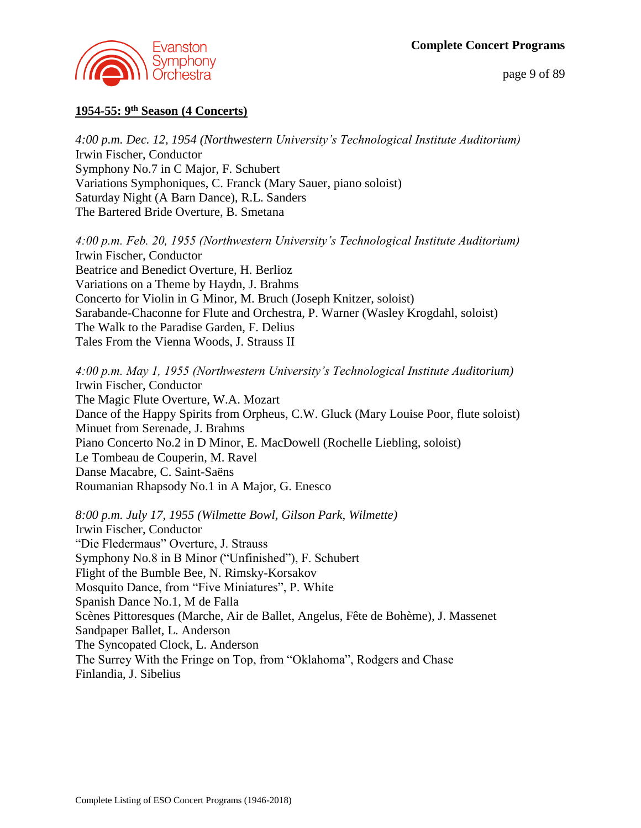

#### **1954-55: 9th Season (4 Concerts)**

*4:00 p.m. Dec. 12, 1954 (Northwestern University's Technological Institute Auditorium)* Irwin Fischer, Conductor Symphony No.7 in C Major, F. Schubert Variations Symphoniques, C. Franck (Mary Sauer, piano soloist) Saturday Night (A Barn Dance), R.L. Sanders The Bartered Bride Overture, B. Smetana

*4:00 p.m. Feb. 20, 1955 (Northwestern University's Technological Institute Auditorium)* Irwin Fischer, Conductor Beatrice and Benedict Overture, H. Berlioz Variations on a Theme by Haydn, J. Brahms Concerto for Violin in G Minor, M. Bruch (Joseph Knitzer, soloist) Sarabande-Chaconne for Flute and Orchestra, P. Warner (Wasley Krogdahl, soloist) The Walk to the Paradise Garden, F. Delius Tales From the Vienna Woods, J. Strauss II

*4:00 p.m. May 1, 1955 (Northwestern University's Technological Institute Auditorium)* Irwin Fischer, Conductor The Magic Flute Overture, W.A. Mozart Dance of the Happy Spirits from Orpheus, C.W. Gluck (Mary Louise Poor, flute soloist) Minuet from Serenade, J. Brahms Piano Concerto No.2 in D Minor, E. MacDowell (Rochelle Liebling, soloist) Le Tombeau de Couperin, M. Ravel Danse Macabre, C. Saint-Saëns Roumanian Rhapsody No.1 in A Major, G. Enesco

*8:00 p.m. July 17, 1955 (Wilmette Bowl, Gilson Park, Wilmette)* Irwin Fischer, Conductor "Die Fledermaus" Overture, J. Strauss Symphony No.8 in B Minor ("Unfinished"), F. Schubert Flight of the Bumble Bee, N. Rimsky-Korsakov Mosquito Dance, from "Five Miniatures", P. White Spanish Dance No.1, M de Falla Scènes Pittoresques (Marche, Air de Ballet, Angelus, Fête de Bohème), J. Massenet Sandpaper Ballet, L. Anderson The Syncopated Clock, L. Anderson The Surrey With the Fringe on Top, from "Oklahoma", Rodgers and Chase Finlandia, J. Sibelius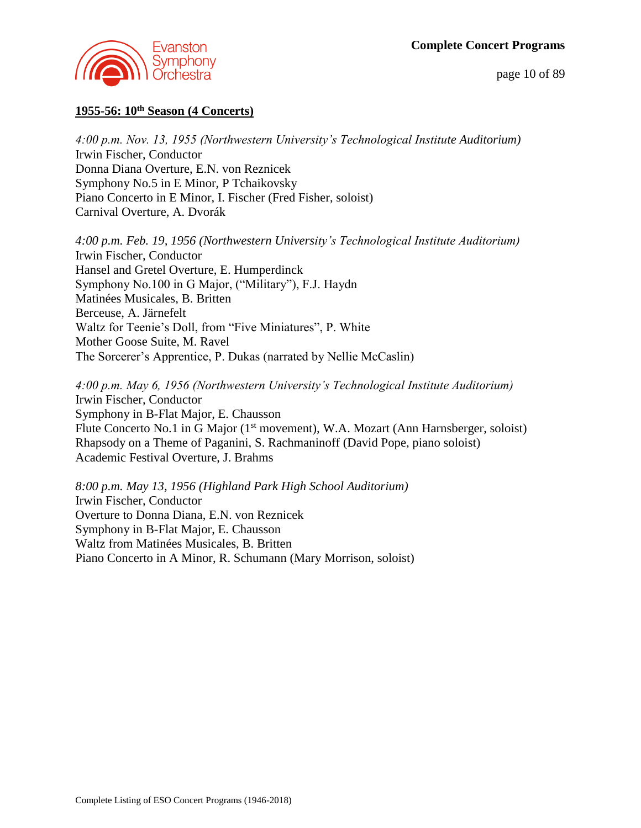

## **1955-56: 10th Season (4 Concerts)**

*4:00 p.m. Nov. 13, 1955 (Northwestern University's Technological Institute Auditorium)* Irwin Fischer, Conductor Donna Diana Overture, E.N. von Reznicek Symphony No.5 in E Minor, P Tchaikovsky Piano Concerto in E Minor, I. Fischer (Fred Fisher, soloist) Carnival Overture, A. Dvorák

*4:00 p.m. Feb. 19, 1956 (Northwestern University's Technological Institute Auditorium)* Irwin Fischer, Conductor Hansel and Gretel Overture, E. Humperdinck Symphony No.100 in G Major, ("Military"), F.J. Haydn Matinées Musicales, B. Britten Berceuse, A. Järnefelt Waltz for Teenie's Doll, from "Five Miniatures", P. White Mother Goose Suite, M. Ravel The Sorcerer's Apprentice, P. Dukas (narrated by Nellie McCaslin)

*4:00 p.m. May 6, 1956 (Northwestern University's Technological Institute Auditorium)* Irwin Fischer, Conductor Symphony in B-Flat Major, E. Chausson Flute Concerto No.1 in G Major (1<sup>st</sup> movement), W.A. Mozart (Ann Harnsberger, soloist) Rhapsody on a Theme of Paganini, S. Rachmaninoff (David Pope, piano soloist) Academic Festival Overture, J. Brahms

*8:00 p.m. May 13, 1956 (Highland Park High School Auditorium)* Irwin Fischer, Conductor Overture to Donna Diana, E.N. von Reznicek Symphony in B-Flat Major, E. Chausson Waltz from Matinées Musicales, B. Britten Piano Concerto in A Minor, R. Schumann (Mary Morrison, soloist)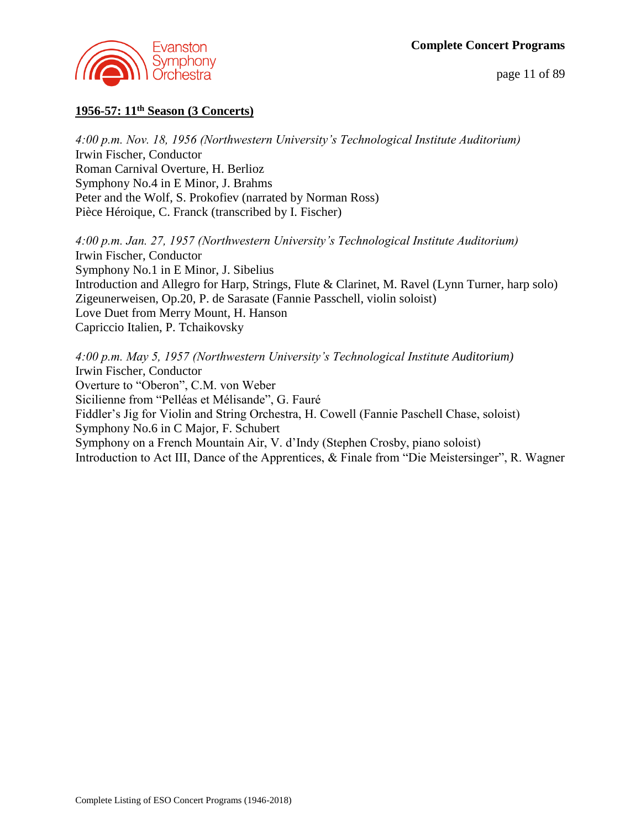

# **1956-57: 11th Season (3 Concerts)**

*4:00 p.m. Nov. 18, 1956 (Northwestern University's Technological Institute Auditorium)* Irwin Fischer, Conductor Roman Carnival Overture, H. Berlioz Symphony No.4 in E Minor, J. Brahms Peter and the Wolf, S. Prokofiev (narrated by Norman Ross) Pièce Héroique, C. Franck (transcribed by I. Fischer)

*4:00 p.m. Jan. 27, 1957 (Northwestern University's Technological Institute Auditorium)* Irwin Fischer, Conductor Symphony No.1 in E Minor, J. Sibelius Introduction and Allegro for Harp, Strings, Flute & Clarinet, M. Ravel (Lynn Turner, harp solo) Zigeunerweisen, Op.20, P. de Sarasate (Fannie Passchell, violin soloist) Love Duet from Merry Mount, H. Hanson Capriccio Italien, P. Tchaikovsky

*4:00 p.m. May 5, 1957 (Northwestern University's Technological Institute Auditorium)* Irwin Fischer, Conductor Overture to "Oberon", C.M. von Weber Sicilienne from "Pelléas et Mélisande", G. Fauré Fiddler's Jig for Violin and String Orchestra, H. Cowell (Fannie Paschell Chase, soloist) Symphony No.6 in C Major, F. Schubert Symphony on a French Mountain Air, V. d'Indy (Stephen Crosby, piano soloist) Introduction to Act III, Dance of the Apprentices, & Finale from "Die Meistersinger", R. Wagner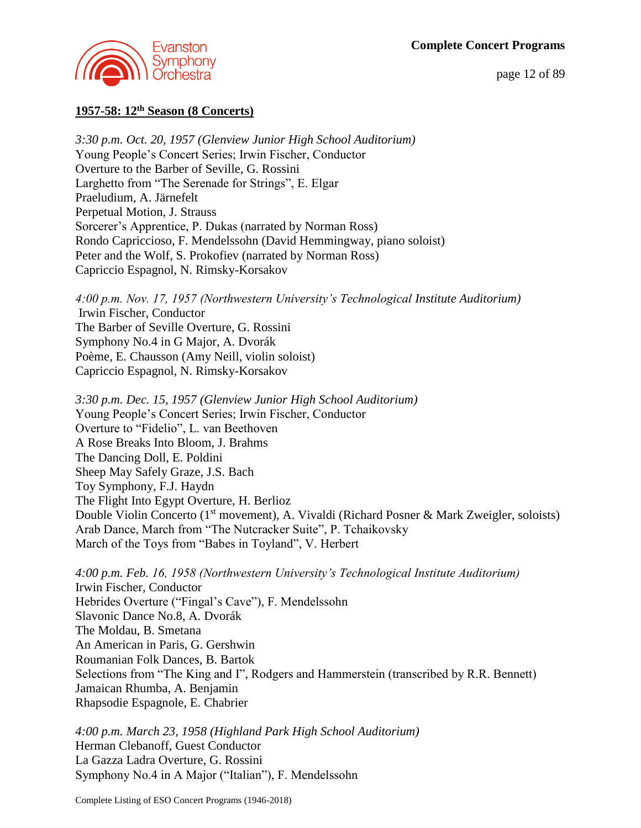

page 12 of 89

# **1957-58: 12th Season (8 Concerts)**

*3:30 p.m. Oct. 20, 1957 (Glenview Junior High School Auditorium)* Young People's Concert Series; Irwin Fischer, Conductor Overture to the Barber of Seville, G. Rossini Larghetto from "The Serenade for Strings", E. Elgar Praeludium, A. Järnefelt Perpetual Motion, J. Strauss Sorcerer's Apprentice, P. Dukas (narrated by Norman Ross) Rondo Capriccioso, F. Mendelssohn (David Hemmingway, piano soloist) Peter and the Wolf, S. Prokofiev (narrated by Norman Ross) Capriccio Espagnol, N. Rimsky-Korsakov

*4:00 p.m. Nov. 17, 1957 (Northwestern University's Technological Institute Auditorium)* Irwin Fischer, Conductor The Barber of Seville Overture, G. Rossini Symphony No.4 in G Major, A. Dvorák Poème, E. Chausson (Amy Neill, violin soloist) Capriccio Espagnol, N. Rimsky-Korsakov

*3:30 p.m. Dec. 15, 1957 (Glenview Junior High School Auditorium)* Young People's Concert Series; Irwin Fischer, Conductor Overture to "Fidelio", L. van Beethoven A Rose Breaks Into Bloom, J. Brahms The Dancing Doll, E. Poldini Sheep May Safely Graze, J.S. Bach Toy Symphony, F.J. Haydn The Flight Into Egypt Overture, H. Berlioz Double Violin Concerto (1<sup>st</sup> movement), A. Vivaldi (Richard Posner & Mark Zweigler, soloists) Arab Dance, March from "The Nutcracker Suite", P. Tchaikovsky March of the Toys from "Babes in Toyland", V. Herbert

*4:00 p.m. Feb. 16, 1958 (Northwestern University's Technological Institute Auditorium)* Irwin Fischer, Conductor Hebrides Overture ("Fingal's Cave"), F. Mendelssohn Slavonic Dance No.8, A. Dvorák The Moldau, B. Smetana An American in Paris, G. Gershwin Roumanian Folk Dances, B. Bartok Selections from "The King and I", Rodgers and Hammerstein (transcribed by R.R. Bennett) Jamaican Rhumba, A. Benjamin Rhapsodie Espagnole, E. Chabrier

*4:00 p.m. March 23, 1958 (Highland Park High School Auditorium)* Herman Clebanoff, Guest Conductor La Gazza Ladra Overture, G. Rossini Symphony No.4 in A Major ("Italian"), F. Mendelssohn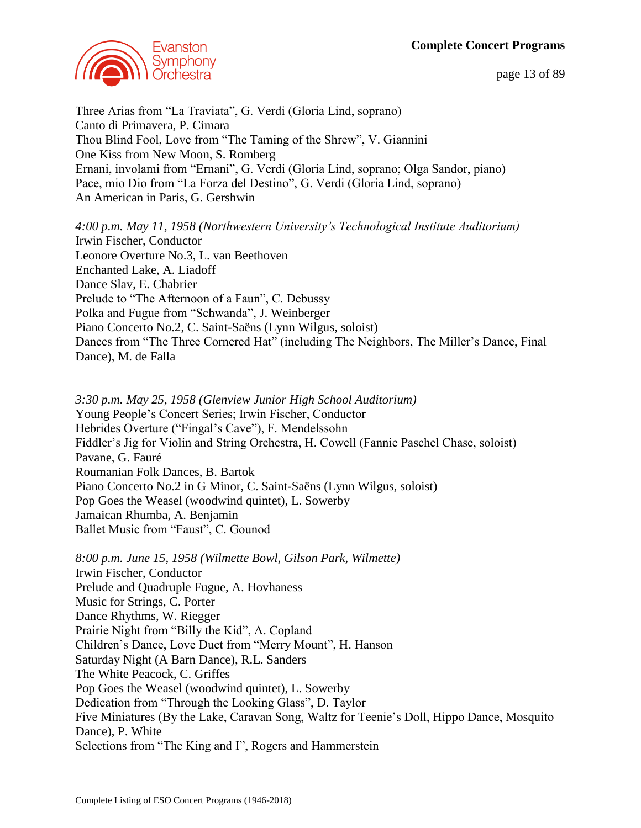

page 13 of 89

Three Arias from "La Traviata", G. Verdi (Gloria Lind, soprano) Canto di Primavera, P. Cimara Thou Blind Fool, Love from "The Taming of the Shrew", V. Giannini One Kiss from New Moon, S. Romberg Ernani, involami from "Ernani", G. Verdi (Gloria Lind, soprano; Olga Sandor, piano) Pace, mio Dio from "La Forza del Destino", G. Verdi (Gloria Lind, soprano) An American in Paris, G. Gershwin

*4:00 p.m. May 11, 1958 (Northwestern University's Technological Institute Auditorium)* Irwin Fischer, Conductor Leonore Overture No.3, L. van Beethoven Enchanted Lake, A. Liadoff Dance Slav, E. Chabrier Prelude to "The Afternoon of a Faun", C. Debussy Polka and Fugue from "Schwanda", J. Weinberger Piano Concerto No.2, C. Saint-Saëns (Lynn Wilgus, soloist) Dances from "The Three Cornered Hat" (including The Neighbors, The Miller's Dance, Final Dance), M. de Falla

*3:30 p.m. May 25, 1958 (Glenview Junior High School Auditorium)* Young People's Concert Series; Irwin Fischer, Conductor Hebrides Overture ("Fingal's Cave"), F. Mendelssohn Fiddler's Jig for Violin and String Orchestra, H. Cowell (Fannie Paschel Chase, soloist) Pavane, G. Fauré Roumanian Folk Dances, B. Bartok Piano Concerto No.2 in G Minor, C. Saint-Saëns (Lynn Wilgus, soloist) Pop Goes the Weasel (woodwind quintet), L. Sowerby Jamaican Rhumba, A. Benjamin Ballet Music from "Faust", C. Gounod

*8:00 p.m. June 15, 1958 (Wilmette Bowl, Gilson Park, Wilmette)* Irwin Fischer, Conductor Prelude and Quadruple Fugue, A. Hovhaness Music for Strings, C. Porter Dance Rhythms, W. Riegger Prairie Night from "Billy the Kid", A. Copland Children's Dance, Love Duet from "Merry Mount", H. Hanson Saturday Night (A Barn Dance), R.L. Sanders The White Peacock, C. Griffes Pop Goes the Weasel (woodwind quintet), L. Sowerby Dedication from "Through the Looking Glass", D. Taylor Five Miniatures (By the Lake, Caravan Song, Waltz for Teenie's Doll, Hippo Dance, Mosquito Dance), P. White Selections from "The King and I", Rogers and Hammerstein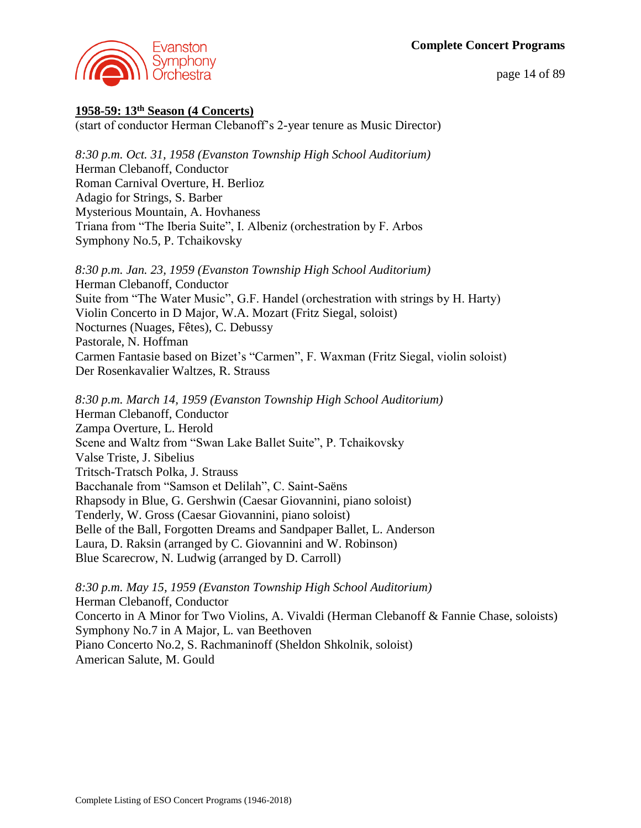page 14 of 89



**1958-59: 13th Season (4 Concerts)**

(start of conductor Herman Clebanoff's 2-year tenure as Music Director)

*8:30 p.m. Oct. 31, 1958 (Evanston Township High School Auditorium)* Herman Clebanoff, Conductor Roman Carnival Overture, H. Berlioz Adagio for Strings, S. Barber Mysterious Mountain, A. Hovhaness Triana from "The Iberia Suite", I. Albeniz (orchestration by F. Arbos Symphony No.5, P. Tchaikovsky

*8:30 p.m. Jan. 23, 1959 (Evanston Township High School Auditorium)* Herman Clebanoff, Conductor Suite from "The Water Music", G.F. Handel (orchestration with strings by H. Harty) Violin Concerto in D Major, W.A. Mozart (Fritz Siegal, soloist) Nocturnes (Nuages, Fêtes), C. Debussy Pastorale, N. Hoffman Carmen Fantasie based on Bizet's "Carmen", F. Waxman (Fritz Siegal, violin soloist) Der Rosenkavalier Waltzes, R. Strauss

*8:30 p.m. March 14, 1959 (Evanston Township High School Auditorium)* Herman Clebanoff, Conductor Zampa Overture, L. Herold Scene and Waltz from "Swan Lake Ballet Suite", P. Tchaikovsky Valse Triste, J. Sibelius Tritsch-Tratsch Polka, J. Strauss Bacchanale from "Samson et Delilah", C. Saint-Saëns Rhapsody in Blue, G. Gershwin (Caesar Giovannini, piano soloist) Tenderly, W. Gross (Caesar Giovannini, piano soloist) Belle of the Ball, Forgotten Dreams and Sandpaper Ballet, L. Anderson Laura, D. Raksin (arranged by C. Giovannini and W. Robinson) Blue Scarecrow, N. Ludwig (arranged by D. Carroll)

*8:30 p.m. May 15, 1959 (Evanston Township High School Auditorium)* Herman Clebanoff, Conductor Concerto in A Minor for Two Violins, A. Vivaldi (Herman Clebanoff & Fannie Chase, soloists) Symphony No.7 in A Major, L. van Beethoven Piano Concerto No.2, S. Rachmaninoff (Sheldon Shkolnik, soloist) American Salute, M. Gould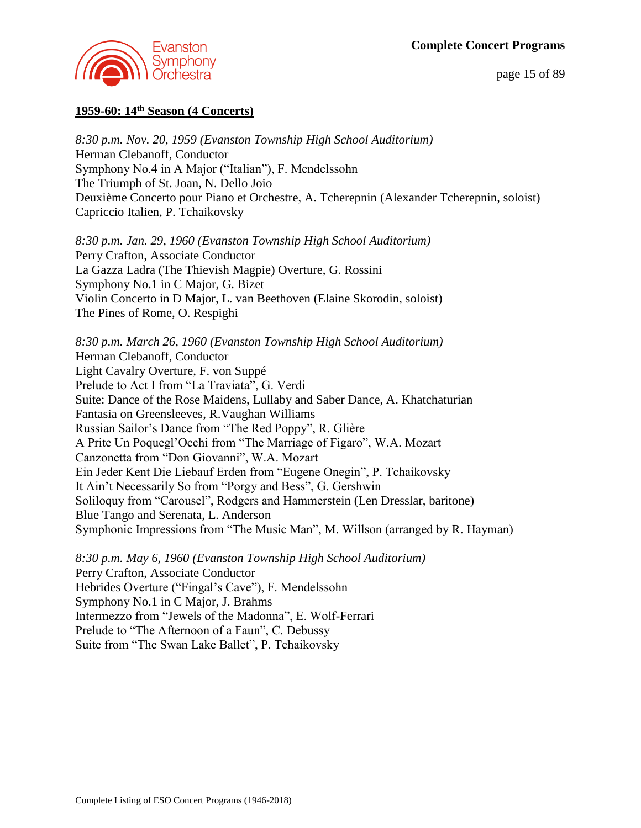

page 15 of 89

# **1959-60: 14th Season (4 Concerts)**

*8:30 p.m. Nov. 20, 1959 (Evanston Township High School Auditorium)* Herman Clebanoff, Conductor Symphony No.4 in A Major ("Italian"), F. Mendelssohn The Triumph of St. Joan, N. Dello Joio Deuxième Concerto pour Piano et Orchestre, A. Tcherepnin (Alexander Tcherepnin, soloist) Capriccio Italien, P. Tchaikovsky

*8:30 p.m. Jan. 29, 1960 (Evanston Township High School Auditorium)* Perry Crafton, Associate Conductor La Gazza Ladra (The Thievish Magpie) Overture, G. Rossini Symphony No.1 in C Major, G. Bizet Violin Concerto in D Major, L. van Beethoven (Elaine Skorodin, soloist) The Pines of Rome, O. Respighi

*8:30 p.m. March 26, 1960 (Evanston Township High School Auditorium)* Herman Clebanoff, Conductor Light Cavalry Overture, F. von Suppé Prelude to Act I from "La Traviata", G. Verdi Suite: Dance of the Rose Maidens, Lullaby and Saber Dance, A. Khatchaturian Fantasia on Greensleeves, R.Vaughan Williams Russian Sailor's Dance from "The Red Poppy", R. Glière A Prite Un Poquegl'Occhi from "The Marriage of Figaro", W.A. Mozart Canzonetta from "Don Giovanni", W.A. Mozart Ein Jeder Kent Die Liebauf Erden from "Eugene Onegin", P. Tchaikovsky It Ain't Necessarily So from "Porgy and Bess", G. Gershwin Soliloquy from "Carousel", Rodgers and Hammerstein (Len Dresslar, baritone) Blue Tango and Serenata, L. Anderson Symphonic Impressions from "The Music Man", M. Willson (arranged by R. Hayman)

*8:30 p.m. May 6, 1960 (Evanston Township High School Auditorium)* Perry Crafton, Associate Conductor Hebrides Overture ("Fingal's Cave"), F. Mendelssohn Symphony No.1 in C Major, J. Brahms Intermezzo from "Jewels of the Madonna", E. Wolf-Ferrari Prelude to "The Afternoon of a Faun", C. Debussy Suite from "The Swan Lake Ballet", P. Tchaikovsky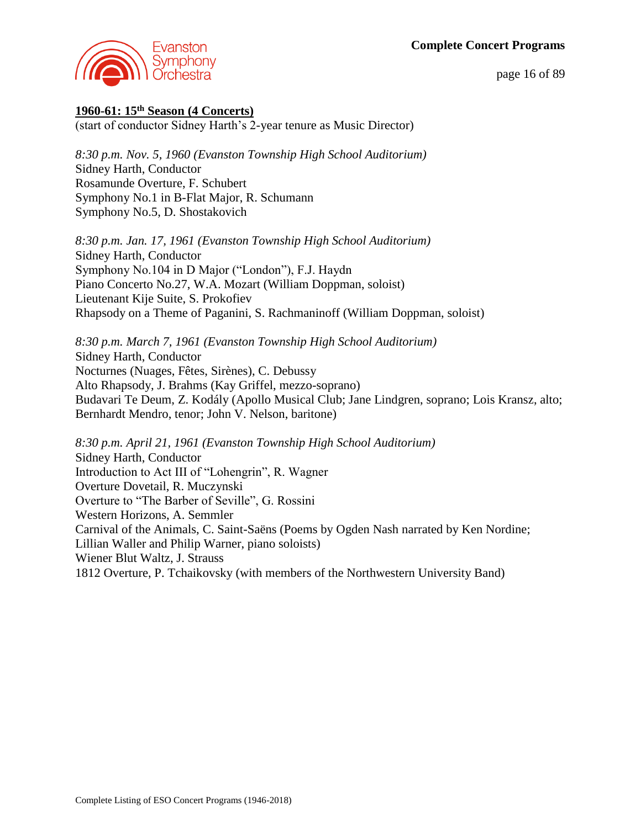

page 16 of 89

#### **1960-61: 15th Season (4 Concerts)**

(start of conductor Sidney Harth's 2-year tenure as Music Director)

*8:30 p.m. Nov. 5, 1960 (Evanston Township High School Auditorium)* Sidney Harth, Conductor Rosamunde Overture, F. Schubert Symphony No.1 in B-Flat Major, R. Schumann Symphony No.5, D. Shostakovich

*8:30 p.m. Jan. 17, 1961 (Evanston Township High School Auditorium)* Sidney Harth, Conductor Symphony No.104 in D Major ("London"), F.J. Haydn Piano Concerto No.27, W.A. Mozart (William Doppman, soloist) Lieutenant Kije Suite, S. Prokofiev Rhapsody on a Theme of Paganini, S. Rachmaninoff (William Doppman, soloist)

*8:30 p.m. March 7, 1961 (Evanston Township High School Auditorium)* Sidney Harth, Conductor Nocturnes (Nuages, Fêtes, Sirènes), C. Debussy Alto Rhapsody, J. Brahms (Kay Griffel, mezzo-soprano) Budavari Te Deum, Z. Kodály (Apollo Musical Club; Jane Lindgren, soprano; Lois Kransz, alto; Bernhardt Mendro, tenor; John V. Nelson, baritone)

*8:30 p.m. April 21, 1961 (Evanston Township High School Auditorium)* Sidney Harth, Conductor Introduction to Act III of "Lohengrin", R. Wagner Overture Dovetail, R. Muczynski Overture to "The Barber of Seville", G. Rossini Western Horizons, A. Semmler Carnival of the Animals, C. Saint-Saëns (Poems by Ogden Nash narrated by Ken Nordine; Lillian Waller and Philip Warner, piano soloists) Wiener Blut Waltz, J. Strauss 1812 Overture, P. Tchaikovsky (with members of the Northwestern University Band)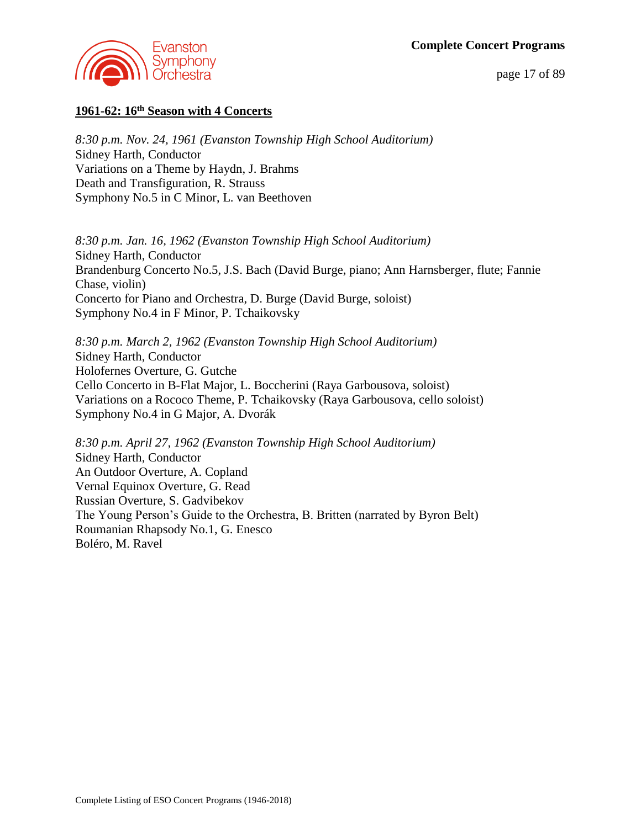

page 17 of 89

## **1961-62: 16th Season with 4 Concerts**

*8:30 p.m. Nov. 24, 1961 (Evanston Township High School Auditorium)* Sidney Harth, Conductor Variations on a Theme by Haydn, J. Brahms Death and Transfiguration, R. Strauss Symphony No.5 in C Minor, L. van Beethoven

*8:30 p.m. Jan. 16, 1962 (Evanston Township High School Auditorium)* Sidney Harth, Conductor Brandenburg Concerto No.5, J.S. Bach (David Burge, piano; Ann Harnsberger, flute; Fannie Chase, violin) Concerto for Piano and Orchestra, D. Burge (David Burge, soloist) Symphony No.4 in F Minor, P. Tchaikovsky

*8:30 p.m. March 2, 1962 (Evanston Township High School Auditorium)* Sidney Harth, Conductor Holofernes Overture, G. Gutche Cello Concerto in B-Flat Major, L. Boccherini (Raya Garbousova, soloist) Variations on a Rococo Theme, P. Tchaikovsky (Raya Garbousova, cello soloist) Symphony No.4 in G Major, A. Dvorák

*8:30 p.m. April 27, 1962 (Evanston Township High School Auditorium)* Sidney Harth, Conductor An Outdoor Overture, A. Copland Vernal Equinox Overture, G. Read Russian Overture, S. Gadvibekov The Young Person's Guide to the Orchestra, B. Britten (narrated by Byron Belt) Roumanian Rhapsody No.1, G. Enesco Boléro, M. Ravel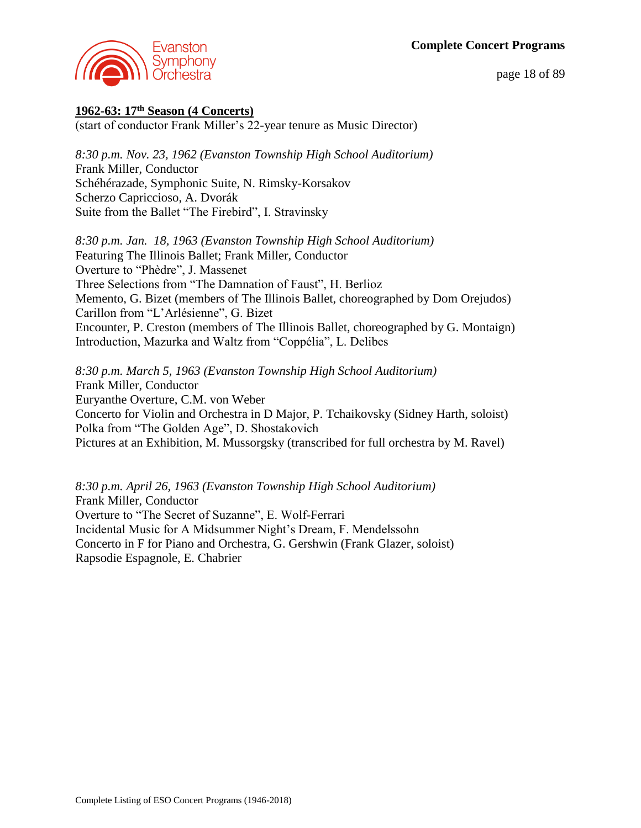

page 18 of 89

#### **1962-63: 17th Season (4 Concerts)**

(start of conductor Frank Miller's 22-year tenure as Music Director)

*8:30 p.m. Nov. 23, 1962 (Evanston Township High School Auditorium)* Frank Miller, Conductor Schéhérazade, Symphonic Suite, N. Rimsky-Korsakov Scherzo Capriccioso, A. Dvorák Suite from the Ballet "The Firebird", I. Stravinsky

*8:30 p.m. Jan. 18, 1963 (Evanston Township High School Auditorium)* Featuring The Illinois Ballet; Frank Miller, Conductor Overture to "Phèdre", J. Massenet Three Selections from "The Damnation of Faust", H. Berlioz Memento, G. Bizet (members of The Illinois Ballet, choreographed by Dom Orejudos) Carillon from "L'Arlésienne", G. Bizet Encounter, P. Creston (members of The Illinois Ballet, choreographed by G. Montaign) Introduction, Mazurka and Waltz from "Coppélia", L. Delibes

*8:30 p.m. March 5, 1963 (Evanston Township High School Auditorium)* Frank Miller, Conductor Euryanthe Overture, C.M. von Weber Concerto for Violin and Orchestra in D Major, P. Tchaikovsky (Sidney Harth, soloist) Polka from "The Golden Age", D. Shostakovich Pictures at an Exhibition, M. Mussorgsky (transcribed for full orchestra by M. Ravel)

*8:30 p.m. April 26, 1963 (Evanston Township High School Auditorium)* Frank Miller, Conductor Overture to "The Secret of Suzanne", E. Wolf-Ferrari Incidental Music for A Midsummer Night's Dream, F. Mendelssohn Concerto in F for Piano and Orchestra, G. Gershwin (Frank Glazer, soloist) Rapsodie Espagnole, E. Chabrier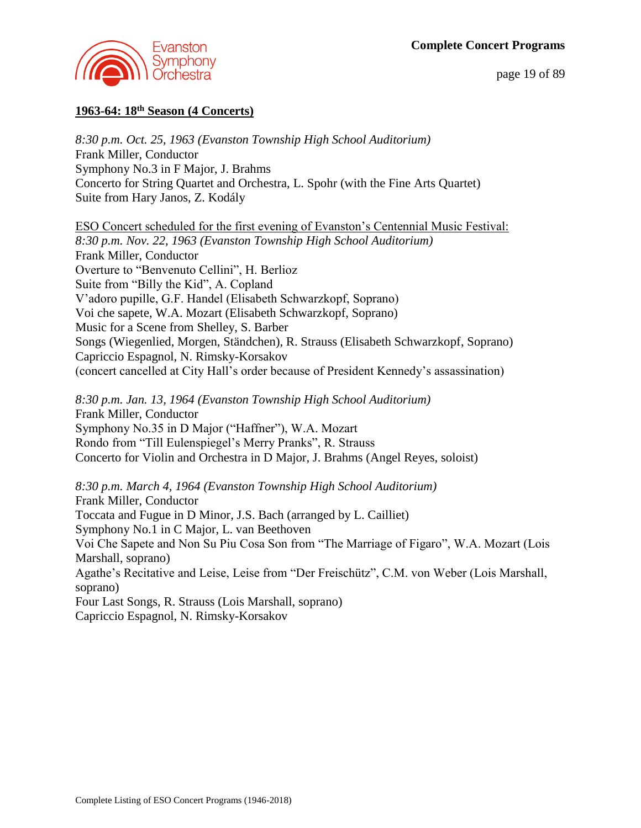

page 19 of 89

# **1963-64: 18th Season (4 Concerts)**

*8:30 p.m. Oct. 25, 1963 (Evanston Township High School Auditorium)* Frank Miller, Conductor Symphony No.3 in F Major, J. Brahms Concerto for String Quartet and Orchestra, L. Spohr (with the Fine Arts Quartet) Suite from Hary Janos, Z. Kodály

ESO Concert scheduled for the first evening of Evanston's Centennial Music Festival: *8:30 p.m. Nov. 22, 1963 (Evanston Township High School Auditorium)* Frank Miller, Conductor Overture to "Benvenuto Cellini", H. Berlioz Suite from "Billy the Kid", A. Copland V'adoro pupille, G.F. Handel (Elisabeth Schwarzkopf, Soprano) Voi che sapete, W.A. Mozart (Elisabeth Schwarzkopf, Soprano) Music for a Scene from Shelley, S. Barber Songs (Wiegenlied, Morgen, Ständchen), R. Strauss (Elisabeth Schwarzkopf, Soprano) Capriccio Espagnol, N. Rimsky-Korsakov (concert cancelled at City Hall's order because of President Kennedy's assassination)

*8:30 p.m. Jan. 13, 1964 (Evanston Township High School Auditorium)* Frank Miller, Conductor Symphony No.35 in D Major ("Haffner"), W.A. Mozart Rondo from "Till Eulenspiegel's Merry Pranks", R. Strauss Concerto for Violin and Orchestra in D Major, J. Brahms (Angel Reyes, soloist)

*8:30 p.m. March 4, 1964 (Evanston Township High School Auditorium)* Frank Miller, Conductor Toccata and Fugue in D Minor, J.S. Bach (arranged by L. Cailliet) Symphony No.1 in C Major, L. van Beethoven Voi Che Sapete and Non Su Piu Cosa Son from "The Marriage of Figaro", W.A. Mozart (Lois Marshall, soprano) Agathe's Recitative and Leise, Leise from "Der Freischütz", C.M. von Weber (Lois Marshall, soprano) Four Last Songs, R. Strauss (Lois Marshall, soprano) Capriccio Espagnol, N. Rimsky-Korsakov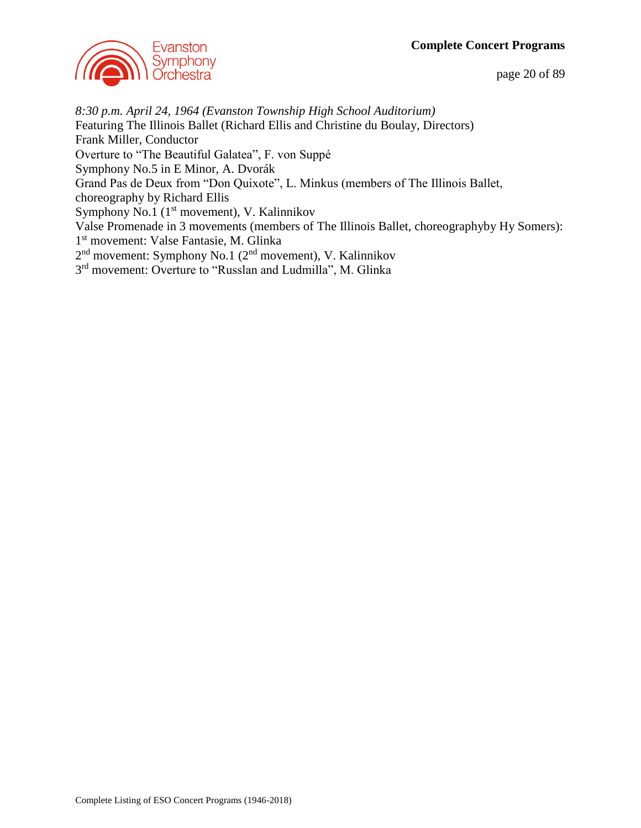

page 20 of 89

*8:30 p.m. April 24, 1964 (Evanston Township High School Auditorium)* Featuring The Illinois Ballet (Richard Ellis and Christine du Boulay, Directors) Frank Miller, Conductor Overture to "The Beautiful Galatea", F. von Suppé Symphony No.5 in E Minor, A. Dvorák Grand Pas de Deux from "Don Quixote", L. Minkus (members of The Illinois Ballet, choreography by Richard Ellis Symphony No.1 (1<sup>st</sup> movement), V. Kalinnikov Valse Promenade in 3 movements (members of The Illinois Ballet, choreographyby Hy Somers): 1 st movement: Valse Fantasie, M. Glinka 2<sup>nd</sup> movement: Symphony No.1 (2<sup>nd</sup> movement), V. Kalinnikov 3<sup>rd</sup> movement: Overture to "Russlan and Ludmilla", M. Glinka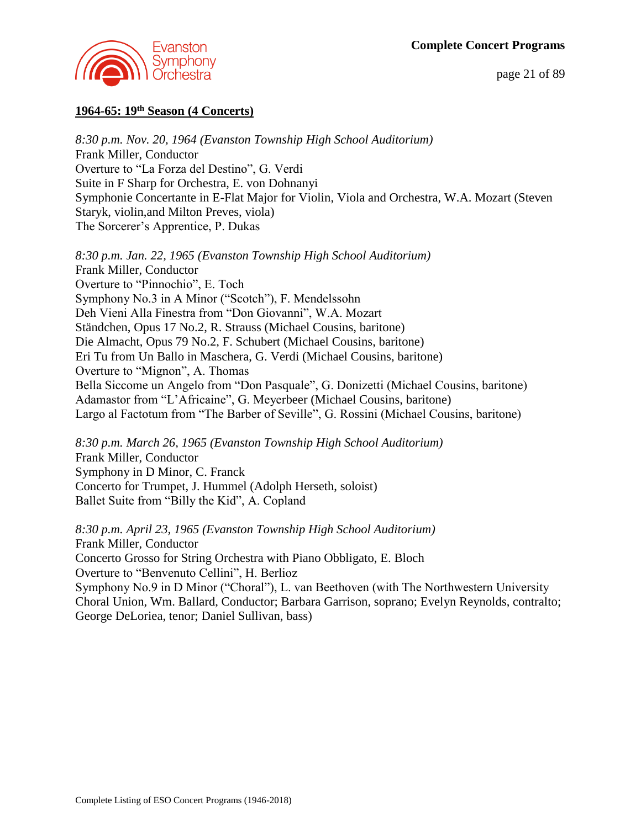



# **1964-65: 19th Season (4 Concerts)**

*8:30 p.m. Nov. 20, 1964 (Evanston Township High School Auditorium)* Frank Miller, Conductor Overture to "La Forza del Destino", G. Verdi Suite in F Sharp for Orchestra, E. von Dohnanyi Symphonie Concertante in E-Flat Major for Violin, Viola and Orchestra, W.A. Mozart (Steven Staryk, violin,and Milton Preves, viola) The Sorcerer's Apprentice, P. Dukas

*8:30 p.m. Jan. 22, 1965 (Evanston Township High School Auditorium)* Frank Miller, Conductor Overture to "Pinnochio", E. Toch Symphony No.3 in A Minor ("Scotch"), F. Mendelssohn Deh Vieni Alla Finestra from "Don Giovanni", W.A. Mozart Ständchen, Opus 17 No.2, R. Strauss (Michael Cousins, baritone) Die Almacht, Opus 79 No.2, F. Schubert (Michael Cousins, baritone) Eri Tu from Un Ballo in Maschera, G. Verdi (Michael Cousins, baritone) Overture to "Mignon", A. Thomas Bella Siccome un Angelo from "Don Pasquale", G. Donizetti (Michael Cousins, baritone) Adamastor from "L'Africaine", G. Meyerbeer (Michael Cousins, baritone) Largo al Factotum from "The Barber of Seville", G. Rossini (Michael Cousins, baritone)

*8:30 p.m. March 26, 1965 (Evanston Township High School Auditorium)* Frank Miller, Conductor Symphony in D Minor, C. Franck Concerto for Trumpet, J. Hummel (Adolph Herseth, soloist) Ballet Suite from "Billy the Kid", A. Copland

*8:30 p.m. April 23, 1965 (Evanston Township High School Auditorium)* Frank Miller, Conductor Concerto Grosso for String Orchestra with Piano Obbligato, E. Bloch Overture to "Benvenuto Cellini", H. Berlioz Symphony No.9 in D Minor ("Choral"), L. van Beethoven (with The Northwestern University Choral Union, Wm. Ballard, Conductor; Barbara Garrison, soprano; Evelyn Reynolds, contralto; George DeLoriea, tenor; Daniel Sullivan, bass)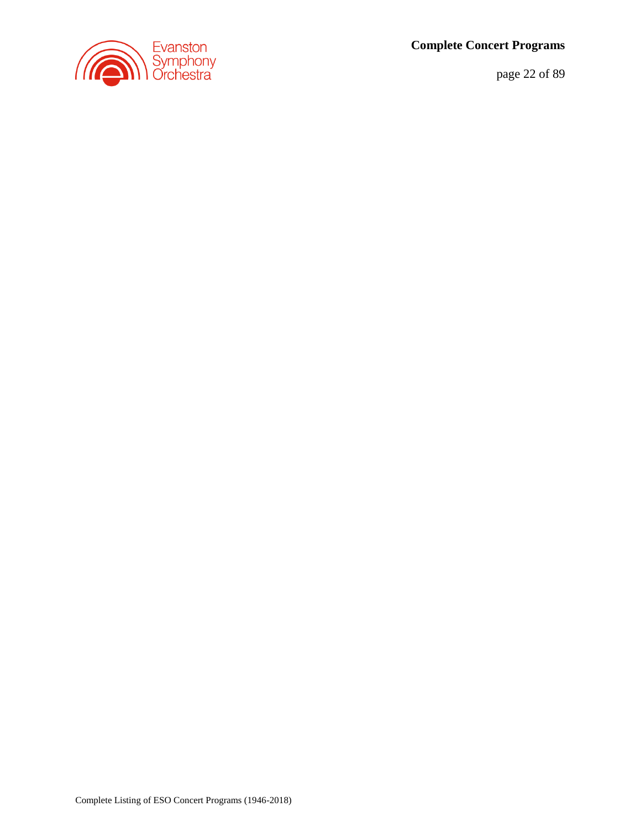



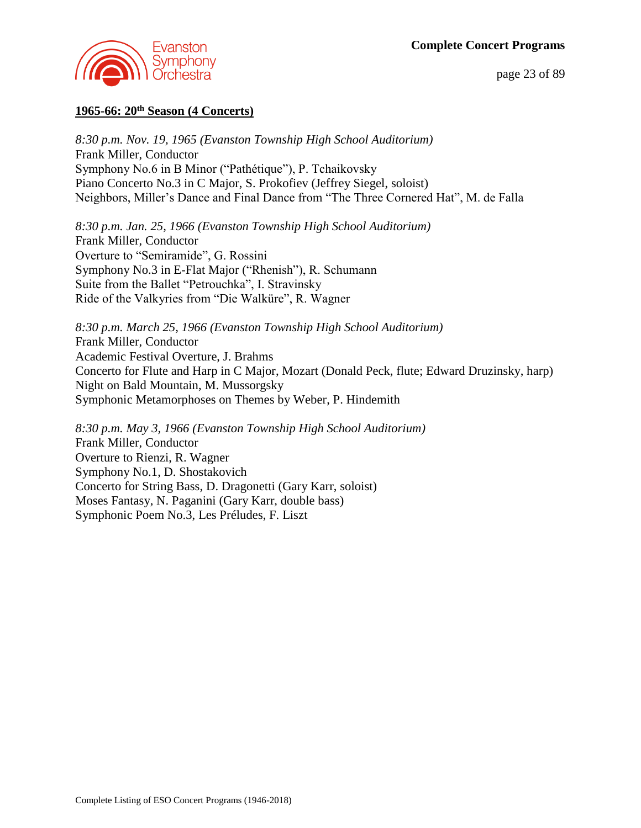

page 23 of 89

## **1965-66: 20th Season (4 Concerts)**

*8:30 p.m. Nov. 19, 1965 (Evanston Township High School Auditorium)* Frank Miller, Conductor Symphony No.6 in B Minor ("Pathétique"), P. Tchaikovsky Piano Concerto No.3 in C Major, S. Prokofiev (Jeffrey Siegel, soloist) Neighbors, Miller's Dance and Final Dance from "The Three Cornered Hat", M. de Falla

*8:30 p.m. Jan. 25, 1966 (Evanston Township High School Auditorium)* Frank Miller, Conductor Overture to "Semiramide", G. Rossini Symphony No.3 in E-Flat Major ("Rhenish"), R. Schumann Suite from the Ballet "Petrouchka", I. Stravinsky Ride of the Valkyries from "Die Walküre", R. Wagner

*8:30 p.m. March 25, 1966 (Evanston Township High School Auditorium)* Frank Miller, Conductor Academic Festival Overture, J. Brahms Concerto for Flute and Harp in C Major, Mozart (Donald Peck, flute; Edward Druzinsky, harp) Night on Bald Mountain, M. Mussorgsky Symphonic Metamorphoses on Themes by Weber, P. Hindemith

*8:30 p.m. May 3, 1966 (Evanston Township High School Auditorium)* Frank Miller, Conductor Overture to Rienzi, R. Wagner Symphony No.1, D. Shostakovich Concerto for String Bass, D. Dragonetti (Gary Karr, soloist) Moses Fantasy, N. Paganini (Gary Karr, double bass) Symphonic Poem No.3, Les Préludes, F. Liszt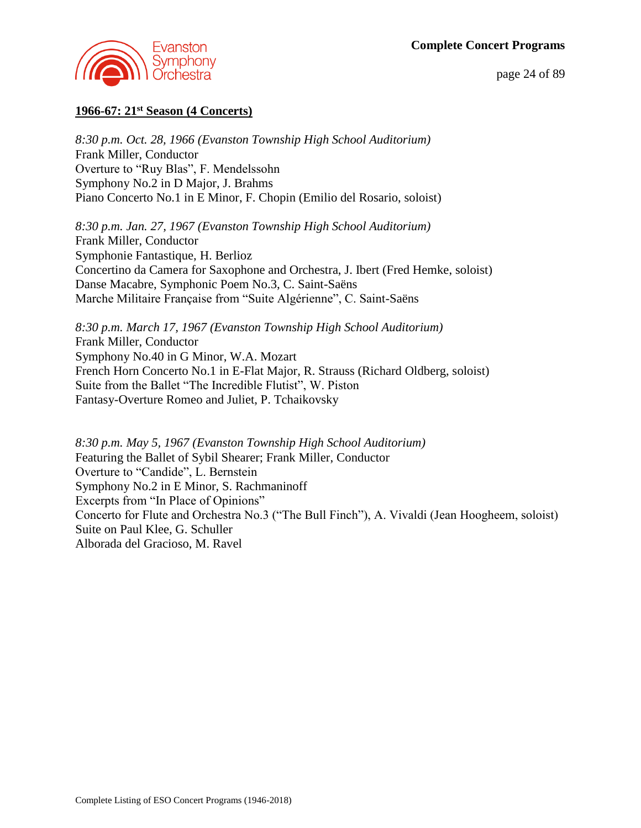

page 24 of 89

## **1966-67: 21st Season (4 Concerts)**

*8:30 p.m. Oct. 28, 1966 (Evanston Township High School Auditorium)* Frank Miller, Conductor Overture to "Ruy Blas", F. Mendelssohn Symphony No.2 in D Major, J. Brahms Piano Concerto No.1 in E Minor, F. Chopin (Emilio del Rosario, soloist)

*8:30 p.m. Jan. 27, 1967 (Evanston Township High School Auditorium)* Frank Miller, Conductor Symphonie Fantastique, H. Berlioz Concertino da Camera for Saxophone and Orchestra, J. Ibert (Fred Hemke, soloist) Danse Macabre, Symphonic Poem No.3, C. Saint-Saëns Marche Militaire Française from "Suite Algérienne", C. Saint-Saëns

*8:30 p.m. March 17, 1967 (Evanston Township High School Auditorium)* Frank Miller, Conductor Symphony No.40 in G Minor, W.A. Mozart French Horn Concerto No.1 in E-Flat Major, R. Strauss (Richard Oldberg, soloist) Suite from the Ballet "The Incredible Flutist", W. Piston Fantasy-Overture Romeo and Juliet, P. Tchaikovsky

*8:30 p.m. May 5, 1967 (Evanston Township High School Auditorium)* Featuring the Ballet of Sybil Shearer; Frank Miller, Conductor Overture to "Candide", L. Bernstein Symphony No.2 in E Minor, S. Rachmaninoff Excerpts from "In Place of Opinions" Concerto for Flute and Orchestra No.3 ("The Bull Finch"), A. Vivaldi (Jean Hoogheem, soloist) Suite on Paul Klee, G. Schuller Alborada del Gracioso, M. Ravel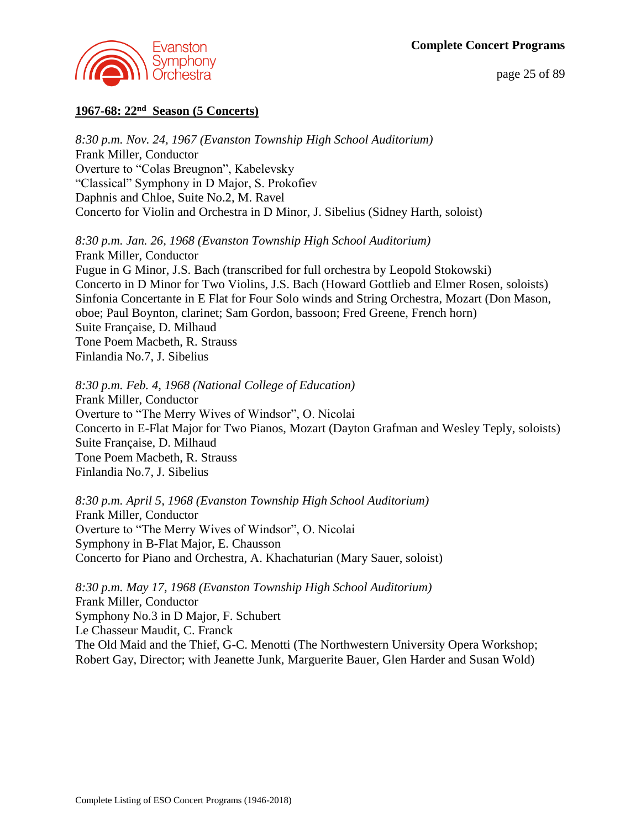



# **1967-68: 22nd Season (5 Concerts)**

*8:30 p.m. Nov. 24, 1967 (Evanston Township High School Auditorium)* Frank Miller, Conductor Overture to "Colas Breugnon", Kabelevsky "Classical" Symphony in D Major, S. Prokofiev Daphnis and Chloe, Suite No.2, M. Ravel Concerto for Violin and Orchestra in D Minor, J. Sibelius (Sidney Harth, soloist)

*8:30 p.m. Jan. 26, 1968 (Evanston Township High School Auditorium)* Frank Miller, Conductor Fugue in G Minor, J.S. Bach (transcribed for full orchestra by Leopold Stokowski) Concerto in D Minor for Two Violins, J.S. Bach (Howard Gottlieb and Elmer Rosen, soloists) Sinfonia Concertante in E Flat for Four Solo winds and String Orchestra, Mozart (Don Mason, oboe; Paul Boynton, clarinet; Sam Gordon, bassoon; Fred Greene, French horn) Suite Française, D. Milhaud Tone Poem Macbeth, R. Strauss Finlandia No.7, J. Sibelius

*8:30 p.m. Feb. 4, 1968 (National College of Education)* Frank Miller, Conductor Overture to "The Merry Wives of Windsor", O. Nicolai Concerto in E-Flat Major for Two Pianos, Mozart (Dayton Grafman and Wesley Teply, soloists) Suite Française, D. Milhaud Tone Poem Macbeth, R. Strauss Finlandia No.7, J. Sibelius

*8:30 p.m. April 5, 1968 (Evanston Township High School Auditorium)* Frank Miller, Conductor Overture to "The Merry Wives of Windsor", O. Nicolai Symphony in B-Flat Major, E. Chausson Concerto for Piano and Orchestra, A. Khachaturian (Mary Sauer, soloist)

*8:30 p.m. May 17, 1968 (Evanston Township High School Auditorium)* Frank Miller, Conductor Symphony No.3 in D Major, F. Schubert Le Chasseur Maudit, C. Franck The Old Maid and the Thief, G-C. Menotti (The Northwestern University Opera Workshop; Robert Gay, Director; with Jeanette Junk, Marguerite Bauer, Glen Harder and Susan Wold)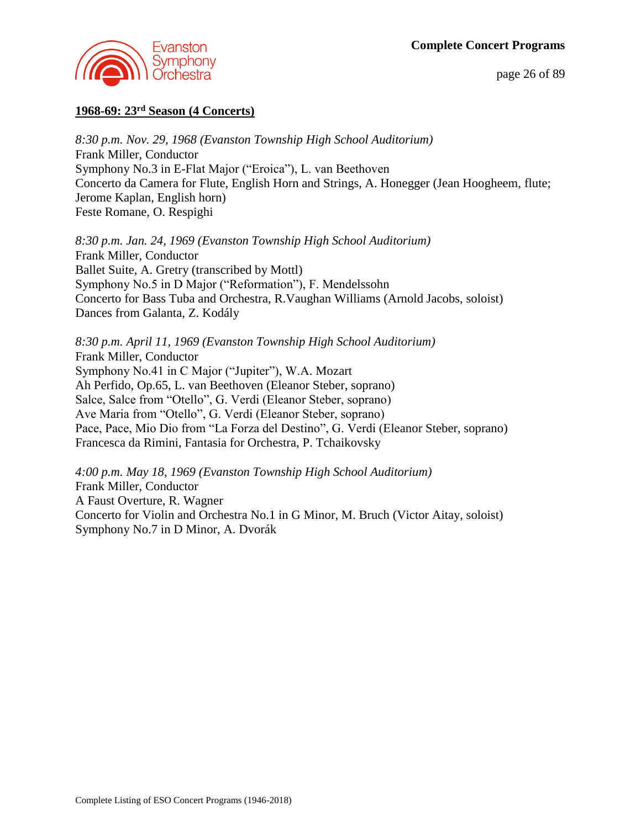

page 26 of 89

## **1968-69: 23rd Season (4 Concerts)**

*8:30 p.m. Nov. 29, 1968 (Evanston Township High School Auditorium)* Frank Miller, Conductor Symphony No.3 in E-Flat Major ("Eroica"), L. van Beethoven Concerto da Camera for Flute, English Horn and Strings, A. Honegger (Jean Hoogheem, flute; Jerome Kaplan, English horn) Feste Romane, O. Respighi

*8:30 p.m. Jan. 24, 1969 (Evanston Township High School Auditorium)* Frank Miller, Conductor Ballet Suite, A. Gretry (transcribed by Mottl) Symphony No.5 in D Major ("Reformation"), F. Mendelssohn Concerto for Bass Tuba and Orchestra, R.Vaughan Williams (Arnold Jacobs, soloist) Dances from Galanta, Z. Kodály

*8:30 p.m. April 11, 1969 (Evanston Township High School Auditorium)* Frank Miller, Conductor Symphony No.41 in C Major ("Jupiter"), W.A. Mozart Ah Perfido, Op.65, L. van Beethoven (Eleanor Steber, soprano) Salce, Salce from "Otello", G. Verdi (Eleanor Steber, soprano) Ave Maria from "Otello", G. Verdi (Eleanor Steber, soprano) Pace, Pace, Mio Dio from "La Forza del Destino", G. Verdi (Eleanor Steber, soprano) Francesca da Rimini, Fantasia for Orchestra, P. Tchaikovsky

*4:00 p.m. May 18, 1969 (Evanston Township High School Auditorium)* Frank Miller, Conductor A Faust Overture, R. Wagner Concerto for Violin and Orchestra No.1 in G Minor, M. Bruch (Victor Aitay, soloist) Symphony No.7 in D Minor, A. Dvorák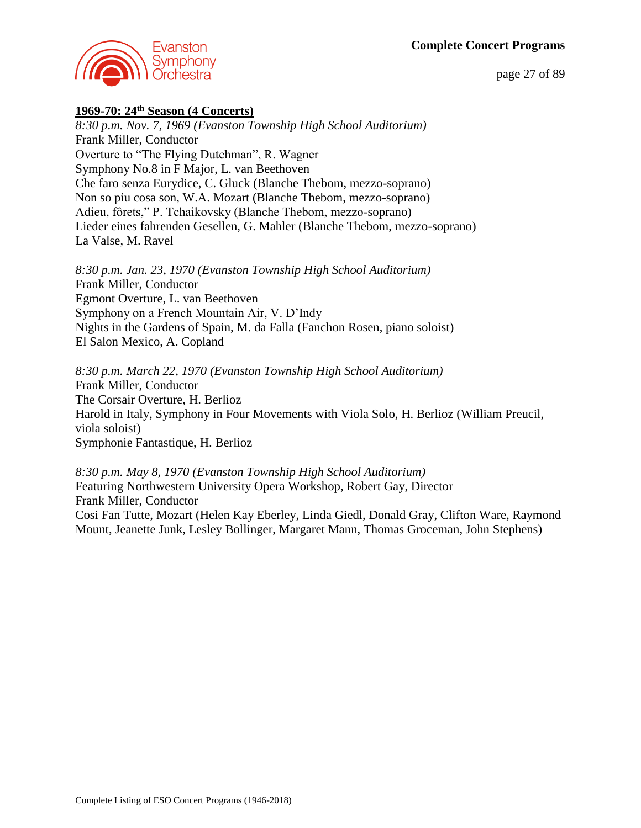

page 27 of 89

#### **1969-70: 24th Season (4 Concerts)**

*8:30 p.m. Nov. 7, 1969 (Evanston Township High School Auditorium)* Frank Miller, Conductor Overture to "The Flying Dutchman", R. Wagner Symphony No.8 in F Major, L. van Beethoven Che faro senza Eurydice, C. Gluck (Blanche Thebom, mezzo-soprano) Non so piu cosa son, W.A. Mozart (Blanche Thebom, mezzo-soprano) Adieu, fôrets," P. Tchaikovsky (Blanche Thebom, mezzo-soprano) Lieder eines fahrenden Gesellen, G. Mahler (Blanche Thebom, mezzo-soprano) La Valse, M. Ravel

*8:30 p.m. Jan. 23, 1970 (Evanston Township High School Auditorium)* Frank Miller, Conductor Egmont Overture, L. van Beethoven Symphony on a French Mountain Air, V. D'Indy Nights in the Gardens of Spain, M. da Falla (Fanchon Rosen, piano soloist) El Salon Mexico, A. Copland

*8:30 p.m. March 22, 1970 (Evanston Township High School Auditorium)* Frank Miller, Conductor The Corsair Overture, H. Berlioz Harold in Italy, Symphony in Four Movements with Viola Solo, H. Berlioz (William Preucil, viola soloist) Symphonie Fantastique, H. Berlioz

*8:30 p.m. May 8, 1970 (Evanston Township High School Auditorium)* Featuring Northwestern University Opera Workshop, Robert Gay, Director Frank Miller, Conductor Cosi Fan Tutte, Mozart (Helen Kay Eberley, Linda Giedl, Donald Gray, Clifton Ware, Raymond Mount, Jeanette Junk, Lesley Bollinger, Margaret Mann, Thomas Groceman, John Stephens)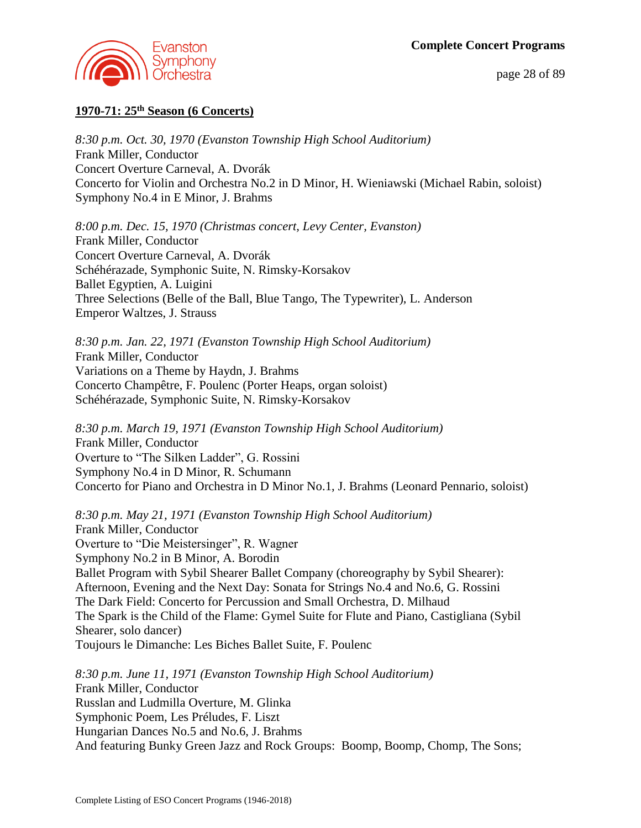

page 28 of 89

# **1970-71: 25th Season (6 Concerts)**

*8:30 p.m. Oct. 30, 1970 (Evanston Township High School Auditorium)* Frank Miller, Conductor Concert Overture Carneval, A. Dvorák Concerto for Violin and Orchestra No.2 in D Minor, H. Wieniawski (Michael Rabin, soloist) Symphony No.4 in E Minor, J. Brahms

*8:00 p.m. Dec. 15, 1970 (Christmas concert, Levy Center, Evanston)* Frank Miller, Conductor Concert Overture Carneval, A. Dvorák Schéhérazade, Symphonic Suite, N. Rimsky-Korsakov Ballet Egyptien, A. Luigini Three Selections (Belle of the Ball, Blue Tango, The Typewriter), L. Anderson Emperor Waltzes, J. Strauss

*8:30 p.m. Jan. 22, 1971 (Evanston Township High School Auditorium)* Frank Miller, Conductor Variations on a Theme by Haydn, J. Brahms Concerto Champêtre, F. Poulenc (Porter Heaps, organ soloist) Schéhérazade, Symphonic Suite, N. Rimsky-Korsakov

*8:30 p.m. March 19, 1971 (Evanston Township High School Auditorium)* Frank Miller, Conductor Overture to "The Silken Ladder", G. Rossini Symphony No.4 in D Minor, R. Schumann Concerto for Piano and Orchestra in D Minor No.1, J. Brahms (Leonard Pennario, soloist)

*8:30 p.m. May 21, 1971 (Evanston Township High School Auditorium)* Frank Miller, Conductor Overture to "Die Meistersinger", R. Wagner Symphony No.2 in B Minor, A. Borodin Ballet Program with Sybil Shearer Ballet Company (choreography by Sybil Shearer): Afternoon, Evening and the Next Day: Sonata for Strings No.4 and No.6, G. Rossini The Dark Field: Concerto for Percussion and Small Orchestra, D. Milhaud The Spark is the Child of the Flame: Gymel Suite for Flute and Piano, Castigliana (Sybil Shearer, solo dancer) Toujours le Dimanche: Les Biches Ballet Suite, F. Poulenc

*8:30 p.m. June 11, 1971 (Evanston Township High School Auditorium)* Frank Miller, Conductor Russlan and Ludmilla Overture, M. Glinka Symphonic Poem, Les Préludes, F. Liszt Hungarian Dances No.5 and No.6, J. Brahms And featuring Bunky Green Jazz and Rock Groups: Boomp, Boomp, Chomp, The Sons;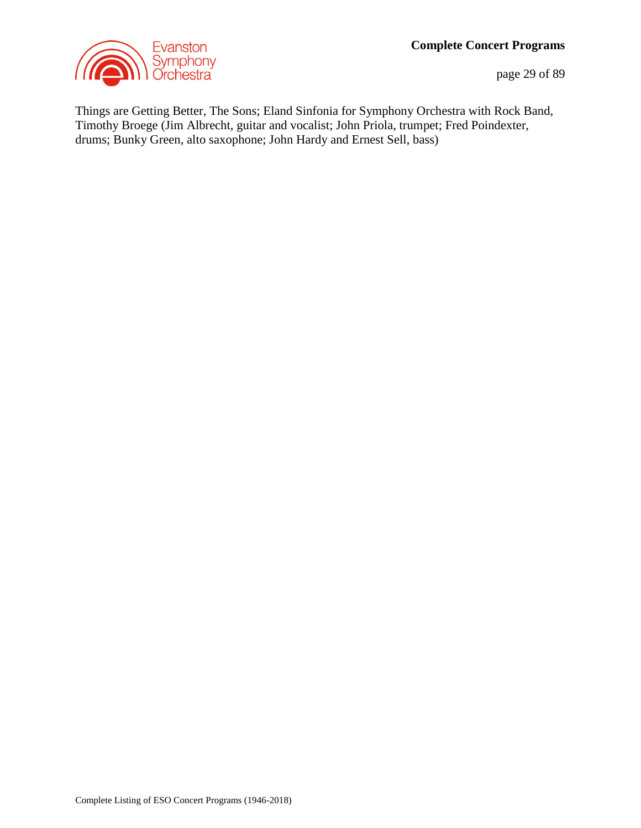**Complete Concert Programs**



page 29 of 89

Things are Getting Better, The Sons; Eland Sinfonia for Symphony Orchestra with Rock Band, Timothy Broege (Jim Albrecht, guitar and vocalist; John Priola, trumpet; Fred Poindexter, drums; Bunky Green, alto saxophone; John Hardy and Ernest Sell, bass)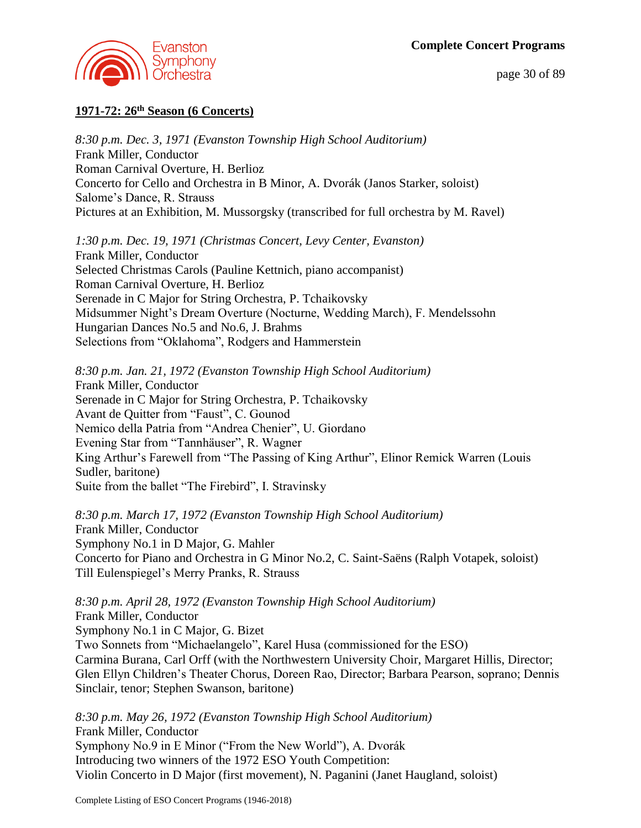

page 30 of 89

# **1971-72: 26th Season (6 Concerts)**

*8:30 p.m. Dec. 3, 1971 (Evanston Township High School Auditorium)* Frank Miller, Conductor Roman Carnival Overture, H. Berlioz Concerto for Cello and Orchestra in B Minor, A. Dvorák (Janos Starker, soloist) Salome's Dance, R. Strauss Pictures at an Exhibition, M. Mussorgsky (transcribed for full orchestra by M. Ravel)

*1:30 p.m. Dec. 19, 1971 (Christmas Concert, Levy Center, Evanston)* Frank Miller, Conductor Selected Christmas Carols (Pauline Kettnich, piano accompanist) Roman Carnival Overture, H. Berlioz Serenade in C Major for String Orchestra, P. Tchaikovsky Midsummer Night's Dream Overture (Nocturne, Wedding March), F. Mendelssohn Hungarian Dances No.5 and No.6, J. Brahms Selections from "Oklahoma", Rodgers and Hammerstein

*8:30 p.m. Jan. 21, 1972 (Evanston Township High School Auditorium)* Frank Miller, Conductor Serenade in C Major for String Orchestra, P. Tchaikovsky Avant de Quitter from "Faust", C. Gounod Nemico della Patria from "Andrea Chenier", U. Giordano Evening Star from "Tannhäuser", R. Wagner King Arthur's Farewell from "The Passing of King Arthur", Elinor Remick Warren (Louis Sudler, baritone) Suite from the ballet "The Firebird", I. Stravinsky

*8:30 p.m. March 17, 1972 (Evanston Township High School Auditorium)* Frank Miller, Conductor Symphony No.1 in D Major, G. Mahler Concerto for Piano and Orchestra in G Minor No.2, C. Saint-Saëns (Ralph Votapek, soloist) Till Eulenspiegel's Merry Pranks, R. Strauss

*8:30 p.m. April 28, 1972 (Evanston Township High School Auditorium)* Frank Miller, Conductor Symphony No.1 in C Major, G. Bizet Two Sonnets from "Michaelangelo", Karel Husa (commissioned for the ESO) Carmina Burana, Carl Orff (with the Northwestern University Choir, Margaret Hillis, Director; Glen Ellyn Children's Theater Chorus, Doreen Rao, Director; Barbara Pearson, soprano; Dennis

*8:30 p.m. May 26, 1972 (Evanston Township High School Auditorium)* Frank Miller, Conductor Symphony No.9 in E Minor ("From the New World"), A. Dvorák Introducing two winners of the 1972 ESO Youth Competition: Violin Concerto in D Major (first movement), N. Paganini (Janet Haugland, soloist)

Sinclair, tenor; Stephen Swanson, baritone)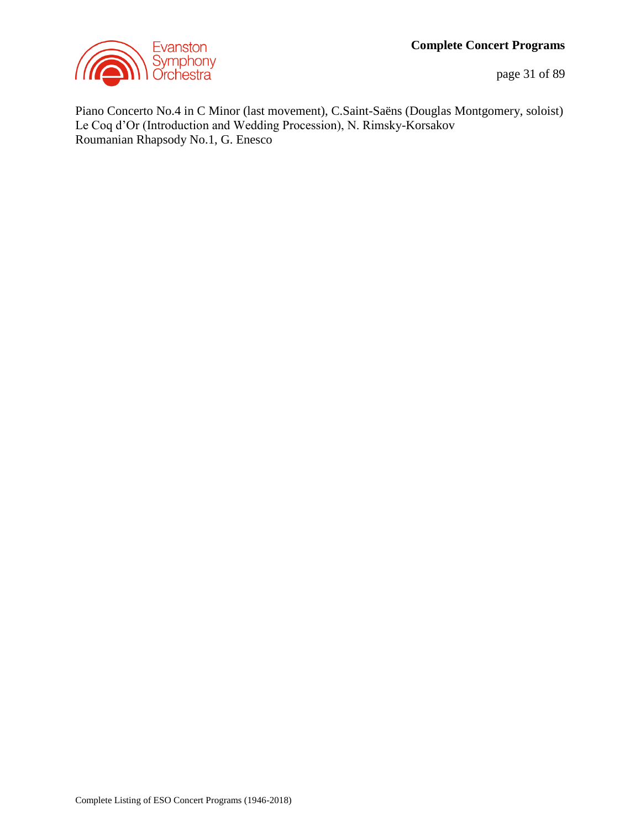**Complete Concert Programs**



page 31 of 89

Piano Concerto No.4 in C Minor (last movement), C.Saint-Saëns (Douglas Montgomery, soloist) Le Coq d'Or (Introduction and Wedding Procession), N. Rimsky-Korsakov Roumanian Rhapsody No.1, G. Enesco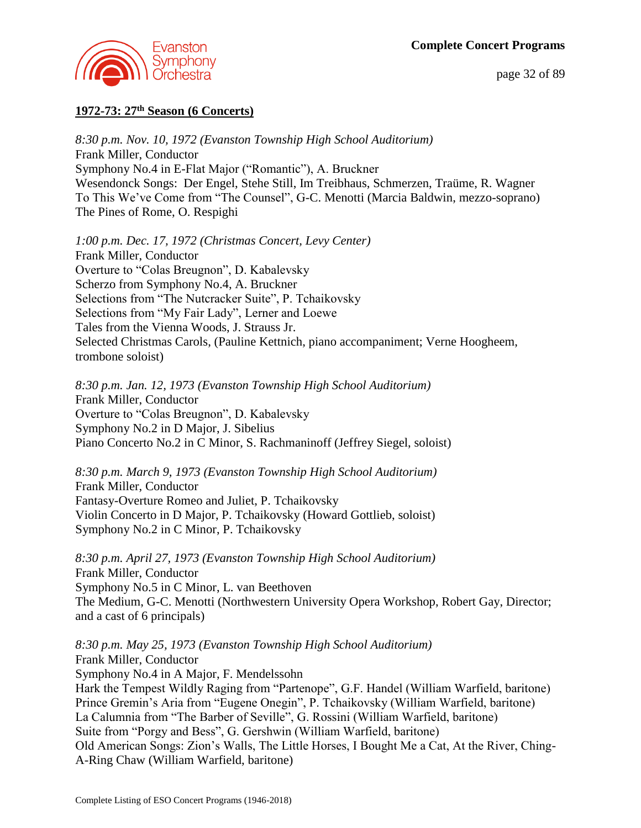

page 32 of 89

# **1972-73: 27th Season (6 Concerts)**

*8:30 p.m. Nov. 10, 1972 (Evanston Township High School Auditorium)* Frank Miller, Conductor Symphony No.4 in E-Flat Major ("Romantic"), A. Bruckner Wesendonck Songs: Der Engel, Stehe Still, Im Treibhaus, Schmerzen, Traüme, R. Wagner To This We've Come from "The Counsel", G-C. Menotti (Marcia Baldwin, mezzo-soprano) The Pines of Rome, O. Respighi

*1:00 p.m. Dec. 17, 1972 (Christmas Concert, Levy Center)* Frank Miller, Conductor Overture to "Colas Breugnon", D. Kabalevsky Scherzo from Symphony No.4, A. Bruckner Selections from "The Nutcracker Suite", P. Tchaikovsky Selections from "My Fair Lady", Lerner and Loewe Tales from the Vienna Woods, J. Strauss Jr. Selected Christmas Carols, (Pauline Kettnich, piano accompaniment; Verne Hoogheem, trombone soloist)

*8:30 p.m. Jan. 12, 1973 (Evanston Township High School Auditorium)* Frank Miller, Conductor Overture to "Colas Breugnon", D. Kabalevsky Symphony No.2 in D Major, J. Sibelius Piano Concerto No.2 in C Minor, S. Rachmaninoff (Jeffrey Siegel, soloist)

*8:30 p.m. March 9, 1973 (Evanston Township High School Auditorium)* Frank Miller, Conductor Fantasy-Overture Romeo and Juliet, P. Tchaikovsky Violin Concerto in D Major, P. Tchaikovsky (Howard Gottlieb, soloist) Symphony No.2 in C Minor, P. Tchaikovsky

*8:30 p.m. April 27, 1973 (Evanston Township High School Auditorium)* Frank Miller, Conductor Symphony No.5 in C Minor, L. van Beethoven The Medium, G-C. Menotti (Northwestern University Opera Workshop, Robert Gay, Director; and a cast of 6 principals)

*8:30 p.m. May 25, 1973 (Evanston Township High School Auditorium)* Frank Miller, Conductor Symphony No.4 in A Major, F. Mendelssohn Hark the Tempest Wildly Raging from "Partenope", G.F. Handel (William Warfield, baritone) Prince Gremin's Aria from "Eugene Onegin", P. Tchaikovsky (William Warfield, baritone) La Calumnia from "The Barber of Seville", G. Rossini (William Warfield, baritone) Suite from "Porgy and Bess", G. Gershwin (William Warfield, baritone) Old American Songs: Zion's Walls, The Little Horses, I Bought Me a Cat, At the River, Ching-A-Ring Chaw (William Warfield, baritone)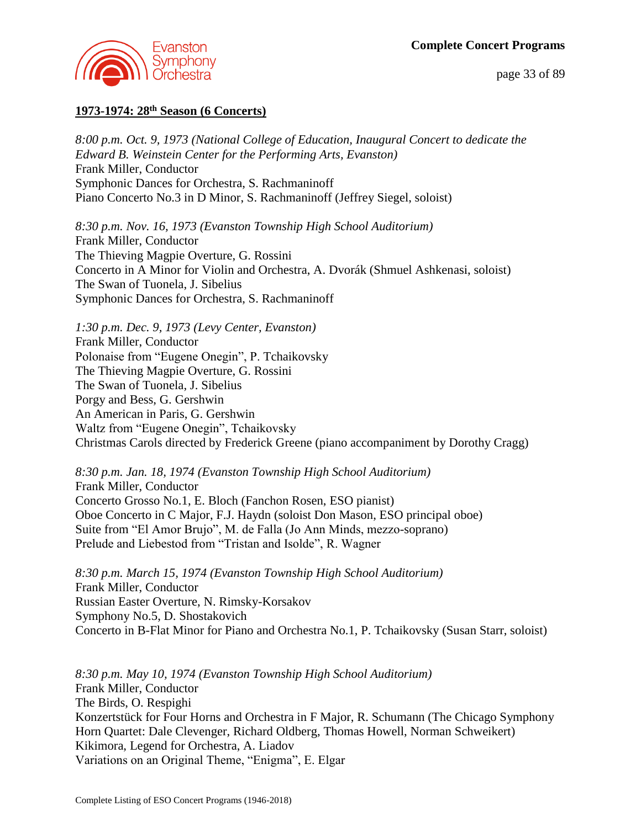

page 33 of 89

## **1973-1974: 28th Season (6 Concerts)**

*8:00 p.m. Oct. 9, 1973 (National College of Education, Inaugural Concert to dedicate the Edward B. Weinstein Center for the Performing Arts, Evanston)* Frank Miller, Conductor Symphonic Dances for Orchestra, S. Rachmaninoff Piano Concerto No.3 in D Minor, S. Rachmaninoff (Jeffrey Siegel, soloist)

*8:30 p.m. Nov. 16, 1973 (Evanston Township High School Auditorium)* Frank Miller, Conductor The Thieving Magpie Overture, G. Rossini Concerto in A Minor for Violin and Orchestra, A. Dvorák (Shmuel Ashkenasi, soloist) The Swan of Tuonela, J. Sibelius Symphonic Dances for Orchestra, S. Rachmaninoff

*1:30 p.m. Dec. 9, 1973 (Levy Center, Evanston)* Frank Miller, Conductor Polonaise from "Eugene Onegin", P. Tchaikovsky The Thieving Magpie Overture, G. Rossini The Swan of Tuonela, J. Sibelius Porgy and Bess, G. Gershwin An American in Paris, G. Gershwin Waltz from "Eugene Onegin", Tchaikovsky Christmas Carols directed by Frederick Greene (piano accompaniment by Dorothy Cragg)

*8:30 p.m. Jan. 18, 1974 (Evanston Township High School Auditorium)* Frank Miller, Conductor Concerto Grosso No.1, E. Bloch (Fanchon Rosen, ESO pianist) Oboe Concerto in C Major, F.J. Haydn (soloist Don Mason, ESO principal oboe) Suite from "El Amor Brujo", M. de Falla (Jo Ann Minds, mezzo-soprano) Prelude and Liebestod from "Tristan and Isolde", R. Wagner

*8:30 p.m. March 15, 1974 (Evanston Township High School Auditorium)* Frank Miller, Conductor Russian Easter Overture, N. Rimsky-Korsakov Symphony No.5, D. Shostakovich Concerto in B-Flat Minor for Piano and Orchestra No.1, P. Tchaikovsky (Susan Starr, soloist)

*8:30 p.m. May 10, 1974 (Evanston Township High School Auditorium)* Frank Miller, Conductor The Birds, O. Respighi Konzertstück for Four Horns and Orchestra in F Major, R. Schumann (The Chicago Symphony Horn Quartet: Dale Clevenger, Richard Oldberg, Thomas Howell, Norman Schweikert) Kikimora, Legend for Orchestra, A. Liadov Variations on an Original Theme, "Enigma", E. Elgar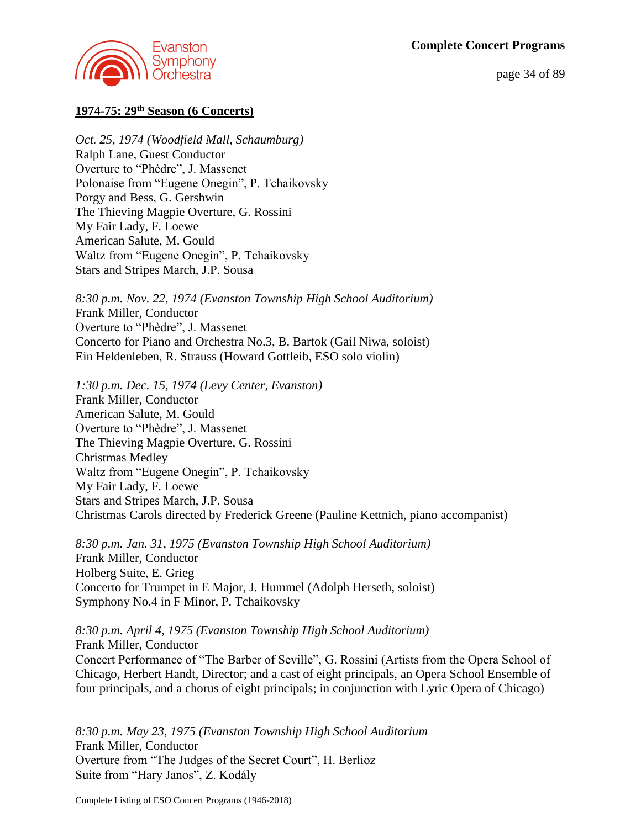

page 34 of 89

# **1974-75: 29 th Season (6 Concerts)**

*Oct. 25, 1974 (Woodfield Mall, Schaumburg)* Ralph Lane, Guest Conductor Overture to "Phèdre", J. Massenet Polonaise from "Eugene Onegin", P. Tchaikovsky Porgy and Bess, G. Gershwin The Thieving Magpie Overture, G. Rossini My Fair Lady, F. Loewe American Salute, M. Gould Waltz from "Eugene Onegin", P. Tchaikovsky Stars and Stripes March, J.P. Sousa

*8:30 p.m. Nov. 22, 1974 (Evanston Township High School Auditorium)* Frank Miller, Conductor Overture to "Phèdre", J. Massenet Concerto for Piano and Orchestra No.3, B. Bartok (Gail Niwa, soloist) Ein Heldenleben, R. Strauss (Howard Gottleib, ESO solo violin)

*1:30 p.m. Dec. 15, 1974 (Levy Center, Evanston)* Frank Miller, Conductor American Salute, M. Gould Overture to "Phèdre", J. Massenet The Thieving Magpie Overture, G. Rossini Christmas Medley Waltz from "Eugene Onegin", P. Tchaikovsky My Fair Lady, F. Loewe Stars and Stripes March, J.P. Sousa Christmas Carols directed by Frederick Greene (Pauline Kettnich, piano accompanist)

*8:30 p.m. Jan. 31, 1975 (Evanston Township High School Auditorium)* Frank Miller, Conductor Holberg Suite, E. Grieg Concerto for Trumpet in E Major, J. Hummel (Adolph Herseth, soloist) Symphony No.4 in F Minor, P. Tchaikovsky

*8:30 p.m. April 4, 1975 (Evanston Township High School Auditorium)* Frank Miller, Conductor

Concert Performance of "The Barber of Seville", G. Rossini (Artists from the Opera School of Chicago, Herbert Handt, Director; and a cast of eight principals, an Opera School Ensemble of four principals, and a chorus of eight principals; in conjunction with Lyric Opera of Chicago)

*8:30 p.m. May 23, 1975 (Evanston Township High School Auditorium* Frank Miller, Conductor Overture from "The Judges of the Secret Court", H. Berlioz Suite from "Hary Janos", Z. Kodály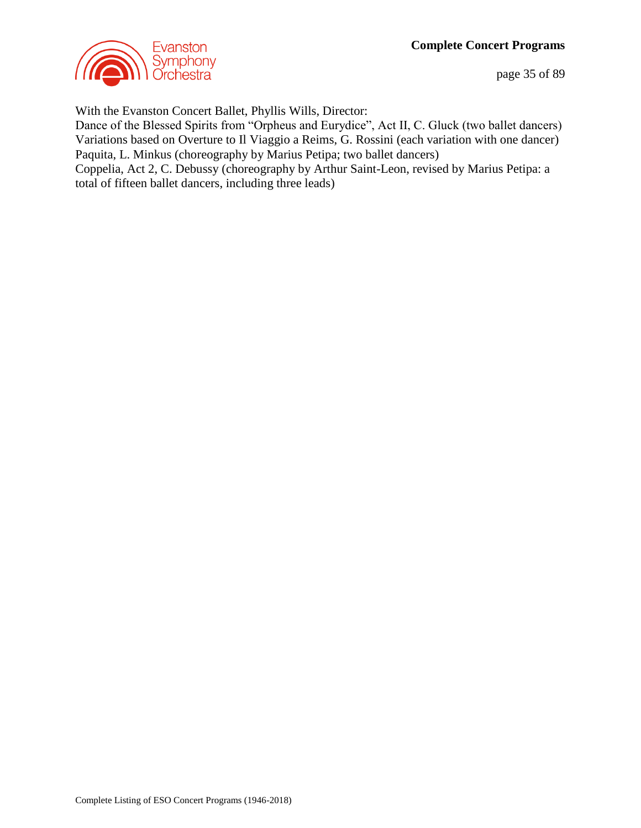

page 35 of 89

With the Evanston Concert Ballet, Phyllis Wills, Director:

Dance of the Blessed Spirits from "Orpheus and Eurydice", Act II, C. Gluck (two ballet dancers) Variations based on Overture to Il Viaggio a Reims, G. Rossini (each variation with one dancer) Paquita, L. Minkus (choreography by Marius Petipa; two ballet dancers)

Coppelia, Act 2, C. Debussy (choreography by Arthur Saint-Leon, revised by Marius Petipa: a total of fifteen ballet dancers, including three leads)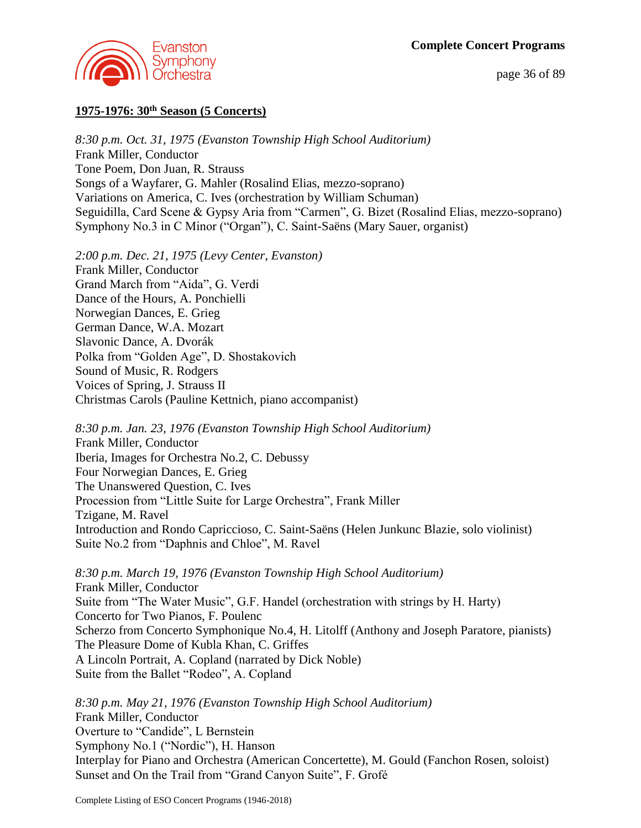

page 36 of 89

# **1975-1976: 30th Season (5 Concerts)**

*8:30 p.m. Oct. 31, 1975 (Evanston Township High School Auditorium)* Frank Miller, Conductor Tone Poem, Don Juan, R. Strauss Songs of a Wayfarer, G. Mahler (Rosalind Elias, mezzo-soprano) Variations on America, C. Ives (orchestration by William Schuman) Seguidilla, Card Scene & Gypsy Aria from "Carmen", G. Bizet (Rosalind Elias, mezzo-soprano) Symphony No.3 in C Minor ("Organ"), C. Saint-Saëns (Mary Sauer, organist)

*2:00 p.m. Dec. 21, 1975 (Levy Center, Evanston)* Frank Miller, Conductor Grand March from "Aida", G. Verdi Dance of the Hours, A. Ponchielli Norwegian Dances, E. Grieg German Dance, W.A. Mozart Slavonic Dance, A. Dvorák Polka from "Golden Age", D. Shostakovich Sound of Music, R. Rodgers Voices of Spring, J. Strauss II Christmas Carols (Pauline Kettnich, piano accompanist)

*8:30 p.m. Jan. 23, 1976 (Evanston Township High School Auditorium)* Frank Miller, Conductor Iberia, Images for Orchestra No.2, C. Debussy Four Norwegian Dances, E. Grieg The Unanswered Question, C. Ives Procession from "Little Suite for Large Orchestra", Frank Miller Tzigane, M. Ravel Introduction and Rondo Capriccioso, C. Saint-Saëns (Helen Junkunc Blazie, solo violinist) Suite No.2 from "Daphnis and Chloe", M. Ravel

*8:30 p.m. March 19, 1976 (Evanston Township High School Auditorium)* Frank Miller, Conductor Suite from "The Water Music", G.F. Handel (orchestration with strings by H. Harty) Concerto for Two Pianos, F. Poulenc Scherzo from Concerto Symphonique No.4, H. Litolff (Anthony and Joseph Paratore, pianists) The Pleasure Dome of Kubla Khan, C. Griffes A Lincoln Portrait, A. Copland (narrated by Dick Noble) Suite from the Ballet "Rodeo", A. Copland

*8:30 p.m. May 21, 1976 (Evanston Township High School Auditorium)* Frank Miller, Conductor Overture to "Candide", L Bernstein Symphony No.1 ("Nordic"), H. Hanson Interplay for Piano and Orchestra (American Concertette), M. Gould (Fanchon Rosen, soloist) Sunset and On the Trail from "Grand Canyon Suite", F. Grofé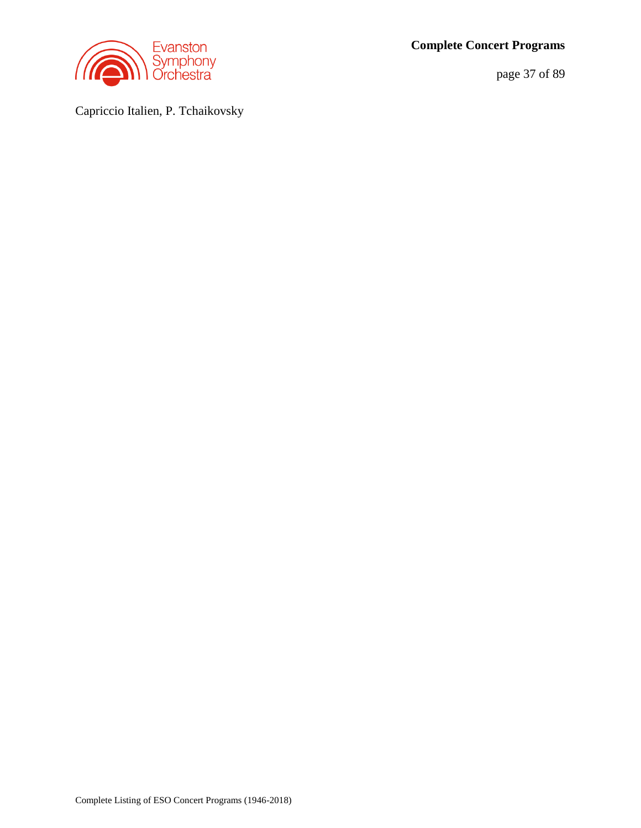

 **Complete Concert Programs**

page 37 of 89

Capriccio Italien, P. Tchaikovsky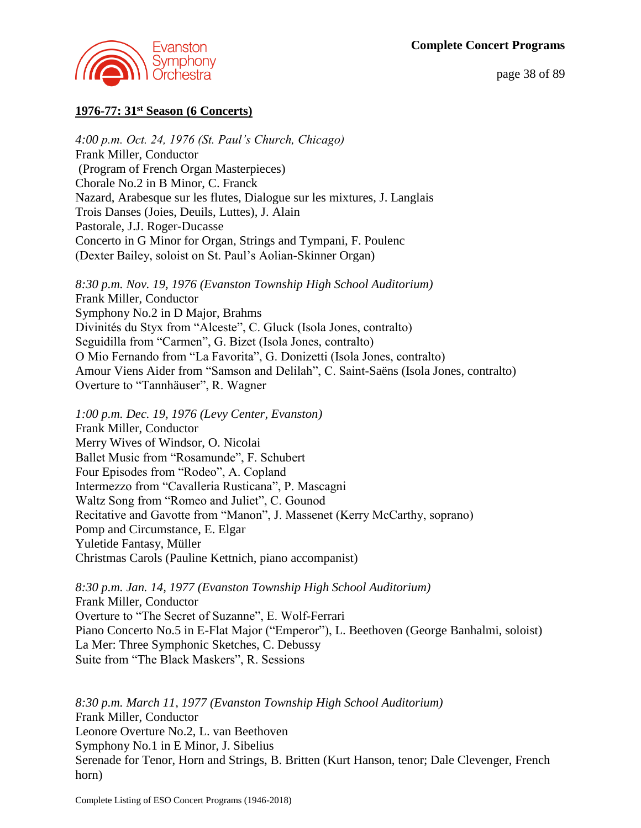

page 38 of 89

### **1976-77: 31st Season (6 Concerts)**

*4:00 p.m. Oct. 24, 1976 (St. Paul's Church, Chicago)* Frank Miller, Conductor (Program of French Organ Masterpieces) Chorale No.2 in B Minor, C. Franck Nazard, Arabesque sur les flutes, Dialogue sur les mixtures, J. Langlais Trois Danses (Joies, Deuils, Luttes), J. Alain Pastorale, J.J. Roger-Ducasse Concerto in G Minor for Organ, Strings and Tympani, F. Poulenc (Dexter Bailey, soloist on St. Paul's Aolian-Skinner Organ)

*8:30 p.m. Nov. 19, 1976 (Evanston Township High School Auditorium)* Frank Miller, Conductor Symphony No.2 in D Major, Brahms Divinités du Styx from "Alceste", C. Gluck (Isola Jones, contralto) Seguidilla from "Carmen", G. Bizet (Isola Jones, contralto) O Mio Fernando from "La Favorita", G. Donizetti (Isola Jones, contralto) Amour Viens Aider from "Samson and Delilah", C. Saint-Saëns (Isola Jones, contralto) Overture to "Tannhäuser", R. Wagner

*1:00 p.m. Dec. 19, 1976 (Levy Center, Evanston)* Frank Miller, Conductor Merry Wives of Windsor, O. Nicolai Ballet Music from "Rosamunde", F. Schubert Four Episodes from "Rodeo", A. Copland Intermezzo from "Cavalleria Rusticana", P. Mascagni Waltz Song from "Romeo and Juliet", C. Gounod Recitative and Gavotte from "Manon", J. Massenet (Kerry McCarthy, soprano) Pomp and Circumstance, E. Elgar Yuletide Fantasy, Müller Christmas Carols (Pauline Kettnich, piano accompanist)

*8:30 p.m. Jan. 14, 1977 (Evanston Township High School Auditorium)* Frank Miller, Conductor Overture to "The Secret of Suzanne", E. Wolf-Ferrari Piano Concerto No.5 in E-Flat Major ("Emperor"), L. Beethoven (George Banhalmi, soloist) La Mer: Three Symphonic Sketches, C. Debussy Suite from "The Black Maskers", R. Sessions

*8:30 p.m. March 11, 1977 (Evanston Township High School Auditorium)* Frank Miller, Conductor Leonore Overture No.2, L. van Beethoven Symphony No.1 in E Minor, J. Sibelius Serenade for Tenor, Horn and Strings, B. Britten (Kurt Hanson, tenor; Dale Clevenger, French horn)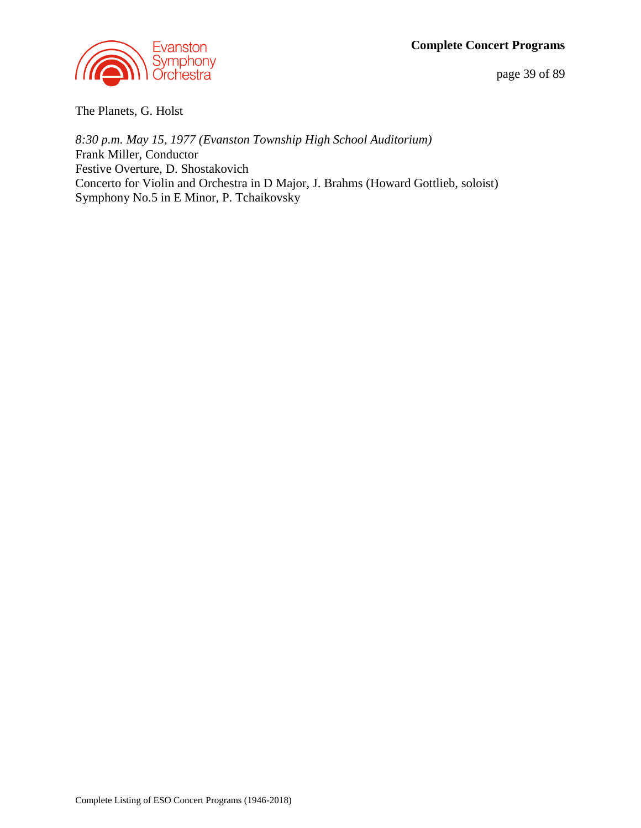

page 39 of 89

The Planets, G. Holst

*8:30 p.m. May 15, 1977 (Evanston Township High School Auditorium)* Frank Miller, Conductor Festive Overture, D. Shostakovich Concerto for Violin and Orchestra in D Major, J. Brahms (Howard Gottlieb, soloist) Symphony No.5 in E Minor, P. Tchaikovsky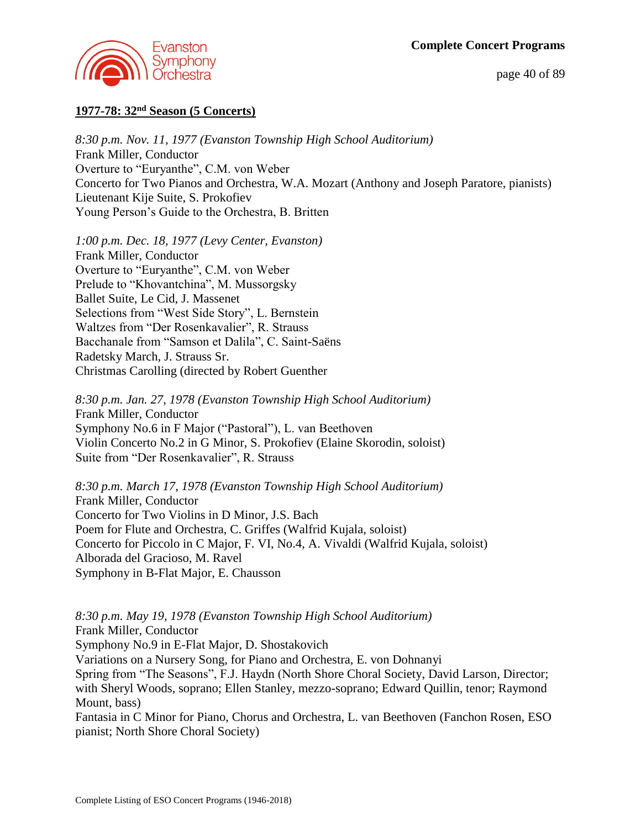

page 40 of 89

## **1977-78: 32nd Season (5 Concerts)**

*8:30 p.m. Nov. 11, 1977 (Evanston Township High School Auditorium)* Frank Miller, Conductor Overture to "Euryanthe", C.M. von Weber Concerto for Two Pianos and Orchestra, W.A. Mozart (Anthony and Joseph Paratore, pianists) Lieutenant Kije Suite, S. Prokofiev Young Person's Guide to the Orchestra, B. Britten

*1:00 p.m. Dec. 18, 1977 (Levy Center, Evanston)* Frank Miller, Conductor Overture to "Euryanthe", C.M. von Weber Prelude to "Khovantchina", M. Mussorgsky Ballet Suite, Le Cid, J. Massenet Selections from "West Side Story", L. Bernstein Waltzes from "Der Rosenkavalier", R. Strauss Bacchanale from "Samson et Dalila", C. Saint-Saëns Radetsky March, J. Strauss Sr. Christmas Carolling (directed by Robert Guenther

*8:30 p.m. Jan. 27, 1978 (Evanston Township High School Auditorium)* Frank Miller, Conductor Symphony No.6 in F Major ("Pastoral"), L. van Beethoven Violin Concerto No.2 in G Minor, S. Prokofiev (Elaine Skorodin, soloist) Suite from "Der Rosenkavalier", R. Strauss

*8:30 p.m. March 17, 1978 (Evanston Township High School Auditorium)* Frank Miller, Conductor Concerto for Two Violins in D Minor, J.S. Bach Poem for Flute and Orchestra, C. Griffes (Walfrid Kujala, soloist) Concerto for Piccolo in C Major, F. VI, No.4, A. Vivaldi (Walfrid Kujala, soloist) Alborada del Gracioso, M. Ravel Symphony in B-Flat Major, E. Chausson

*8:30 p.m. May 19, 1978 (Evanston Township High School Auditorium)* Frank Miller, Conductor Symphony No.9 in E-Flat Major, D. Shostakovich Variations on a Nursery Song, for Piano and Orchestra, E. von Dohnanyi Spring from "The Seasons", F.J. Haydn (North Shore Choral Society, David Larson, Director; with Sheryl Woods, soprano; Ellen Stanley, mezzo-soprano; Edward Quillin, tenor; Raymond Mount, bass) Fantasia in C Minor for Piano, Chorus and Orchestra, L. van Beethoven (Fanchon Rosen, ESO pianist; North Shore Choral Society)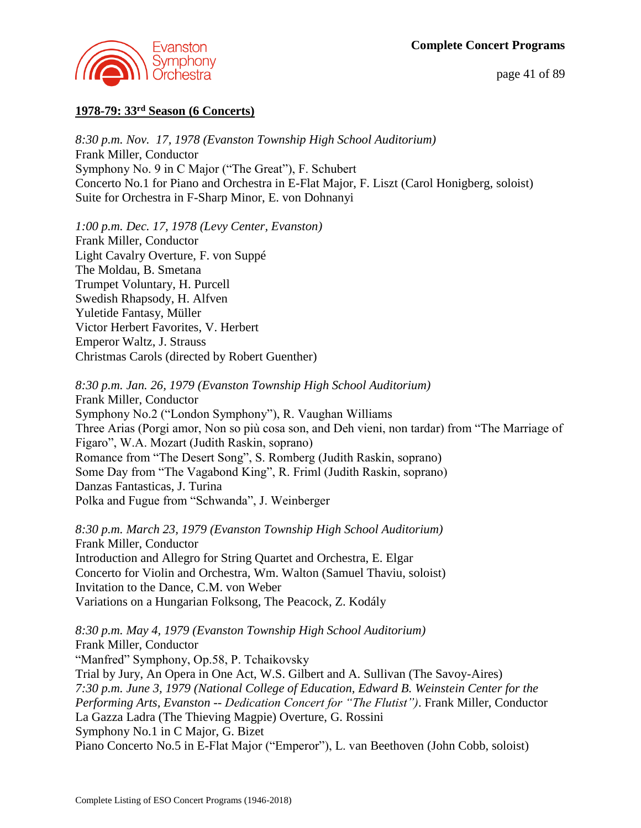

page 41 of 89

## **1978-79: 33rd Season (6 Concerts)**

*8:30 p.m. Nov. 17, 1978 (Evanston Township High School Auditorium)* Frank Miller, Conductor Symphony No. 9 in C Major ("The Great"), F. Schubert Concerto No.1 for Piano and Orchestra in E-Flat Major, F. Liszt (Carol Honigberg, soloist) Suite for Orchestra in F-Sharp Minor, E. von Dohnanyi

*1:00 p.m. Dec. 17, 1978 (Levy Center, Evanston)* Frank Miller, Conductor Light Cavalry Overture, F. von Suppé The Moldau, B. Smetana Trumpet Voluntary, H. Purcell Swedish Rhapsody, H. Alfven Yuletide Fantasy, Müller Victor Herbert Favorites, V. Herbert Emperor Waltz, J. Strauss Christmas Carols (directed by Robert Guenther)

*8:30 p.m. Jan. 26, 1979 (Evanston Township High School Auditorium)* Frank Miller, Conductor Symphony No.2 ("London Symphony"), R. Vaughan Williams Three Arias (Porgi amor, Non so più cosa son, and Deh vieni, non tardar) from "The Marriage of Figaro", W.A. Mozart (Judith Raskin, soprano) Romance from "The Desert Song", S. Romberg (Judith Raskin, soprano) Some Day from "The Vagabond King", R. Friml (Judith Raskin, soprano) Danzas Fantasticas, J. Turina Polka and Fugue from "Schwanda", J. Weinberger

*8:30 p.m. March 23, 1979 (Evanston Township High School Auditorium)* Frank Miller, Conductor Introduction and Allegro for String Quartet and Orchestra, E. Elgar Concerto for Violin and Orchestra, Wm. Walton (Samuel Thaviu, soloist) Invitation to the Dance, C.M. von Weber Variations on a Hungarian Folksong, The Peacock, Z. Kodály

*8:30 p.m. May 4, 1979 (Evanston Township High School Auditorium)* Frank Miller, Conductor "Manfred" Symphony, Op.58, P. Tchaikovsky Trial by Jury, An Opera in One Act, W.S. Gilbert and A. Sullivan (The Savoy-Aires) *7:30 p.m. June 3, 1979 (National College of Education, Edward B. Weinstein Center for the Performing Arts, Evanston -- Dedication Concert for "The Flutist")*. Frank Miller, Conductor La Gazza Ladra (The Thieving Magpie) Overture, G. Rossini Symphony No.1 in C Major, G. Bizet Piano Concerto No.5 in E-Flat Major ("Emperor"), L. van Beethoven (John Cobb, soloist)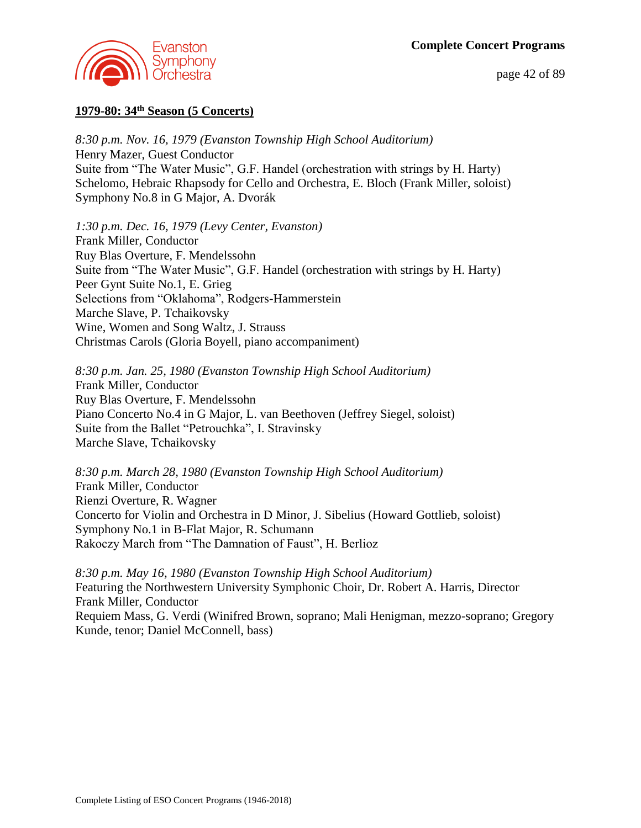

page 42 of 89

### **1979-80: 34th Season (5 Concerts)**

*8:30 p.m. Nov. 16, 1979 (Evanston Township High School Auditorium)* Henry Mazer, Guest Conductor Suite from "The Water Music", G.F. Handel (orchestration with strings by H. Harty) Schelomo, Hebraic Rhapsody for Cello and Orchestra, E. Bloch (Frank Miller, soloist) Symphony No.8 in G Major, A. Dvorák

*1:30 p.m. Dec. 16, 1979 (Levy Center, Evanston)* Frank Miller, Conductor Ruy Blas Overture, F. Mendelssohn Suite from "The Water Music", G.F. Handel (orchestration with strings by H. Harty) Peer Gynt Suite No.1, E. Grieg Selections from "Oklahoma", Rodgers-Hammerstein Marche Slave, P. Tchaikovsky Wine, Women and Song Waltz, J. Strauss Christmas Carols (Gloria Boyell, piano accompaniment)

*8:30 p.m. Jan. 25, 1980 (Evanston Township High School Auditorium)* Frank Miller, Conductor Ruy Blas Overture, F. Mendelssohn Piano Concerto No.4 in G Major, L. van Beethoven (Jeffrey Siegel, soloist) Suite from the Ballet "Petrouchka", I. Stravinsky Marche Slave, Tchaikovsky

*8:30 p.m. March 28, 1980 (Evanston Township High School Auditorium)* Frank Miller, Conductor Rienzi Overture, R. Wagner Concerto for Violin and Orchestra in D Minor, J. Sibelius (Howard Gottlieb, soloist) Symphony No.1 in B-Flat Major, R. Schumann Rakoczy March from "The Damnation of Faust", H. Berlioz

*8:30 p.m. May 16, 1980 (Evanston Township High School Auditorium)* Featuring the Northwestern University Symphonic Choir, Dr. Robert A. Harris, Director Frank Miller, Conductor Requiem Mass, G. Verdi (Winifred Brown, soprano; Mali Henigman, mezzo-soprano; Gregory Kunde, tenor; Daniel McConnell, bass)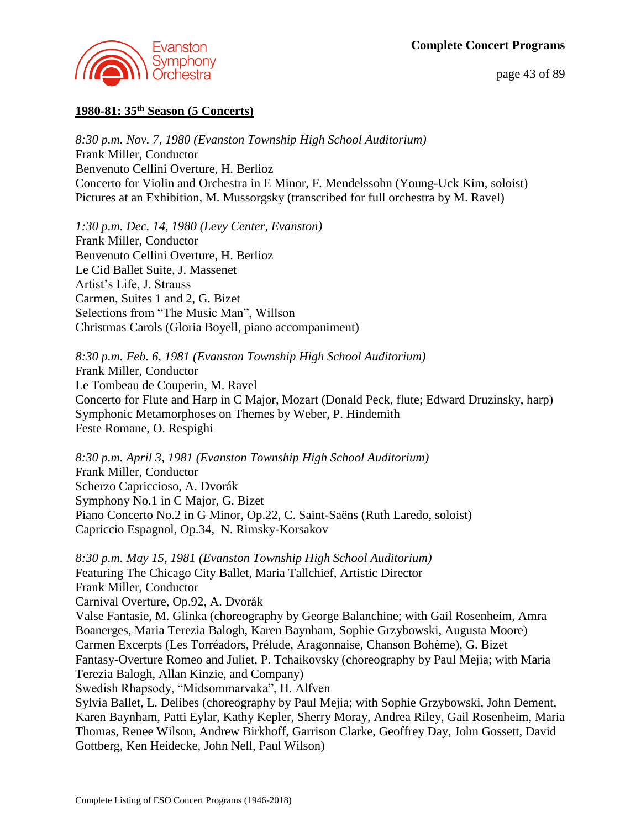

page 43 of 89

### **1980-81: 35th Season (5 Concerts)**

*8:30 p.m. Nov. 7, 1980 (Evanston Township High School Auditorium)* Frank Miller, Conductor Benvenuto Cellini Overture, H. Berlioz Concerto for Violin and Orchestra in E Minor, F. Mendelssohn (Young-Uck Kim, soloist) Pictures at an Exhibition, M. Mussorgsky (transcribed for full orchestra by M. Ravel)

*1:30 p.m. Dec. 14, 1980 (Levy Center, Evanston)* Frank Miller, Conductor Benvenuto Cellini Overture, H. Berlioz Le Cid Ballet Suite, J. Massenet Artist's Life, J. Strauss Carmen, Suites 1 and 2, G. Bizet Selections from "The Music Man", Willson Christmas Carols (Gloria Boyell, piano accompaniment)

*8:30 p.m. Feb. 6, 1981 (Evanston Township High School Auditorium)* Frank Miller, Conductor Le Tombeau de Couperin, M. Ravel Concerto for Flute and Harp in C Major, Mozart (Donald Peck, flute; Edward Druzinsky, harp) Symphonic Metamorphoses on Themes by Weber, P. Hindemith Feste Romane, O. Respighi

*8:30 p.m. April 3, 1981 (Evanston Township High School Auditorium)* Frank Miller, Conductor Scherzo Capriccioso, A. Dvorák Symphony No.1 in C Major, G. Bizet Piano Concerto No.2 in G Minor, Op.22, C. Saint-Saëns (Ruth Laredo, soloist) Capriccio Espagnol, Op.34, N. Rimsky-Korsakov

*8:30 p.m. May 15, 1981 (Evanston Township High School Auditorium)* Featuring The Chicago City Ballet, Maria Tallchief, Artistic Director Frank Miller, Conductor Carnival Overture, Op.92, A. Dvorák Valse Fantasie, M. Glinka (choreography by George Balanchine; with Gail Rosenheim, Amra Boanerges, Maria Terezia Balogh, Karen Baynham, Sophie Grzybowski, Augusta Moore) Carmen Excerpts (Les Torréadors, Prélude, Aragonnaise, Chanson Bohème), G. Bizet Fantasy-Overture Romeo and Juliet, P. Tchaikovsky (choreography by Paul Mejia; with Maria Terezia Balogh, Allan Kinzie, and Company) Swedish Rhapsody, "Midsommarvaka", H. Alfven Sylvia Ballet, L. Delibes (choreography by Paul Mejia; with Sophie Grzybowski, John Dement, Karen Baynham, Patti Eylar, Kathy Kepler, Sherry Moray, Andrea Riley, Gail Rosenheim, Maria Thomas, Renee Wilson, Andrew Birkhoff, Garrison Clarke, Geoffrey Day, John Gossett, David Gottberg, Ken Heidecke, John Nell, Paul Wilson)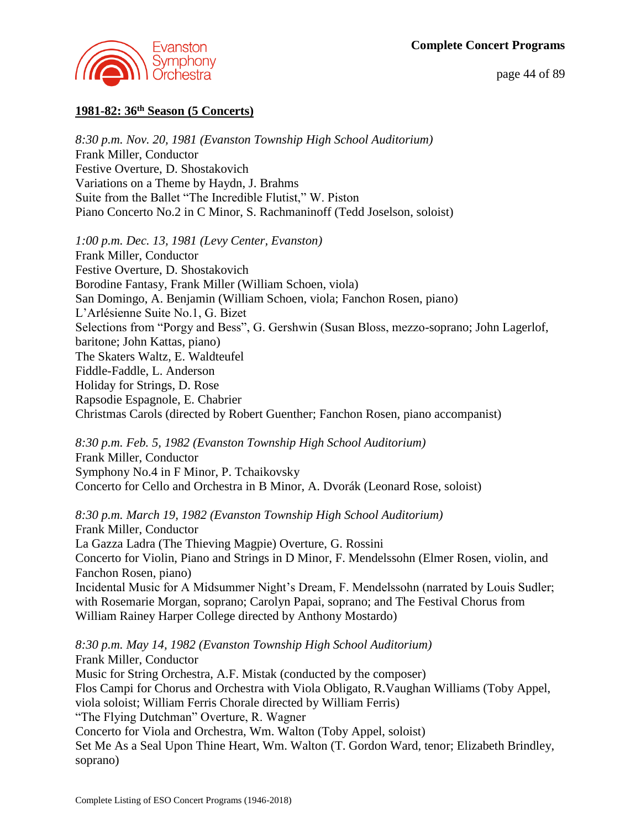

page 44 of 89

## **1981-82: 36th Season (5 Concerts)**

*8:30 p.m. Nov. 20, 1981 (Evanston Township High School Auditorium)* Frank Miller, Conductor Festive Overture, D. Shostakovich Variations on a Theme by Haydn, J. Brahms Suite from the Ballet "The Incredible Flutist," W. Piston Piano Concerto No.2 in C Minor, S. Rachmaninoff (Tedd Joselson, soloist)

*1:00 p.m. Dec. 13, 1981 (Levy Center, Evanston)* Frank Miller, Conductor Festive Overture, D. Shostakovich Borodine Fantasy, Frank Miller (William Schoen, viola) San Domingo, A. Benjamin (William Schoen, viola; Fanchon Rosen, piano) L'Arlésienne Suite No.1, G. Bizet Selections from "Porgy and Bess", G. Gershwin (Susan Bloss, mezzo-soprano; John Lagerlof, baritone; John Kattas, piano) The Skaters Waltz, E. Waldteufel Fiddle-Faddle, L. Anderson Holiday for Strings, D. Rose Rapsodie Espagnole, E. Chabrier Christmas Carols (directed by Robert Guenther; Fanchon Rosen, piano accompanist)

*8:30 p.m. Feb. 5, 1982 (Evanston Township High School Auditorium)* Frank Miller, Conductor Symphony No.4 in F Minor, P. Tchaikovsky Concerto for Cello and Orchestra in B Minor, A. Dvorák (Leonard Rose, soloist)

*8:30 p.m. March 19, 1982 (Evanston Township High School Auditorium)* Frank Miller, Conductor La Gazza Ladra (The Thieving Magpie) Overture, G. Rossini Concerto for Violin, Piano and Strings in D Minor, F. Mendelssohn (Elmer Rosen, violin, and Fanchon Rosen, piano) Incidental Music for A Midsummer Night's Dream, F. Mendelssohn (narrated by Louis Sudler; with Rosemarie Morgan, soprano; Carolyn Papai, soprano; and The Festival Chorus from William Rainey Harper College directed by Anthony Mostardo)

*8:30 p.m. May 14, 1982 (Evanston Township High School Auditorium)*

Frank Miller, Conductor Music for String Orchestra, A.F. Mistak (conducted by the composer) Flos Campi for Chorus and Orchestra with Viola Obligato, R.Vaughan Williams (Toby Appel, viola soloist; William Ferris Chorale directed by William Ferris) "The Flying Dutchman" Overture, R. Wagner Concerto for Viola and Orchestra, Wm. Walton (Toby Appel, soloist) Set Me As a Seal Upon Thine Heart, Wm. Walton (T. Gordon Ward, tenor; Elizabeth Brindley, soprano)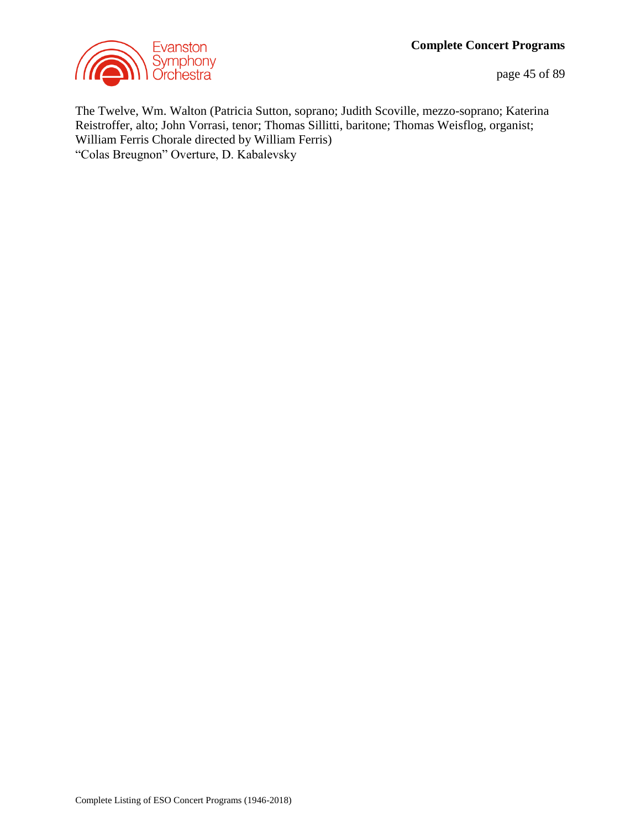**Complete Concert Programs**



page 45 of 89

The Twelve, Wm. Walton (Patricia Sutton, soprano; Judith Scoville, mezzo-soprano; Katerina Reistroffer, alto; John Vorrasi, tenor; Thomas Sillitti, baritone; Thomas Weisflog, organist; William Ferris Chorale directed by William Ferris) "Colas Breugnon" Overture, D. Kabalevsky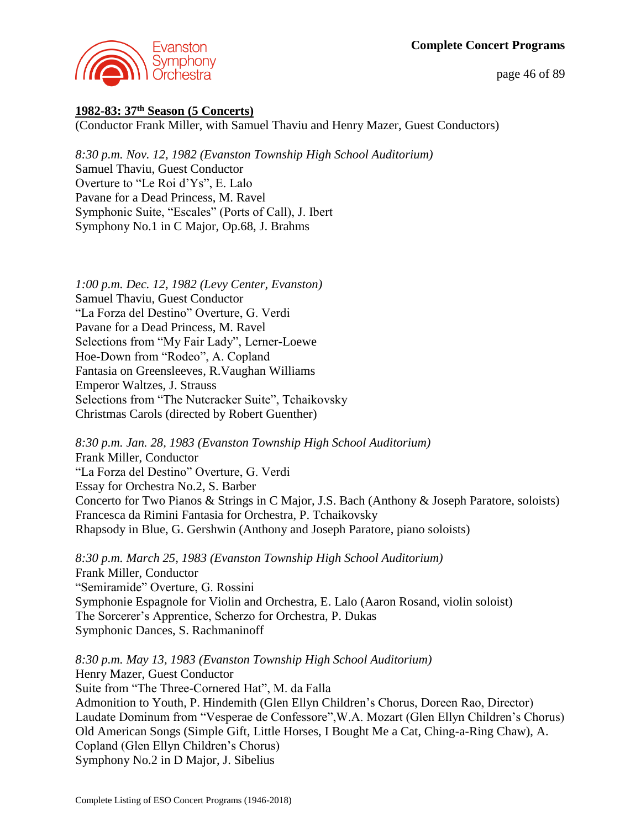

page 46 of 89

### **1982-83: 37th Season (5 Concerts)**

(Conductor Frank Miller, with Samuel Thaviu and Henry Mazer, Guest Conductors)

*8:30 p.m. Nov. 12, 1982 (Evanston Township High School Auditorium)* Samuel Thaviu, Guest Conductor Overture to "Le Roi d'Ys", E. Lalo Pavane for a Dead Princess, M. Ravel Symphonic Suite, "Escales" (Ports of Call), J. Ibert Symphony No.1 in C Major, Op.68, J. Brahms

*1:00 p.m. Dec. 12, 1982 (Levy Center, Evanston)* Samuel Thaviu, Guest Conductor "La Forza del Destino" Overture, G. Verdi Pavane for a Dead Princess, M. Ravel Selections from "My Fair Lady", Lerner-Loewe Hoe-Down from "Rodeo", A. Copland Fantasia on Greensleeves, R.Vaughan Williams Emperor Waltzes, J. Strauss Selections from "The Nutcracker Suite", Tchaikovsky Christmas Carols (directed by Robert Guenther)

*8:30 p.m. Jan. 28, 1983 (Evanston Township High School Auditorium)* Frank Miller, Conductor "La Forza del Destino" Overture, G. Verdi Essay for Orchestra No.2, S. Barber Concerto for Two Pianos & Strings in C Major, J.S. Bach (Anthony & Joseph Paratore, soloists) Francesca da Rimini Fantasia for Orchestra, P. Tchaikovsky Rhapsody in Blue, G. Gershwin (Anthony and Joseph Paratore, piano soloists)

*8:30 p.m. March 25, 1983 (Evanston Township High School Auditorium)* Frank Miller, Conductor "Semiramide" Overture, G. Rossini Symphonie Espagnole for Violin and Orchestra, E. Lalo (Aaron Rosand, violin soloist) The Sorcerer's Apprentice, Scherzo for Orchestra, P. Dukas Symphonic Dances, S. Rachmaninoff

*8:30 p.m. May 13, 1983 (Evanston Township High School Auditorium)* Henry Mazer, Guest Conductor Suite from "The Three-Cornered Hat", M. da Falla Admonition to Youth, P. Hindemith (Glen Ellyn Children's Chorus, Doreen Rao, Director) Laudate Dominum from "Vesperae de Confessore",W.A. Mozart (Glen Ellyn Children's Chorus) Old American Songs (Simple Gift, Little Horses, I Bought Me a Cat, Ching-a-Ring Chaw), A. Copland (Glen Ellyn Children's Chorus) Symphony No.2 in D Major, J. Sibelius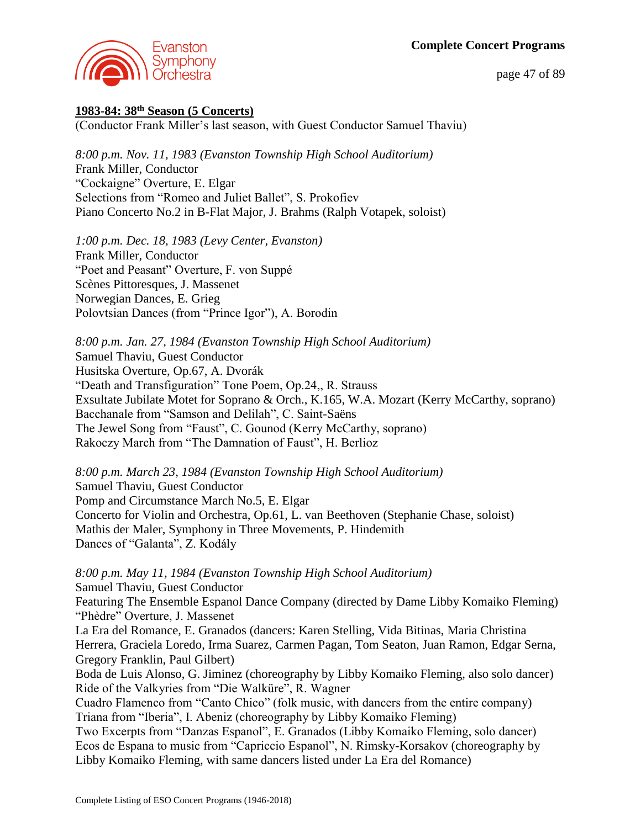

page 47 of 89

#### **1983-84: 38th Season (5 Concerts)**

(Conductor Frank Miller's last season, with Guest Conductor Samuel Thaviu)

*8:00 p.m. Nov. 11, 1983 (Evanston Township High School Auditorium)* Frank Miller, Conductor "Cockaigne" Overture, E. Elgar Selections from "Romeo and Juliet Ballet", S. Prokofiev Piano Concerto No.2 in B-Flat Major, J. Brahms (Ralph Votapek, soloist)

*1:00 p.m. Dec. 18, 1983 (Levy Center, Evanston)* Frank Miller, Conductor "Poet and Peasant" Overture, F. von Suppé Scènes Pittoresques, J. Massenet Norwegian Dances, E. Grieg Polovtsian Dances (from "Prince Igor"), A. Borodin

*8:00 p.m. Jan. 27, 1984 (Evanston Township High School Auditorium)* Samuel Thaviu, Guest Conductor Husitska Overture, Op.67, A. Dvorák "Death and Transfiguration" Tone Poem, Op.24,, R. Strauss Exsultate Jubilate Motet for Soprano & Orch., K.165, W.A. Mozart (Kerry McCarthy, soprano) Bacchanale from "Samson and Delilah", C. Saint-Saëns The Jewel Song from "Faust", C. Gounod (Kerry McCarthy, soprano) Rakoczy March from "The Damnation of Faust", H. Berlioz

*8:00 p.m. March 23, 1984 (Evanston Township High School Auditorium)* Samuel Thaviu, Guest Conductor Pomp and Circumstance March No.5, E. Elgar Concerto for Violin and Orchestra, Op.61, L. van Beethoven (Stephanie Chase, soloist) Mathis der Maler, Symphony in Three Movements, P. Hindemith Dances of "Galanta", Z. Kodály

*8:00 p.m. May 11, 1984 (Evanston Township High School Auditorium)* Samuel Thaviu, Guest Conductor Featuring The Ensemble Espanol Dance Company (directed by Dame Libby Komaiko Fleming) "Phèdre" Overture, J. Massenet La Era del Romance, E. Granados (dancers: Karen Stelling, Vida Bitinas, Maria Christina Herrera, Graciela Loredo, Irma Suarez, Carmen Pagan, Tom Seaton, Juan Ramon, Edgar Serna, Gregory Franklin, Paul Gilbert) Boda de Luis Alonso, G. Jiminez (choreography by Libby Komaiko Fleming, also solo dancer) Ride of the Valkyries from "Die Walküre", R. Wagner Cuadro Flamenco from "Canto Chico" (folk music, with dancers from the entire company) Triana from "Iberia", I. Abeniz (choreography by Libby Komaiko Fleming) Two Excerpts from "Danzas Espanol", E. Granados (Libby Komaiko Fleming, solo dancer) Ecos de Espana to music from "Capriccio Espanol", N. Rimsky-Korsakov (choreography by Libby Komaiko Fleming, with same dancers listed under La Era del Romance)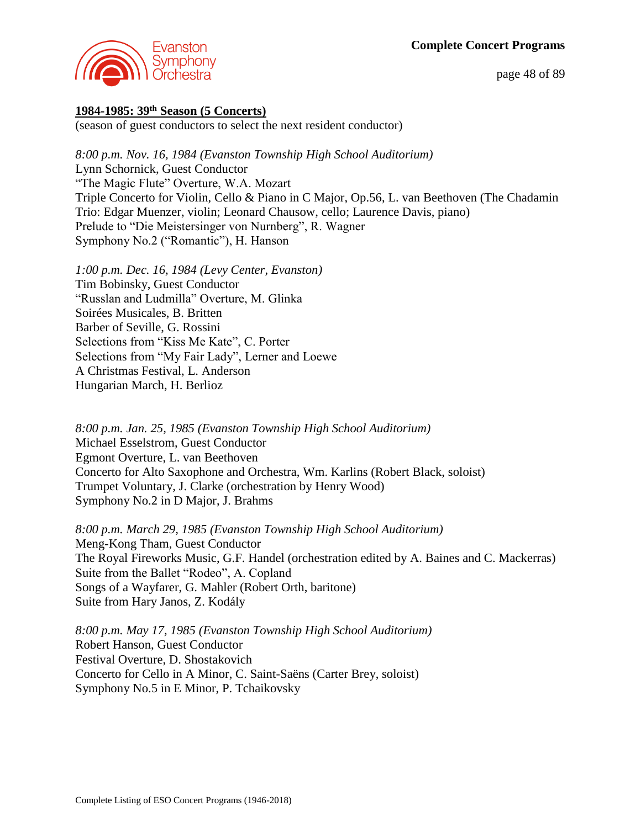

page 48 of 89

#### **1984-1985: 39th Season (5 Concerts)**

(season of guest conductors to select the next resident conductor)

*8:00 p.m. Nov. 16, 1984 (Evanston Township High School Auditorium)* Lynn Schornick, Guest Conductor "The Magic Flute" Overture, W.A. Mozart Triple Concerto for Violin, Cello & Piano in C Major, Op.56, L. van Beethoven (The Chadamin Trio: Edgar Muenzer, violin; Leonard Chausow, cello; Laurence Davis, piano) Prelude to "Die Meistersinger von Nurnberg", R. Wagner Symphony No.2 ("Romantic"), H. Hanson

*1:00 p.m. Dec. 16, 1984 (Levy Center, Evanston)* Tim Bobinsky, Guest Conductor "Russlan and Ludmilla" Overture, M. Glinka Soirées Musicales, B. Britten Barber of Seville, G. Rossini Selections from "Kiss Me Kate", C. Porter Selections from "My Fair Lady", Lerner and Loewe A Christmas Festival, L. Anderson Hungarian March, H. Berlioz

*8:00 p.m. Jan. 25, 1985 (Evanston Township High School Auditorium)* Michael Esselstrom, Guest Conductor Egmont Overture, L. van Beethoven Concerto for Alto Saxophone and Orchestra, Wm. Karlins (Robert Black, soloist) Trumpet Voluntary, J. Clarke (orchestration by Henry Wood) Symphony No.2 in D Major, J. Brahms

*8:00 p.m. March 29, 1985 (Evanston Township High School Auditorium)* Meng-Kong Tham, Guest Conductor The Royal Fireworks Music, G.F. Handel (orchestration edited by A. Baines and C. Mackerras) Suite from the Ballet "Rodeo", A. Copland Songs of a Wayfarer, G. Mahler (Robert Orth, baritone) Suite from Hary Janos, Z. Kodály

*8:00 p.m. May 17, 1985 (Evanston Township High School Auditorium)* Robert Hanson, Guest Conductor Festival Overture, D. Shostakovich Concerto for Cello in A Minor, C. Saint-Saëns (Carter Brey, soloist) Symphony No.5 in E Minor, P. Tchaikovsky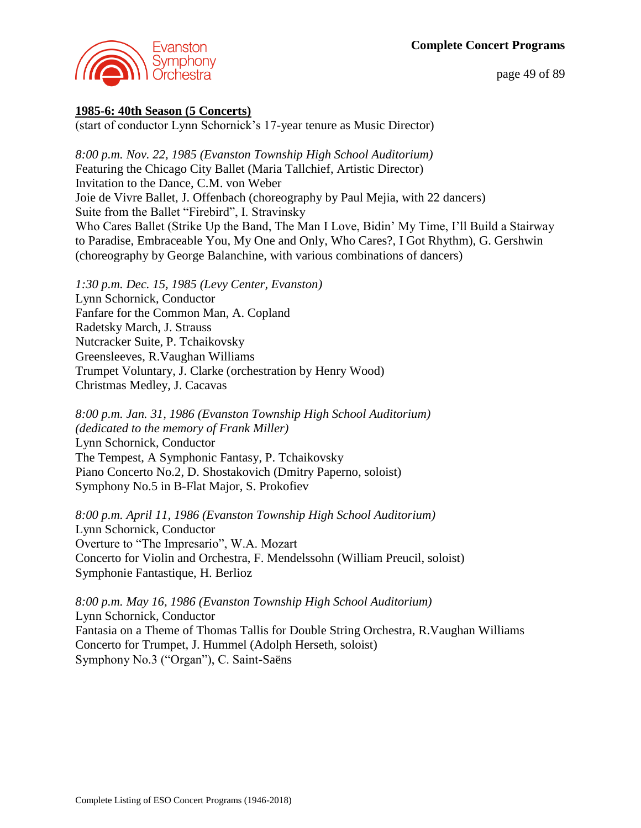

page 49 of 89

#### **1985-6: 40th Season (5 Concerts)**

(start of conductor Lynn Schornick's 17-year tenure as Music Director)

*8:00 p.m. Nov. 22, 1985 (Evanston Township High School Auditorium)* Featuring the Chicago City Ballet (Maria Tallchief, Artistic Director) Invitation to the Dance, C.M. von Weber Joie de Vivre Ballet, J. Offenbach (choreography by Paul Mejia, with 22 dancers) Suite from the Ballet "Firebird", I. Stravinsky Who Cares Ballet (Strike Up the Band, The Man I Love, Bidin' My Time, I'll Build a Stairway to Paradise, Embraceable You, My One and Only, Who Cares?, I Got Rhythm), G. Gershwin (choreography by George Balanchine, with various combinations of dancers)

*1:30 p.m. Dec. 15, 1985 (Levy Center, Evanston)* Lynn Schornick, Conductor Fanfare for the Common Man, A. Copland Radetsky March, J. Strauss Nutcracker Suite, P. Tchaikovsky Greensleeves, R.Vaughan Williams Trumpet Voluntary, J. Clarke (orchestration by Henry Wood) Christmas Medley, J. Cacavas

*8:00 p.m. Jan. 31, 1986 (Evanston Township High School Auditorium) (dedicated to the memory of Frank Miller)* Lynn Schornick, Conductor The Tempest, A Symphonic Fantasy, P. Tchaikovsky Piano Concerto No.2, D. Shostakovich (Dmitry Paperno, soloist) Symphony No.5 in B-Flat Major, S. Prokofiev

*8:00 p.m. April 11, 1986 (Evanston Township High School Auditorium)* Lynn Schornick, Conductor Overture to "The Impresario", W.A. Mozart Concerto for Violin and Orchestra, F. Mendelssohn (William Preucil, soloist) Symphonie Fantastique, H. Berlioz

*8:00 p.m. May 16, 1986 (Evanston Township High School Auditorium)* Lynn Schornick, Conductor Fantasia on a Theme of Thomas Tallis for Double String Orchestra, R.Vaughan Williams Concerto for Trumpet, J. Hummel (Adolph Herseth, soloist) Symphony No.3 ("Organ"), C. Saint-Saëns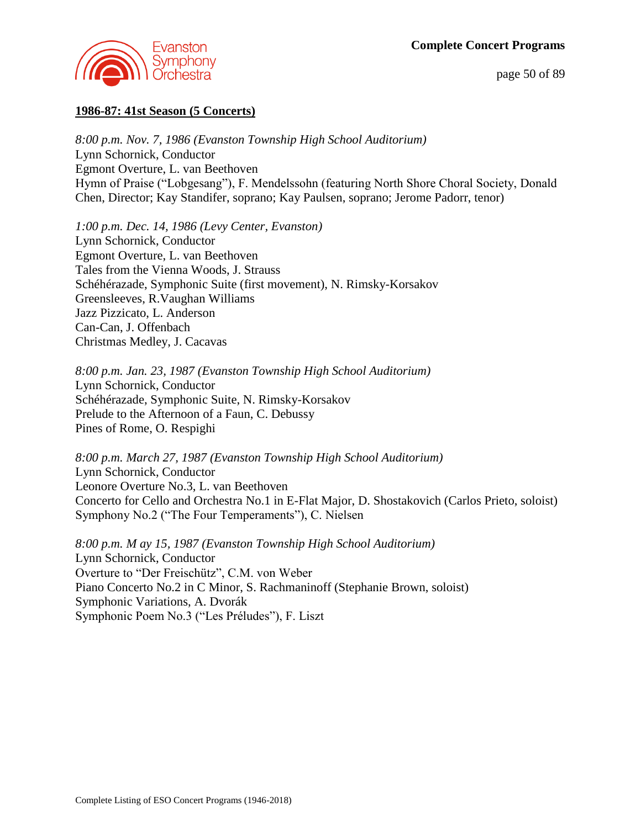

page 50 of 89

# **1986-87: 41st Season (5 Concerts)**

*8:00 p.m. Nov. 7, 1986 (Evanston Township High School Auditorium)* Lynn Schornick, Conductor Egmont Overture, L. van Beethoven Hymn of Praise ("Lobgesang"), F. Mendelssohn (featuring North Shore Choral Society, Donald Chen, Director; Kay Standifer, soprano; Kay Paulsen, soprano; Jerome Padorr, tenor)

*1:00 p.m. Dec. 14, 1986 (Levy Center, Evanston)* Lynn Schornick, Conductor Egmont Overture, L. van Beethoven Tales from the Vienna Woods, J. Strauss Schéhérazade, Symphonic Suite (first movement), N. Rimsky-Korsakov Greensleeves, R.Vaughan Williams Jazz Pizzicato, L. Anderson Can-Can, J. Offenbach Christmas Medley, J. Cacavas

*8:00 p.m. Jan. 23, 1987 (Evanston Township High School Auditorium)* Lynn Schornick, Conductor Schéhérazade, Symphonic Suite, N. Rimsky-Korsakov Prelude to the Afternoon of a Faun, C. Debussy Pines of Rome, O. Respighi

*8:00 p.m. March 27, 1987 (Evanston Township High School Auditorium)* Lynn Schornick, Conductor Leonore Overture No.3, L. van Beethoven Concerto for Cello and Orchestra No.1 in E-Flat Major, D. Shostakovich (Carlos Prieto, soloist) Symphony No.2 ("The Four Temperaments"), C. Nielsen

*8:00 p.m. M ay 15, 1987 (Evanston Township High School Auditorium)* Lynn Schornick, Conductor Overture to "Der Freischütz", C.M. von Weber Piano Concerto No.2 in C Minor, S. Rachmaninoff (Stephanie Brown, soloist) Symphonic Variations, A. Dvorák Symphonic Poem No.3 ("Les Préludes"), F. Liszt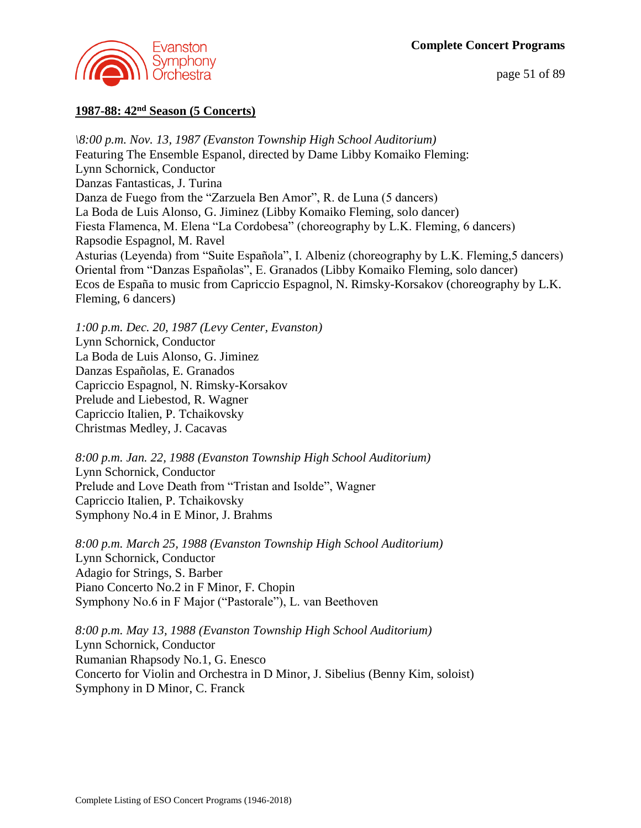



# **1987-88: 42nd Season (5 Concerts)**

*\8:00 p.m. Nov. 13, 1987 (Evanston Township High School Auditorium)* Featuring The Ensemble Espanol, directed by Dame Libby Komaiko Fleming: Lynn Schornick, Conductor Danzas Fantasticas, J. Turina Danza de Fuego from the "Zarzuela Ben Amor", R. de Luna (5 dancers) La Boda de Luis Alonso, G. Jiminez (Libby Komaiko Fleming, solo dancer) Fiesta Flamenca, M. Elena "La Cordobesa" (choreography by L.K. Fleming, 6 dancers) Rapsodie Espagnol, M. Ravel Asturias (Leyenda) from "Suite Española", I. Albeniz (choreography by L.K. Fleming,5 dancers) Oriental from "Danzas Españolas", E. Granados (Libby Komaiko Fleming, solo dancer) Ecos de España to music from Capriccio Espagnol, N. Rimsky-Korsakov (choreography by L.K. Fleming, 6 dancers)

*1:00 p.m. Dec. 20, 1987 (Levy Center, Evanston)* Lynn Schornick, Conductor La Boda de Luis Alonso, G. Jiminez Danzas Españolas, E. Granados Capriccio Espagnol, N. Rimsky-Korsakov Prelude and Liebestod, R. Wagner Capriccio Italien, P. Tchaikovsky Christmas Medley, J. Cacavas

*8:00 p.m. Jan. 22, 1988 (Evanston Township High School Auditorium)* Lynn Schornick, Conductor Prelude and Love Death from "Tristan and Isolde", Wagner Capriccio Italien, P. Tchaikovsky Symphony No.4 in E Minor, J. Brahms

*8:00 p.m. March 25, 1988 (Evanston Township High School Auditorium)* Lynn Schornick, Conductor Adagio for Strings, S. Barber Piano Concerto No.2 in F Minor, F. Chopin Symphony No.6 in F Major ("Pastorale"), L. van Beethoven

*8:00 p.m. May 13, 1988 (Evanston Township High School Auditorium)* Lynn Schornick, Conductor Rumanian Rhapsody No.1, G. Enesco Concerto for Violin and Orchestra in D Minor, J. Sibelius (Benny Kim, soloist) Symphony in D Minor, C. Franck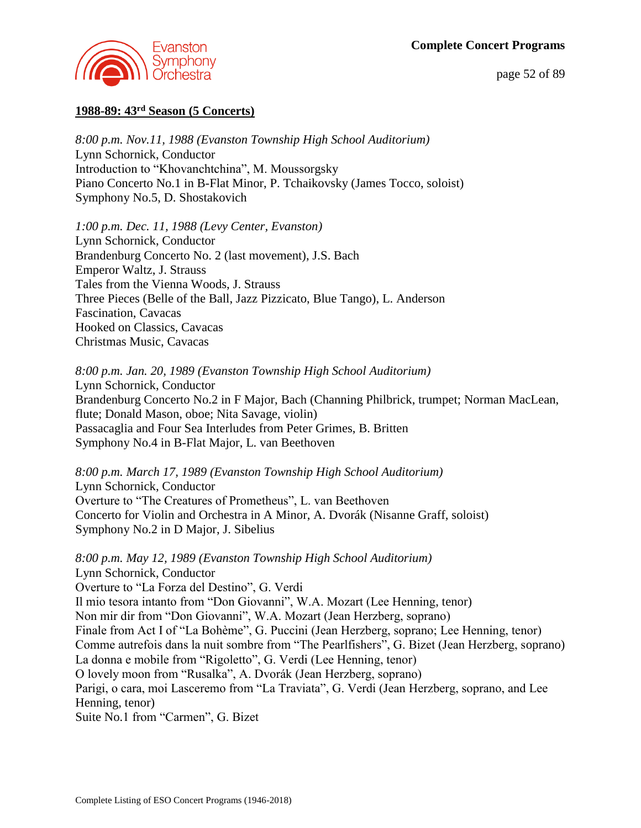

page 52 of 89

## **1988-89: 43rd Season (5 Concerts)**

*8:00 p.m. Nov.11, 1988 (Evanston Township High School Auditorium)* Lynn Schornick, Conductor Introduction to "Khovanchtchina", M. Moussorgsky Piano Concerto No.1 in B-Flat Minor, P. Tchaikovsky (James Tocco, soloist) Symphony No.5, D. Shostakovich

*1:00 p.m. Dec. 11, 1988 (Levy Center, Evanston)* Lynn Schornick, Conductor Brandenburg Concerto No. 2 (last movement), J.S. Bach Emperor Waltz, J. Strauss Tales from the Vienna Woods, J. Strauss Three Pieces (Belle of the Ball, Jazz Pizzicato, Blue Tango), L. Anderson Fascination, Cavacas Hooked on Classics, Cavacas Christmas Music, Cavacas

*8:00 p.m. Jan. 20, 1989 (Evanston Township High School Auditorium)* Lynn Schornick, Conductor Brandenburg Concerto No.2 in F Major, Bach (Channing Philbrick, trumpet; Norman MacLean, flute; Donald Mason, oboe; Nita Savage, violin) Passacaglia and Four Sea Interludes from Peter Grimes, B. Britten Symphony No.4 in B-Flat Major, L. van Beethoven

*8:00 p.m. March 17, 1989 (Evanston Township High School Auditorium)* Lynn Schornick, Conductor Overture to "The Creatures of Prometheus", L. van Beethoven Concerto for Violin and Orchestra in A Minor, A. Dvorák (Nisanne Graff, soloist) Symphony No.2 in D Major, J. Sibelius

*8:00 p.m. May 12, 1989 (Evanston Township High School Auditorium)* Lynn Schornick, Conductor Overture to "La Forza del Destino", G. Verdi Il mio tesora intanto from "Don Giovanni", W.A. Mozart (Lee Henning, tenor) Non mir dir from "Don Giovanni", W.A. Mozart (Jean Herzberg, soprano) Finale from Act I of "La Bohème", G. Puccini (Jean Herzberg, soprano; Lee Henning, tenor) Comme autrefois dans la nuit sombre from "The Pearlfishers", G. Bizet (Jean Herzberg, soprano) La donna e mobile from "Rigoletto", G. Verdi (Lee Henning, tenor) O lovely moon from "Rusalka", A. Dvorák (Jean Herzberg, soprano) Parigi, o cara, moi Lasceremo from "La Traviata", G. Verdi (Jean Herzberg, soprano, and Lee Henning, tenor) Suite No.1 from "Carmen", G. Bizet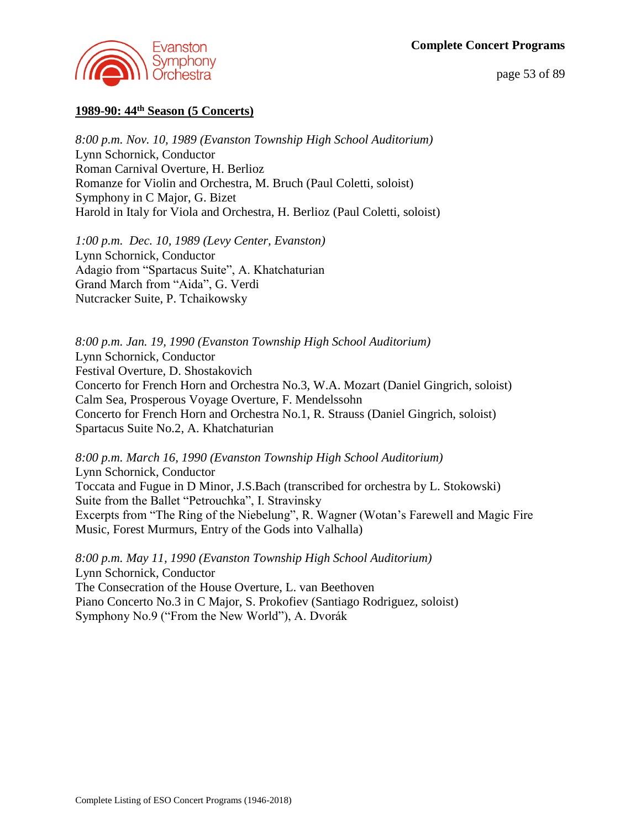

page 53 of 89

## **1989-90: 44th Season (5 Concerts)**

*8:00 p.m. Nov. 10, 1989 (Evanston Township High School Auditorium)* Lynn Schornick, Conductor Roman Carnival Overture, H. Berlioz Romanze for Violin and Orchestra, M. Bruch (Paul Coletti, soloist) Symphony in C Major, G. Bizet Harold in Italy for Viola and Orchestra, H. Berlioz (Paul Coletti, soloist)

*1:00 p.m. Dec. 10, 1989 (Levy Center, Evanston)* Lynn Schornick, Conductor Adagio from "Spartacus Suite", A. Khatchaturian Grand March from "Aida", G. Verdi Nutcracker Suite, P. Tchaikowsky

*8:00 p.m. Jan. 19, 1990 (Evanston Township High School Auditorium)* Lynn Schornick, Conductor Festival Overture, D. Shostakovich Concerto for French Horn and Orchestra No.3, W.A. Mozart (Daniel Gingrich, soloist) Calm Sea, Prosperous Voyage Overture, F. Mendelssohn Concerto for French Horn and Orchestra No.1, R. Strauss (Daniel Gingrich, soloist) Spartacus Suite No.2, A. Khatchaturian

*8:00 p.m. March 16, 1990 (Evanston Township High School Auditorium)* Lynn Schornick, Conductor Toccata and Fugue in D Minor, J.S.Bach (transcribed for orchestra by L. Stokowski) Suite from the Ballet "Petrouchka", I. Stravinsky Excerpts from "The Ring of the Niebelung", R. Wagner (Wotan's Farewell and Magic Fire Music, Forest Murmurs, Entry of the Gods into Valhalla)

*8:00 p.m. May 11, 1990 (Evanston Township High School Auditorium)* Lynn Schornick, Conductor The Consecration of the House Overture, L. van Beethoven Piano Concerto No.3 in C Major, S. Prokofiev (Santiago Rodriguez, soloist) Symphony No.9 ("From the New World"), A. Dvorák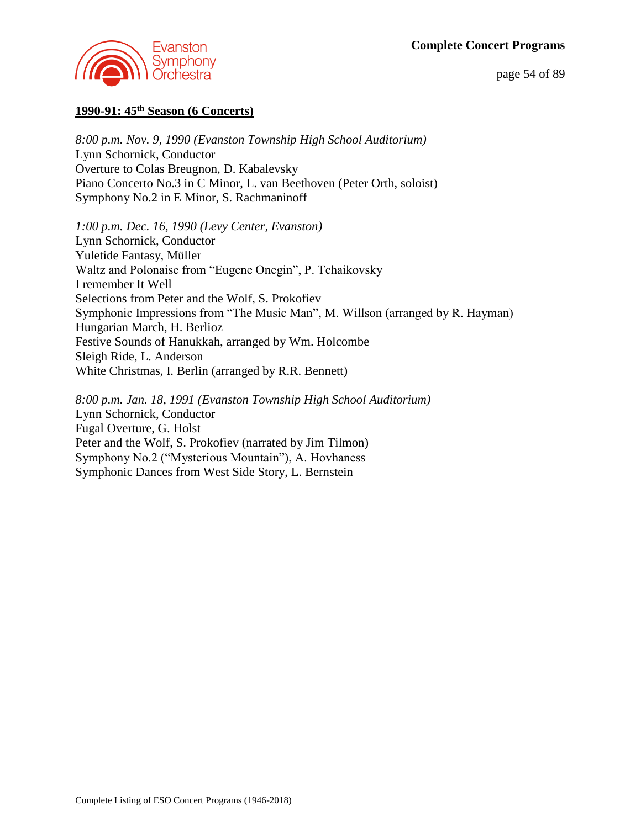

page 54 of 89

## **1990-91: 45th Season (6 Concerts)**

*8:00 p.m. Nov. 9, 1990 (Evanston Township High School Auditorium)* Lynn Schornick, Conductor Overture to Colas Breugnon, D. Kabalevsky Piano Concerto No.3 in C Minor, L. van Beethoven (Peter Orth, soloist) Symphony No.2 in E Minor, S. Rachmaninoff

*1:00 p.m. Dec. 16, 1990 (Levy Center, Evanston)* Lynn Schornick, Conductor Yuletide Fantasy, Müller Waltz and Polonaise from "Eugene Onegin", P. Tchaikovsky I remember It Well Selections from Peter and the Wolf, S. Prokofiev Symphonic Impressions from "The Music Man", M. Willson (arranged by R. Hayman) Hungarian March, H. Berlioz Festive Sounds of Hanukkah, arranged by Wm. Holcombe Sleigh Ride, L. Anderson White Christmas, I. Berlin (arranged by R.R. Bennett)

*8:00 p.m. Jan. 18, 1991 (Evanston Township High School Auditorium)* Lynn Schornick, Conductor Fugal Overture, G. Holst Peter and the Wolf, S. Prokofiev (narrated by Jim Tilmon) Symphony No.2 ("Mysterious Mountain"), A. Hovhaness Symphonic Dances from West Side Story, L. Bernstein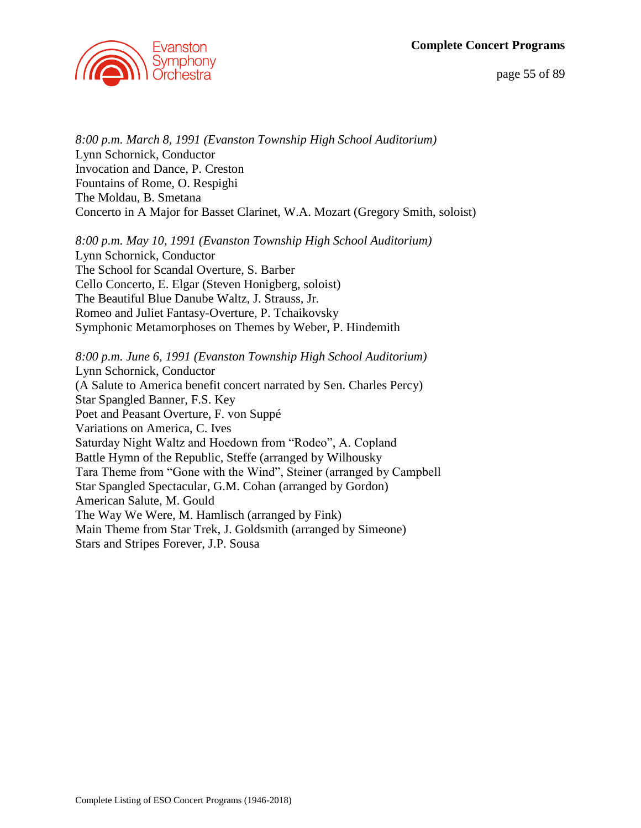### **Complete Concert Programs**



page 55 of 89

*8:00 p.m. March 8, 1991 (Evanston Township High School Auditorium)* Lynn Schornick, Conductor Invocation and Dance, P. Creston Fountains of Rome, O. Respighi The Moldau, B. Smetana Concerto in A Major for Basset Clarinet, W.A. Mozart (Gregory Smith, soloist)

*8:00 p.m. May 10, 1991 (Evanston Township High School Auditorium)* Lynn Schornick, Conductor The School for Scandal Overture, S. Barber Cello Concerto, E. Elgar (Steven Honigberg, soloist) The Beautiful Blue Danube Waltz, J. Strauss, Jr. Romeo and Juliet Fantasy-Overture, P. Tchaikovsky Symphonic Metamorphoses on Themes by Weber, P. Hindemith

*8:00 p.m. June 6, 1991 (Evanston Township High School Auditorium)* Lynn Schornick, Conductor (A Salute to America benefit concert narrated by Sen. Charles Percy) Star Spangled Banner, F.S. Key Poet and Peasant Overture, F. von Suppé Variations on America, C. Ives Saturday Night Waltz and Hoedown from "Rodeo", A. Copland Battle Hymn of the Republic, Steffe (arranged by Wilhousky Tara Theme from "Gone with the Wind", Steiner (arranged by Campbell Star Spangled Spectacular, G.M. Cohan (arranged by Gordon) American Salute, M. Gould The Way We Were, M. Hamlisch (arranged by Fink) Main Theme from Star Trek, J. Goldsmith (arranged by Simeone) Stars and Stripes Forever, J.P. Sousa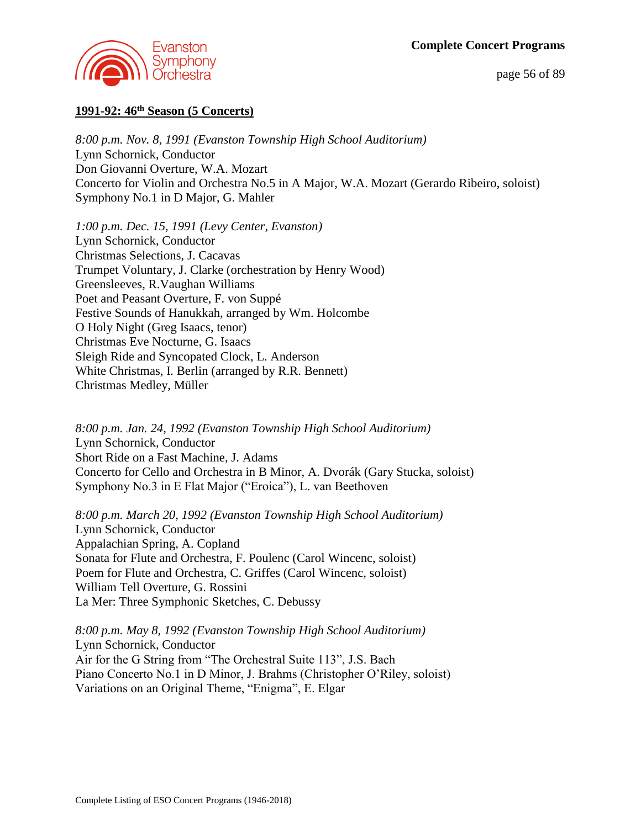

page 56 of 89

## **1991-92: 46th Season (5 Concerts)**

*8:00 p.m. Nov. 8, 1991 (Evanston Township High School Auditorium)* Lynn Schornick, Conductor Don Giovanni Overture, W.A. Mozart Concerto for Violin and Orchestra No.5 in A Major, W.A. Mozart (Gerardo Ribeiro, soloist) Symphony No.1 in D Major, G. Mahler

*1:00 p.m. Dec. 15, 1991 (Levy Center, Evanston)* Lynn Schornick, Conductor Christmas Selections, J. Cacavas Trumpet Voluntary, J. Clarke (orchestration by Henry Wood) Greensleeves, R.Vaughan Williams Poet and Peasant Overture, F. von Suppé Festive Sounds of Hanukkah, arranged by Wm. Holcombe O Holy Night (Greg Isaacs, tenor) Christmas Eve Nocturne, G. Isaacs Sleigh Ride and Syncopated Clock, L. Anderson White Christmas, I. Berlin (arranged by R.R. Bennett) Christmas Medley, Müller

*8:00 p.m. Jan. 24, 1992 (Evanston Township High School Auditorium)* Lynn Schornick, Conductor Short Ride on a Fast Machine, J. Adams Concerto for Cello and Orchestra in B Minor, A. Dvorák (Gary Stucka, soloist) Symphony No.3 in E Flat Major ("Eroica"), L. van Beethoven

*8:00 p.m. March 20, 1992 (Evanston Township High School Auditorium)* Lynn Schornick, Conductor Appalachian Spring, A. Copland Sonata for Flute and Orchestra, F. Poulenc (Carol Wincenc, soloist) Poem for Flute and Orchestra, C. Griffes (Carol Wincenc, soloist) William Tell Overture, G. Rossini La Mer: Three Symphonic Sketches, C. Debussy

*8:00 p.m. May 8, 1992 (Evanston Township High School Auditorium)* Lynn Schornick, Conductor Air for the G String from "The Orchestral Suite 113", J.S. Bach Piano Concerto No.1 in D Minor, J. Brahms (Christopher O'Riley, soloist) Variations on an Original Theme, "Enigma", E. Elgar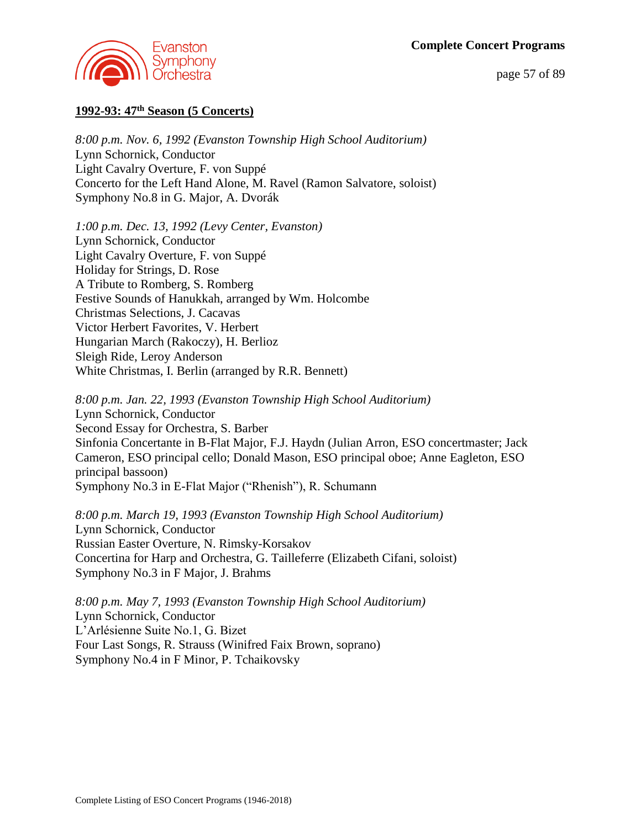

page 57 of 89

# **1992-93: 47th Season (5 Concerts)**

*8:00 p.m. Nov. 6, 1992 (Evanston Township High School Auditorium)* Lynn Schornick, Conductor Light Cavalry Overture, F. von Suppé Concerto for the Left Hand Alone, M. Ravel (Ramon Salvatore, soloist) Symphony No.8 in G. Major, A. Dvorák

*1:00 p.m. Dec. 13, 1992 (Levy Center, Evanston)* Lynn Schornick, Conductor Light Cavalry Overture, F. von Suppé Holiday for Strings, D. Rose A Tribute to Romberg, S. Romberg Festive Sounds of Hanukkah, arranged by Wm. Holcombe Christmas Selections, J. Cacavas Victor Herbert Favorites, V. Herbert Hungarian March (Rakoczy), H. Berlioz Sleigh Ride, Leroy Anderson White Christmas, I. Berlin (arranged by R.R. Bennett)

*8:00 p.m. Jan. 22, 1993 (Evanston Township High School Auditorium)* Lynn Schornick, Conductor Second Essay for Orchestra, S. Barber Sinfonia Concertante in B-Flat Major, F.J. Haydn (Julian Arron, ESO concertmaster; Jack Cameron, ESO principal cello; Donald Mason, ESO principal oboe; Anne Eagleton, ESO principal bassoon) Symphony No.3 in E-Flat Major ("Rhenish"), R. Schumann

*8:00 p.m. March 19, 1993 (Evanston Township High School Auditorium)* Lynn Schornick, Conductor Russian Easter Overture, N. Rimsky-Korsakov Concertina for Harp and Orchestra, G. Tailleferre (Elizabeth Cifani, soloist) Symphony No.3 in F Major, J. Brahms

*8:00 p.m. May 7, 1993 (Evanston Township High School Auditorium)* Lynn Schornick, Conductor L'Arlésienne Suite No.1, G. Bizet Four Last Songs, R. Strauss (Winifred Faix Brown, soprano) Symphony No.4 in F Minor, P. Tchaikovsky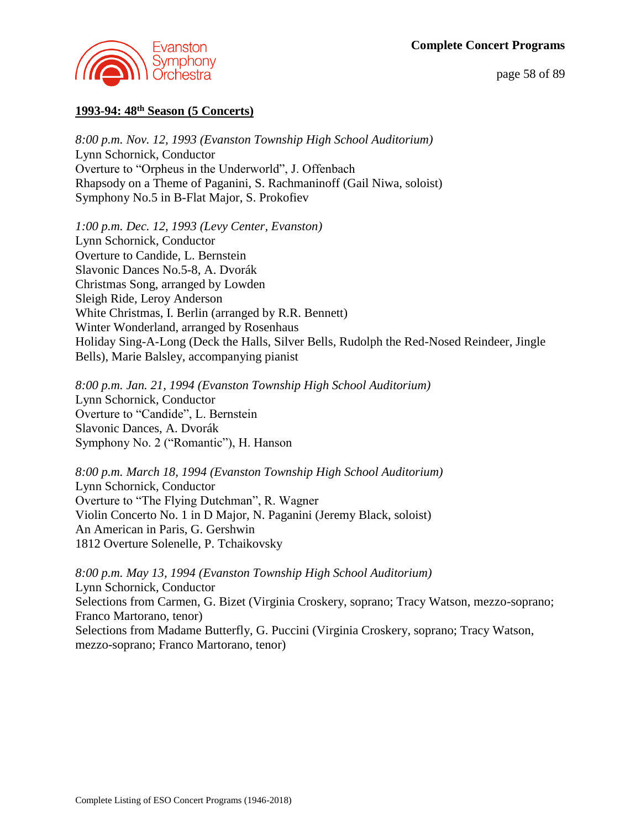

page 58 of 89

## **1993-94: 48th Season (5 Concerts)**

*8:00 p.m. Nov. 12, 1993 (Evanston Township High School Auditorium)* Lynn Schornick, Conductor Overture to "Orpheus in the Underworld", J. Offenbach Rhapsody on a Theme of Paganini, S. Rachmaninoff (Gail Niwa, soloist) Symphony No.5 in B-Flat Major, S. Prokofiev

*1:00 p.m. Dec. 12, 1993 (Levy Center, Evanston)* Lynn Schornick, Conductor Overture to Candide, L. Bernstein Slavonic Dances No.5-8, A. Dvorák Christmas Song, arranged by Lowden Sleigh Ride, Leroy Anderson White Christmas, I. Berlin (arranged by R.R. Bennett) Winter Wonderland, arranged by Rosenhaus Holiday Sing-A-Long (Deck the Halls, Silver Bells, Rudolph the Red-Nosed Reindeer, Jingle Bells), Marie Balsley, accompanying pianist

*8:00 p.m. Jan. 21, 1994 (Evanston Township High School Auditorium)* Lynn Schornick, Conductor Overture to "Candide", L. Bernstein Slavonic Dances, A. Dvorák Symphony No. 2 ("Romantic"), H. Hanson

*8:00 p.m. March 18, 1994 (Evanston Township High School Auditorium)* Lynn Schornick, Conductor Overture to "The Flying Dutchman", R. Wagner Violin Concerto No. 1 in D Major, N. Paganini (Jeremy Black, soloist) An American in Paris, G. Gershwin 1812 Overture Solenelle, P. Tchaikovsky

*8:00 p.m. May 13, 1994 (Evanston Township High School Auditorium)* Lynn Schornick, Conductor Selections from Carmen, G. Bizet (Virginia Croskery, soprano; Tracy Watson, mezzo-soprano; Franco Martorano, tenor) Selections from Madame Butterfly, G. Puccini (Virginia Croskery, soprano; Tracy Watson, mezzo-soprano; Franco Martorano, tenor)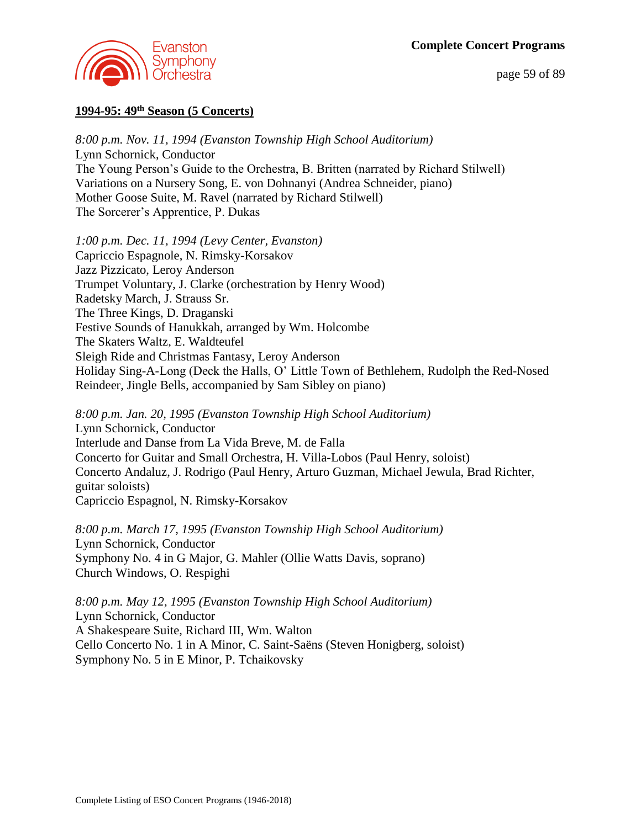



## **1994-95: 49th Season (5 Concerts)**

*8:00 p.m. Nov. 11, 1994 (Evanston Township High School Auditorium)* Lynn Schornick, Conductor The Young Person's Guide to the Orchestra, B. Britten (narrated by Richard Stilwell) Variations on a Nursery Song, E. von Dohnanyi (Andrea Schneider, piano) Mother Goose Suite, M. Ravel (narrated by Richard Stilwell) The Sorcerer's Apprentice, P. Dukas

*1:00 p.m. Dec. 11, 1994 (Levy Center, Evanston)* Capriccio Espagnole, N. Rimsky-Korsakov Jazz Pizzicato, Leroy Anderson Trumpet Voluntary, J. Clarke (orchestration by Henry Wood) Radetsky March, J. Strauss Sr. The Three Kings, D. Draganski Festive Sounds of Hanukkah, arranged by Wm. Holcombe The Skaters Waltz, E. Waldteufel Sleigh Ride and Christmas Fantasy, Leroy Anderson Holiday Sing-A-Long (Deck the Halls, O' Little Town of Bethlehem, Rudolph the Red-Nosed Reindeer, Jingle Bells, accompanied by Sam Sibley on piano)

*8:00 p.m. Jan. 20, 1995 (Evanston Township High School Auditorium)* Lynn Schornick, Conductor Interlude and Danse from La Vida Breve, M. de Falla Concerto for Guitar and Small Orchestra, H. Villa-Lobos (Paul Henry, soloist) Concerto Andaluz, J. Rodrigo (Paul Henry, Arturo Guzman, Michael Jewula, Brad Richter, guitar soloists) Capriccio Espagnol, N. Rimsky-Korsakov

*8:00 p.m. March 17, 1995 (Evanston Township High School Auditorium)* Lynn Schornick, Conductor Symphony No. 4 in G Major, G. Mahler (Ollie Watts Davis, soprano) Church Windows, O. Respighi

*8:00 p.m. May 12, 1995 (Evanston Township High School Auditorium)* Lynn Schornick, Conductor A Shakespeare Suite, Richard III, Wm. Walton Cello Concerto No. 1 in A Minor, C. Saint-Saëns (Steven Honigberg, soloist) Symphony No. 5 in E Minor, P. Tchaikovsky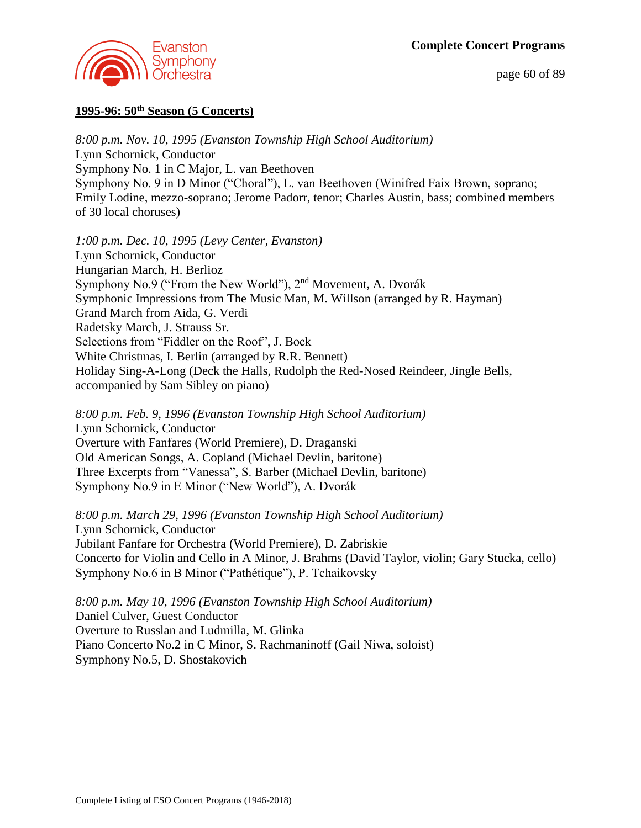

page 60 of 89

### **1995-96: 50th Season (5 Concerts)**

*8:00 p.m. Nov. 10, 1995 (Evanston Township High School Auditorium)* Lynn Schornick, Conductor Symphony No. 1 in C Major, L. van Beethoven Symphony No. 9 in D Minor ("Choral"), L. van Beethoven (Winifred Faix Brown, soprano; Emily Lodine, mezzo-soprano; Jerome Padorr, tenor; Charles Austin, bass; combined members of 30 local choruses)

*1:00 p.m. Dec. 10, 1995 (Levy Center, Evanston)* Lynn Schornick, Conductor Hungarian March, H. Berlioz Symphony No.9 ("From the New World"), 2nd Movement, A. Dvorák Symphonic Impressions from The Music Man, M. Willson (arranged by R. Hayman) Grand March from Aida, G. Verdi Radetsky March, J. Strauss Sr. Selections from "Fiddler on the Roof", J. Bock White Christmas, I. Berlin (arranged by R.R. Bennett) Holiday Sing-A-Long (Deck the Halls, Rudolph the Red-Nosed Reindeer, Jingle Bells, accompanied by Sam Sibley on piano)

*8:00 p.m. Feb. 9, 1996 (Evanston Township High School Auditorium)* Lynn Schornick, Conductor Overture with Fanfares (World Premiere), D. Draganski Old American Songs, A. Copland (Michael Devlin, baritone) Three Excerpts from "Vanessa", S. Barber (Michael Devlin, baritone) Symphony No.9 in E Minor ("New World"), A. Dvorák

*8:00 p.m. March 29, 1996 (Evanston Township High School Auditorium)* Lynn Schornick, Conductor Jubilant Fanfare for Orchestra (World Premiere), D. Zabriskie Concerto for Violin and Cello in A Minor, J. Brahms (David Taylor, violin; Gary Stucka, cello) Symphony No.6 in B Minor ("Pathétique"), P. Tchaikovsky

*8:00 p.m. May 10, 1996 (Evanston Township High School Auditorium)* Daniel Culver, Guest Conductor Overture to Russlan and Ludmilla, M. Glinka Piano Concerto No.2 in C Minor, S. Rachmaninoff (Gail Niwa, soloist) Symphony No.5, D. Shostakovich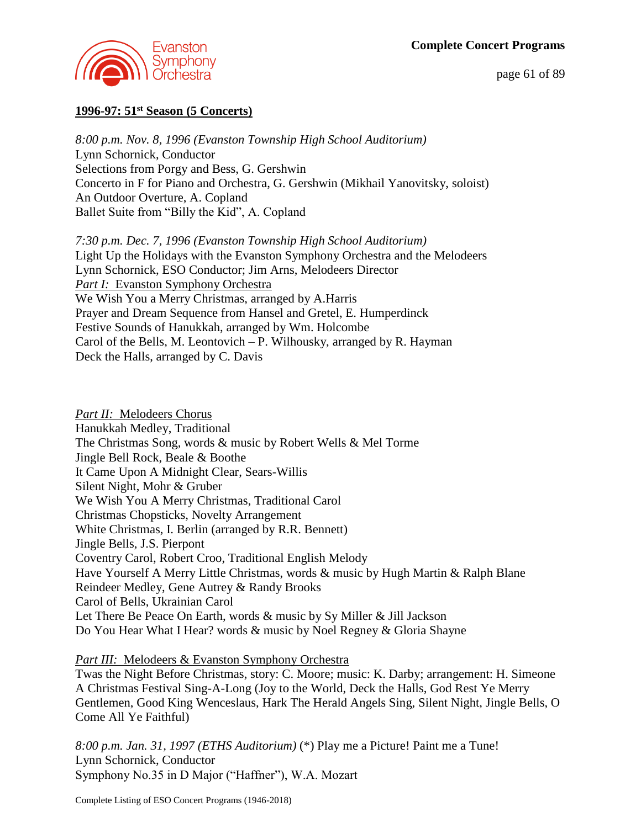

page 61 of 89

# **1996-97: 51st Season (5 Concerts)**

*8:00 p.m. Nov. 8, 1996 (Evanston Township High School Auditorium)* Lynn Schornick, Conductor Selections from Porgy and Bess, G. Gershwin Concerto in F for Piano and Orchestra, G. Gershwin (Mikhail Yanovitsky, soloist) An Outdoor Overture, A. Copland Ballet Suite from "Billy the Kid", A. Copland

*7:30 p.m. Dec. 7, 1996 (Evanston Township High School Auditorium)* Light Up the Holidays with the Evanston Symphony Orchestra and the Melodeers Lynn Schornick, ESO Conductor; Jim Arns, Melodeers Director *Part I:* Evanston Symphony Orchestra We Wish You a Merry Christmas, arranged by A.Harris Prayer and Dream Sequence from Hansel and Gretel, E. Humperdinck Festive Sounds of Hanukkah, arranged by Wm. Holcombe Carol of the Bells, M. Leontovich – P. Wilhousky, arranged by R. Hayman Deck the Halls, arranged by C. Davis

*Part II:* Melodeers Chorus Hanukkah Medley, Traditional The Christmas Song, words & music by Robert Wells & Mel Torme Jingle Bell Rock, Beale & Boothe It Came Upon A Midnight Clear, Sears-Willis Silent Night, Mohr & Gruber We Wish You A Merry Christmas, Traditional Carol Christmas Chopsticks, Novelty Arrangement White Christmas, I. Berlin (arranged by R.R. Bennett) Jingle Bells, J.S. Pierpont Coventry Carol, Robert Croo, Traditional English Melody Have Yourself A Merry Little Christmas, words & music by Hugh Martin & Ralph Blane Reindeer Medley, Gene Autrey & Randy Brooks Carol of Bells, Ukrainian Carol Let There Be Peace On Earth, words & music by Sy Miller & Jill Jackson Do You Hear What I Hear? words & music by Noel Regney & Gloria Shayne

#### *Part III:* Melodeers & Evanston Symphony Orchestra

Twas the Night Before Christmas, story: C. Moore; music: K. Darby; arrangement: H. Simeone A Christmas Festival Sing-A-Long (Joy to the World, Deck the Halls, God Rest Ye Merry Gentlemen, Good King Wenceslaus, Hark The Herald Angels Sing, Silent Night, Jingle Bells, O Come All Ye Faithful)

*8:00 p.m. Jan. 31, 1997 (ETHS Auditorium)* (\*) Play me a Picture! Paint me a Tune! Lynn Schornick, Conductor Symphony No.35 in D Major ("Haffner"), W.A. Mozart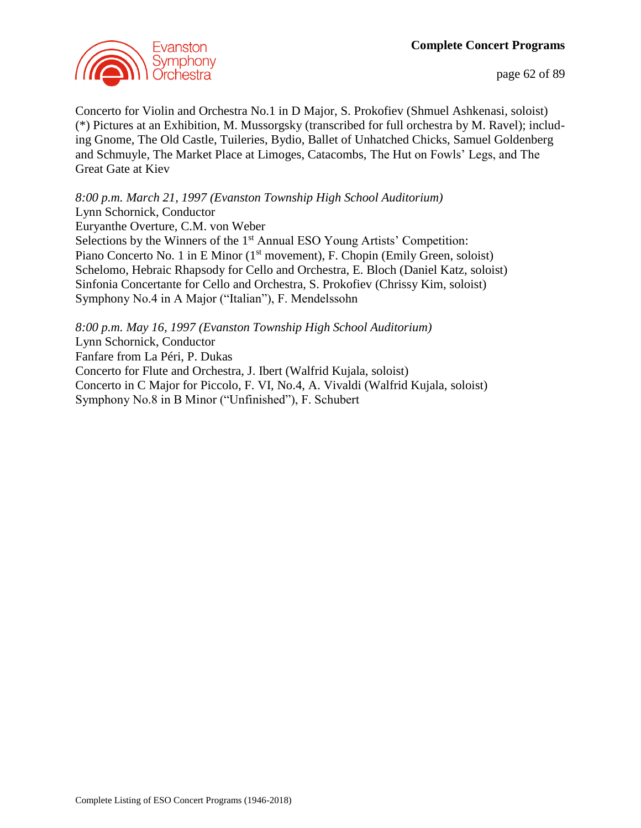

page 62 of 89

Concerto for Violin and Orchestra No.1 in D Major, S. Prokofiev (Shmuel Ashkenasi, soloist) (\*) Pictures at an Exhibition, M. Mussorgsky (transcribed for full orchestra by M. Ravel); including Gnome, The Old Castle, Tuileries, Bydio, Ballet of Unhatched Chicks, Samuel Goldenberg and Schmuyle, The Market Place at Limoges, Catacombs, The Hut on Fowls' Legs, and The Great Gate at Kiev

*8:00 p.m. March 21, 1997 (Evanston Township High School Auditorium)* Lynn Schornick, Conductor Euryanthe Overture, C.M. von Weber Selections by the Winners of the 1<sup>st</sup> Annual ESO Young Artists' Competition: Piano Concerto No. 1 in E Minor (1<sup>st</sup> movement), F. Chopin (Emily Green, soloist) Schelomo, Hebraic Rhapsody for Cello and Orchestra, E. Bloch (Daniel Katz, soloist) Sinfonia Concertante for Cello and Orchestra, S. Prokofiev (Chrissy Kim, soloist) Symphony No.4 in A Major ("Italian"), F. Mendelssohn

*8:00 p.m. May 16, 1997 (Evanston Township High School Auditorium)* Lynn Schornick, Conductor Fanfare from La Péri, P. Dukas Concerto for Flute and Orchestra, J. Ibert (Walfrid Kujala, soloist) Concerto in C Major for Piccolo, F. VI, No.4, A. Vivaldi (Walfrid Kujala, soloist) Symphony No.8 in B Minor ("Unfinished"), F. Schubert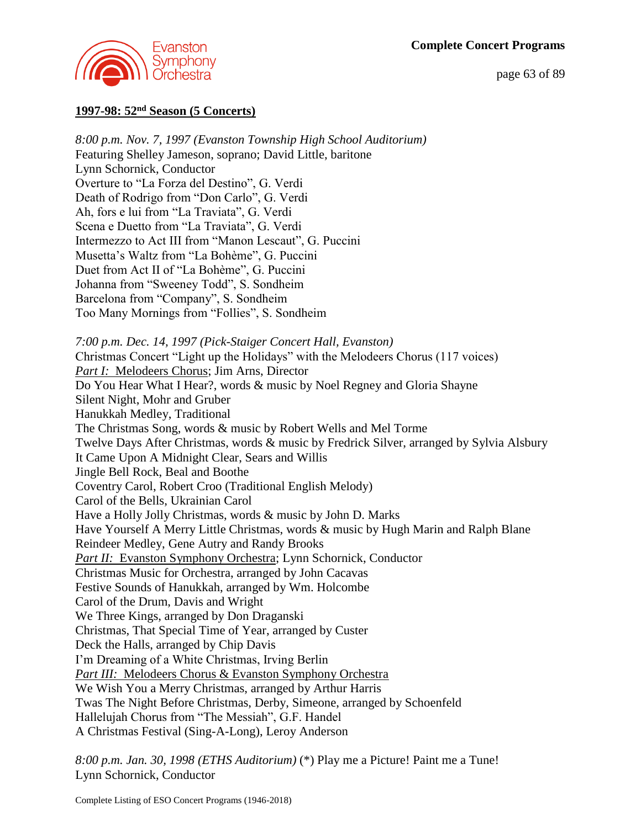

page 63 of 89

### **1997-98: 52nd Season (5 Concerts)**

*8:00 p.m. Nov. 7, 1997 (Evanston Township High School Auditorium)* Featuring Shelley Jameson, soprano; David Little, baritone Lynn Schornick, Conductor Overture to "La Forza del Destino", G. Verdi Death of Rodrigo from "Don Carlo", G. Verdi Ah, fors e lui from "La Traviata", G. Verdi Scena e Duetto from "La Traviata", G. Verdi Intermezzo to Act III from "Manon Lescaut", G. Puccini Musetta's Waltz from "La Bohème", G. Puccini Duet from Act II of "La Bohème", G. Puccini Johanna from "Sweeney Todd", S. Sondheim Barcelona from "Company", S. Sondheim Too Many Mornings from "Follies", S. Sondheim

*7:00 p.m. Dec. 14, 1997 (Pick-Staiger Concert Hall, Evanston)* Christmas Concert "Light up the Holidays" with the Melodeers Chorus (117 voices) *Part I:* Melodeers Chorus; Jim Arns, Director Do You Hear What I Hear?, words & music by Noel Regney and Gloria Shayne Silent Night, Mohr and Gruber Hanukkah Medley, Traditional The Christmas Song, words & music by Robert Wells and Mel Torme Twelve Days After Christmas, words & music by Fredrick Silver, arranged by Sylvia Alsbury It Came Upon A Midnight Clear, Sears and Willis Jingle Bell Rock, Beal and Boothe Coventry Carol, Robert Croo (Traditional English Melody) Carol of the Bells, Ukrainian Carol Have a Holly Jolly Christmas, words & music by John D. Marks Have Yourself A Merry Little Christmas, words & music by Hugh Marin and Ralph Blane Reindeer Medley, Gene Autry and Randy Brooks *Part II:* Evanston Symphony Orchestra; Lynn Schornick, Conductor Christmas Music for Orchestra, arranged by John Cacavas Festive Sounds of Hanukkah, arranged by Wm. Holcombe Carol of the Drum, Davis and Wright We Three Kings, arranged by Don Draganski Christmas, That Special Time of Year, arranged by Custer Deck the Halls, arranged by Chip Davis I'm Dreaming of a White Christmas, Irving Berlin *Part III:* Melodeers Chorus & Evanston Symphony Orchestra We Wish You a Merry Christmas, arranged by Arthur Harris Twas The Night Before Christmas, Derby, Simeone, arranged by Schoenfeld Hallelujah Chorus from "The Messiah", G.F. Handel A Christmas Festival (Sing-A-Long), Leroy Anderson

*8:00 p.m. Jan. 30, 1998 (ETHS Auditorium)* (\*) Play me a Picture! Paint me a Tune! Lynn Schornick, Conductor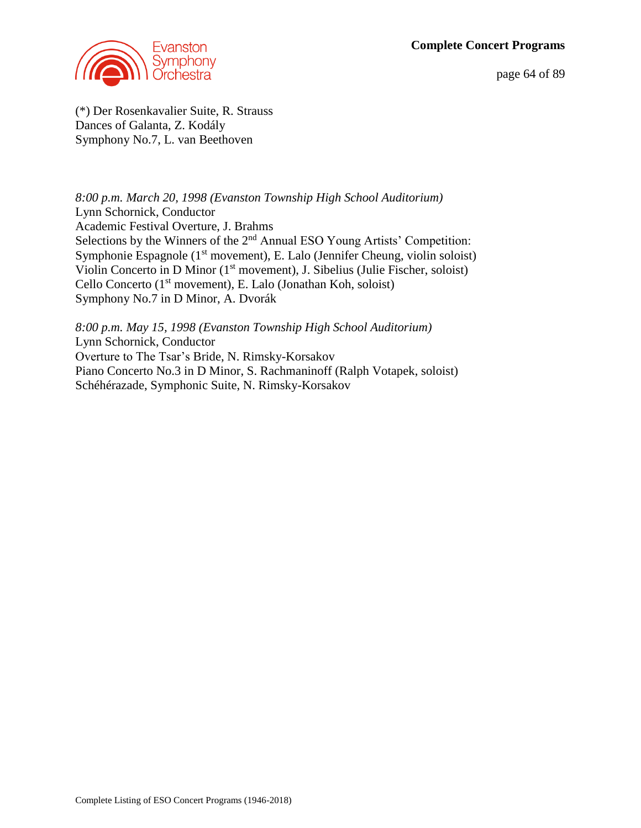

page 64 of 89

(\*) Der Rosenkavalier Suite, R. Strauss Dances of Galanta, Z. Kodály Symphony No.7, L. van Beethoven

*8:00 p.m. March 20, 1998 (Evanston Township High School Auditorium)* Lynn Schornick, Conductor Academic Festival Overture, J. Brahms Selections by the Winners of the 2<sup>nd</sup> Annual ESO Young Artists' Competition: Symphonie Espagnole ( $1<sup>st</sup>$  movement), E. Lalo (Jennifer Cheung, violin soloist) Violin Concerto in D Minor (1st movement), J. Sibelius (Julie Fischer, soloist) Cello Concerto (1st movement), E. Lalo (Jonathan Koh, soloist) Symphony No.7 in D Minor, A. Dvorák

*8:00 p.m. May 15, 1998 (Evanston Township High School Auditorium)* Lynn Schornick, Conductor Overture to The Tsar's Bride, N. Rimsky-Korsakov Piano Concerto No.3 in D Minor, S. Rachmaninoff (Ralph Votapek, soloist) Schéhérazade, Symphonic Suite, N. Rimsky-Korsakov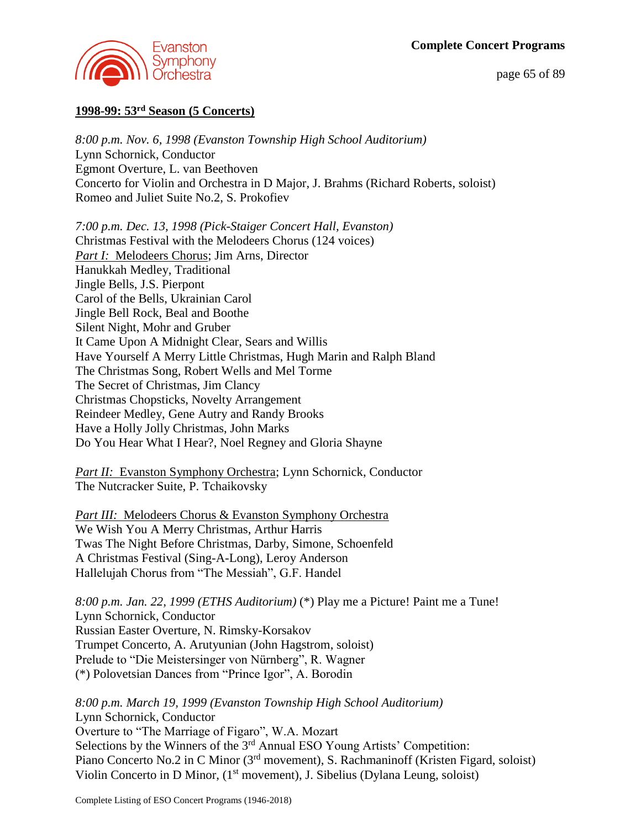

page 65 of 89

# **1998-99: 53rd Season (5 Concerts)**

*8:00 p.m. Nov. 6, 1998 (Evanston Township High School Auditorium)* Lynn Schornick, Conductor Egmont Overture, L. van Beethoven Concerto for Violin and Orchestra in D Major, J. Brahms (Richard Roberts, soloist) Romeo and Juliet Suite No.2, S. Prokofiev

*7:00 p.m. Dec. 13, 1998 (Pick-Staiger Concert Hall, Evanston)* Christmas Festival with the Melodeers Chorus (124 voices) *Part I:* Melodeers Chorus; Jim Arns, Director Hanukkah Medley, Traditional Jingle Bells, J.S. Pierpont Carol of the Bells, Ukrainian Carol Jingle Bell Rock, Beal and Boothe Silent Night, Mohr and Gruber It Came Upon A Midnight Clear, Sears and Willis Have Yourself A Merry Little Christmas, Hugh Marin and Ralph Bland The Christmas Song, Robert Wells and Mel Torme The Secret of Christmas, Jim Clancy Christmas Chopsticks, Novelty Arrangement Reindeer Medley, Gene Autry and Randy Brooks Have a Holly Jolly Christmas, John Marks Do You Hear What I Hear?, Noel Regney and Gloria Shayne

*Part II:* Evanston Symphony Orchestra; Lynn Schornick, Conductor The Nutcracker Suite, P. Tchaikovsky

Part III: Melodeers Chorus & Evanston Symphony Orchestra We Wish You A Merry Christmas, Arthur Harris Twas The Night Before Christmas, Darby, Simone, Schoenfeld A Christmas Festival (Sing-A-Long), Leroy Anderson Hallelujah Chorus from "The Messiah", G.F. Handel

*8:00 p.m. Jan. 22, 1999 (ETHS Auditorium)* (\*) Play me a Picture! Paint me a Tune! Lynn Schornick, Conductor Russian Easter Overture, N. Rimsky-Korsakov Trumpet Concerto, A. Arutyunian (John Hagstrom, soloist) Prelude to "Die Meistersinger von Nürnberg", R. Wagner (\*) Polovetsian Dances from "Prince Igor", A. Borodin

*8:00 p.m. March 19, 1999 (Evanston Township High School Auditorium)* Lynn Schornick, Conductor Overture to "The Marriage of Figaro", W.A. Mozart Selections by the Winners of the 3<sup>rd</sup> Annual ESO Young Artists' Competition: Piano Concerto No.2 in C Minor (3<sup>rd</sup> movement), S. Rachmaninoff (Kristen Figard, soloist) Violin Concerto in D Minor, (1st movement), J. Sibelius (Dylana Leung, soloist)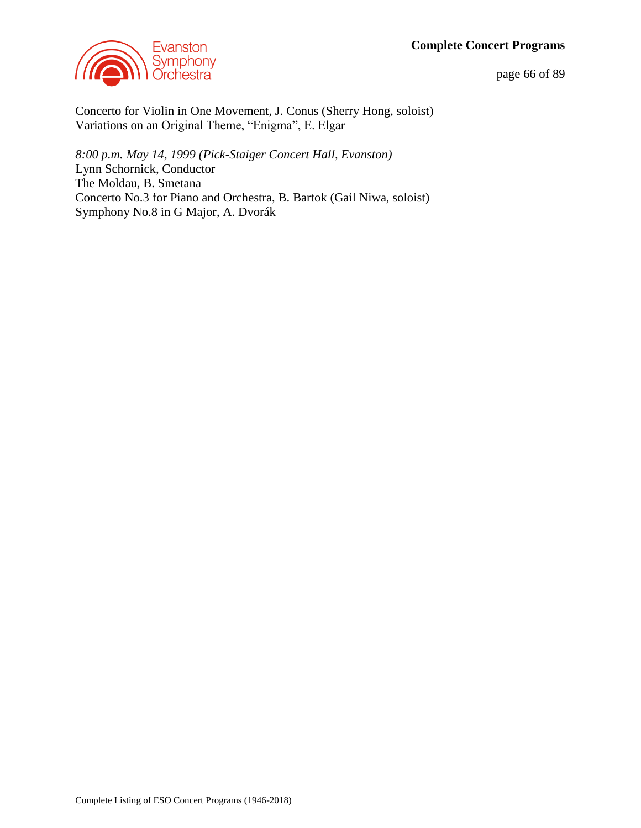

page 66 of 89

Concerto for Violin in One Movement, J. Conus (Sherry Hong, soloist) Variations on an Original Theme, "Enigma", E. Elgar

*8:00 p.m. May 14, 1999 (Pick-Staiger Concert Hall, Evanston)* Lynn Schornick, Conductor The Moldau, B. Smetana Concerto No.3 for Piano and Orchestra, B. Bartok (Gail Niwa, soloist) Symphony No.8 in G Major, A. Dvorák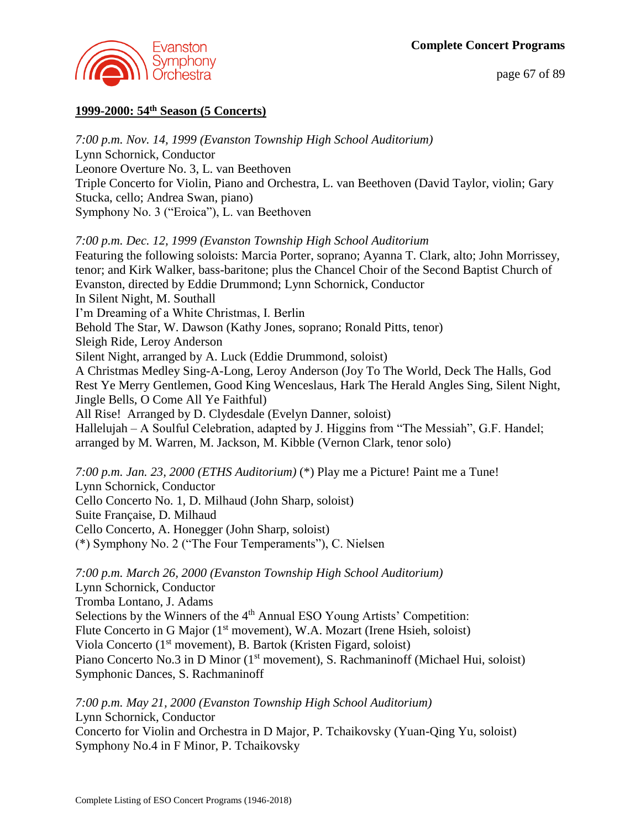

page 67 of 89

## **1999-2000: 54th Season (5 Concerts)**

*7:00 p.m. Nov. 14, 1999 (Evanston Township High School Auditorium)* Lynn Schornick, Conductor Leonore Overture No. 3, L. van Beethoven Triple Concerto for Violin, Piano and Orchestra, L. van Beethoven (David Taylor, violin; Gary Stucka, cello; Andrea Swan, piano) Symphony No. 3 ("Eroica"), L. van Beethoven

*7:00 p.m. Dec. 12, 1999 (Evanston Township High School Auditorium* Featuring the following soloists: Marcia Porter, soprano; Ayanna T. Clark, alto; John Morrissey, tenor; and Kirk Walker, bass-baritone; plus the Chancel Choir of the Second Baptist Church of Evanston, directed by Eddie Drummond; Lynn Schornick, Conductor In Silent Night, M. Southall I'm Dreaming of a White Christmas, I. Berlin Behold The Star, W. Dawson (Kathy Jones, soprano; Ronald Pitts, tenor) Sleigh Ride, Leroy Anderson Silent Night, arranged by A. Luck (Eddie Drummond, soloist) A Christmas Medley Sing-A-Long, Leroy Anderson (Joy To The World, Deck The Halls, God Rest Ye Merry Gentlemen, Good King Wenceslaus, Hark The Herald Angles Sing, Silent Night, Jingle Bells, O Come All Ye Faithful) All Rise! Arranged by D. Clydesdale (Evelyn Danner, soloist) Hallelujah – A Soulful Celebration, adapted by J. Higgins from "The Messiah", G.F. Handel; arranged by M. Warren, M. Jackson, M. Kibble (Vernon Clark, tenor solo)

*7:00 p.m. Jan. 23, 2000 (ETHS Auditorium)* (\*) Play me a Picture! Paint me a Tune! Lynn Schornick, Conductor Cello Concerto No. 1, D. Milhaud (John Sharp, soloist) Suite Française, D. Milhaud Cello Concerto, A. Honegger (John Sharp, soloist) (\*) Symphony No. 2 ("The Four Temperaments"), C. Nielsen

*7:00 p.m. March 26, 2000 (Evanston Township High School Auditorium)* Lynn Schornick, Conductor Tromba Lontano, J. Adams Selections by the Winners of the  $4<sup>th</sup>$  Annual ESO Young Artists' Competition: Flute Concerto in G Major (1<sup>st</sup> movement), W.A. Mozart (Irene Hsieh, soloist) Viola Concerto  $(1<sup>st</sup>$  movement), B. Bartok (Kristen Figard, soloist) Piano Concerto No.3 in D Minor (1<sup>st</sup> movement), S. Rachmaninoff (Michael Hui, soloist) Symphonic Dances, S. Rachmaninoff

*7:00 p.m. May 21, 2000 (Evanston Township High School Auditorium)* Lynn Schornick, Conductor Concerto for Violin and Orchestra in D Major, P. Tchaikovsky (Yuan-Qing Yu, soloist) Symphony No.4 in F Minor, P. Tchaikovsky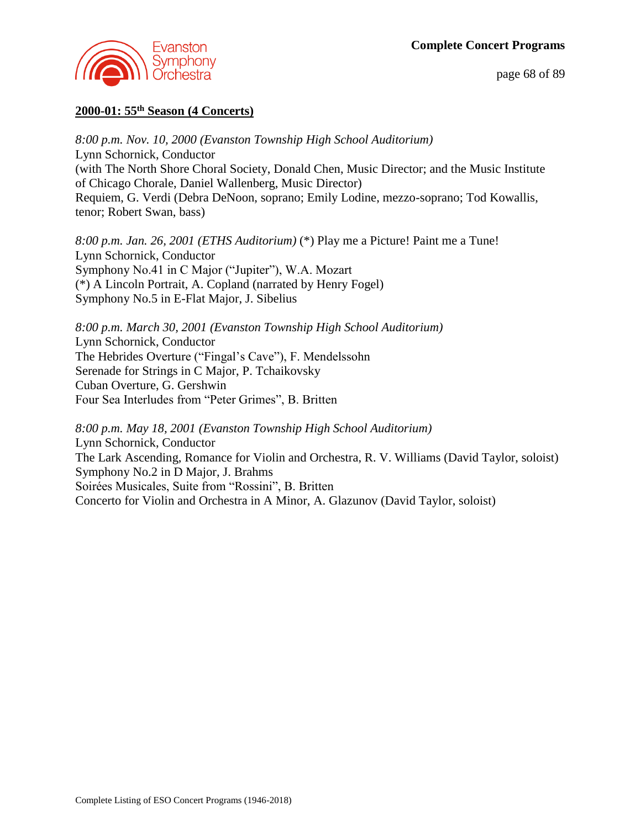

page 68 of 89

## **2000-01: 55th Season (4 Concerts)**

*8:00 p.m. Nov. 10, 2000 (Evanston Township High School Auditorium)* Lynn Schornick, Conductor (with The North Shore Choral Society, Donald Chen, Music Director; and the Music Institute of Chicago Chorale, Daniel Wallenberg, Music Director) Requiem, G. Verdi (Debra DeNoon, soprano; Emily Lodine, mezzo-soprano; Tod Kowallis, tenor; Robert Swan, bass)

*8:00 p.m. Jan. 26, 2001 (ETHS Auditorium)* (\*) Play me a Picture! Paint me a Tune! Lynn Schornick, Conductor Symphony No.41 in C Major ("Jupiter"), W.A. Mozart (\*) A Lincoln Portrait, A. Copland (narrated by Henry Fogel) Symphony No.5 in E-Flat Major, J. Sibelius

*8:00 p.m. March 30, 2001 (Evanston Township High School Auditorium)* Lynn Schornick, Conductor The Hebrides Overture ("Fingal's Cave"), F. Mendelssohn Serenade for Strings in C Major, P. Tchaikovsky Cuban Overture, G. Gershwin Four Sea Interludes from "Peter Grimes", B. Britten

*8:00 p.m. May 18, 2001 (Evanston Township High School Auditorium)* Lynn Schornick, Conductor The Lark Ascending, Romance for Violin and Orchestra, R. V. Williams (David Taylor, soloist) Symphony No.2 in D Major, J. Brahms Soirées Musicales, Suite from "Rossini", B. Britten Concerto for Violin and Orchestra in A Minor, A. Glazunov (David Taylor, soloist)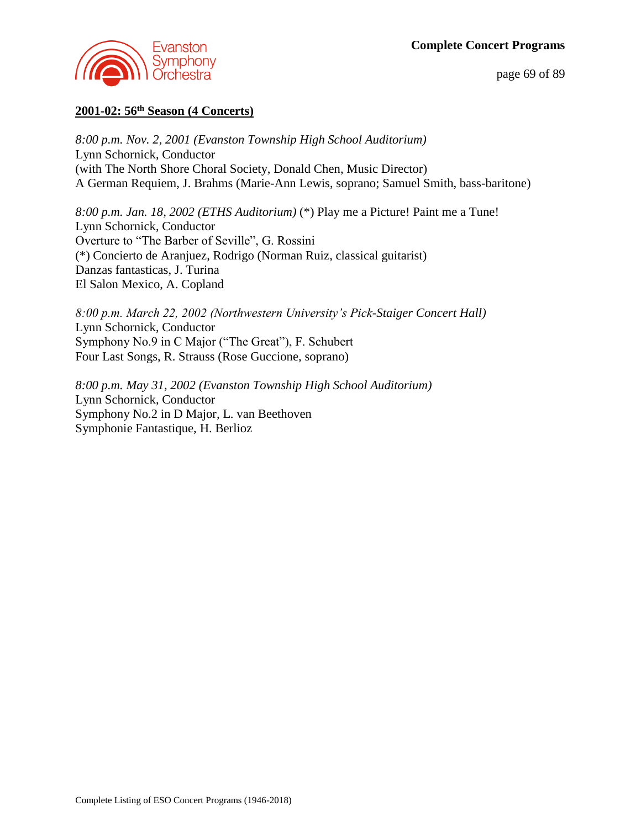

page 69 of 89

## **2001-02: 56th Season (4 Concerts)**

*8:00 p.m. Nov. 2, 2001 (Evanston Township High School Auditorium)* Lynn Schornick, Conductor (with The North Shore Choral Society, Donald Chen, Music Director) A German Requiem, J. Brahms (Marie-Ann Lewis, soprano; Samuel Smith, bass-baritone)

*8:00 p.m. Jan. 18, 2002 (ETHS Auditorium)* (\*) Play me a Picture! Paint me a Tune! Lynn Schornick, Conductor Overture to "The Barber of Seville", G. Rossini (\*) Concierto de Aranjuez, Rodrigo (Norman Ruiz, classical guitarist) Danzas fantasticas, J. Turina El Salon Mexico, A. Copland

*8:00 p.m. March 22, 2002 (Northwestern University's Pick-Staiger Concert Hall)* Lynn Schornick, Conductor Symphony No.9 in C Major ("The Great"), F. Schubert Four Last Songs, R. Strauss (Rose Guccione, soprano)

*8:00 p.m. May 31, 2002 (Evanston Township High School Auditorium)* Lynn Schornick, Conductor Symphony No.2 in D Major, L. van Beethoven Symphonie Fantastique, H. Berlioz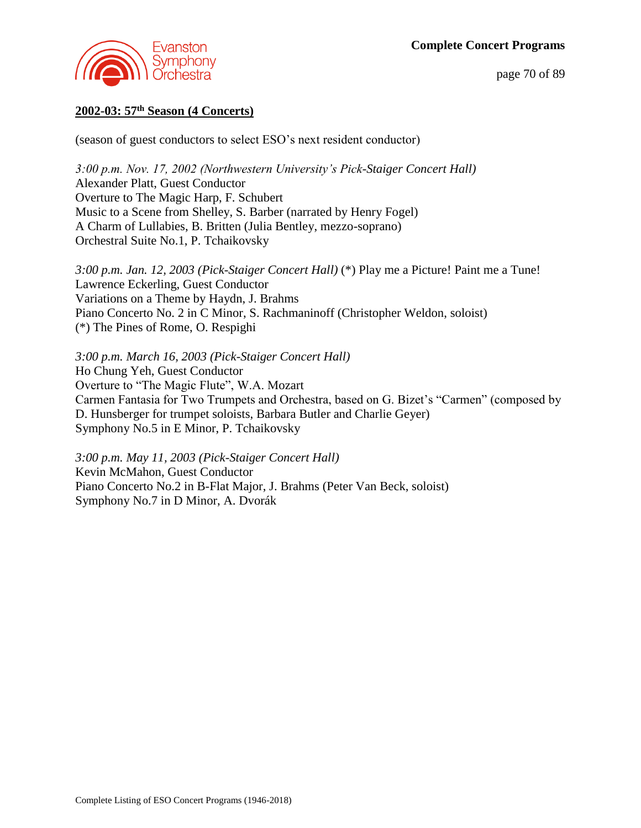

page 70 of 89

# **2002-03: 57th Season (4 Concerts)**

(season of guest conductors to select ESO's next resident conductor)

*3:00 p.m. Nov. 17, 2002 (Northwestern University's Pick-Staiger Concert Hall)* Alexander Platt, Guest Conductor Overture to The Magic Harp, F. Schubert Music to a Scene from Shelley, S. Barber (narrated by Henry Fogel) A Charm of Lullabies, B. Britten (Julia Bentley, mezzo-soprano) Orchestral Suite No.1, P. Tchaikovsky

*3:00 p.m. Jan. 12, 2003 (Pick-Staiger Concert Hall)* (\*) Play me a Picture! Paint me a Tune! Lawrence Eckerling, Guest Conductor Variations on a Theme by Haydn, J. Brahms Piano Concerto No. 2 in C Minor, S. Rachmaninoff (Christopher Weldon, soloist) (\*) The Pines of Rome, O. Respighi

*3:00 p.m. March 16, 2003 (Pick-Staiger Concert Hall)* Ho Chung Yeh, Guest Conductor Overture to "The Magic Flute", W.A. Mozart Carmen Fantasia for Two Trumpets and Orchestra, based on G. Bizet's "Carmen" (composed by D. Hunsberger for trumpet soloists, Barbara Butler and Charlie Geyer) Symphony No.5 in E Minor, P. Tchaikovsky

*3:00 p.m. May 11, 2003 (Pick-Staiger Concert Hall)* Kevin McMahon, Guest Conductor Piano Concerto No.2 in B-Flat Major, J. Brahms (Peter Van Beck, soloist) Symphony No.7 in D Minor, A. Dvorák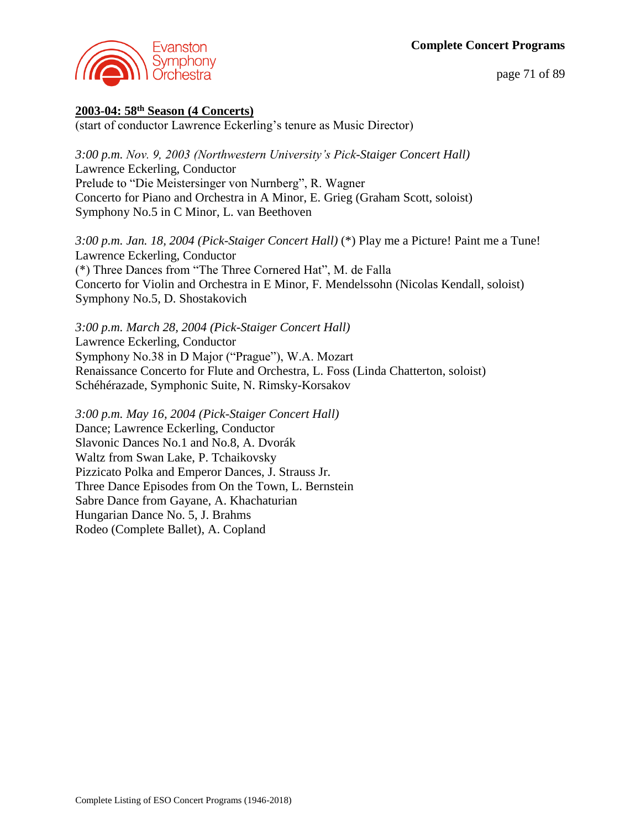

page 71 of 89

#### **2003-04: 58th Season (4 Concerts)**

(start of conductor Lawrence Eckerling's tenure as Music Director)

*3:00 p.m. Nov. 9, 2003 (Northwestern University's Pick-Staiger Concert Hall)* Lawrence Eckerling, Conductor Prelude to "Die Meistersinger von Nurnberg", R. Wagner Concerto for Piano and Orchestra in A Minor, E. Grieg (Graham Scott, soloist) Symphony No.5 in C Minor, L. van Beethoven

*3:00 p.m. Jan. 18, 2004 (Pick-Staiger Concert Hall)* (\*) Play me a Picture! Paint me a Tune! Lawrence Eckerling, Conductor (\*) Three Dances from "The Three Cornered Hat", M. de Falla Concerto for Violin and Orchestra in E Minor, F. Mendelssohn (Nicolas Kendall, soloist) Symphony No.5, D. Shostakovich

*3:00 p.m. March 28, 2004 (Pick-Staiger Concert Hall)* Lawrence Eckerling, Conductor Symphony No.38 in D Major ("Prague"), W.A. Mozart Renaissance Concerto for Flute and Orchestra, L. Foss (Linda Chatterton, soloist) Schéhérazade, Symphonic Suite, N. Rimsky-Korsakov

*3:00 p.m. May 16, 2004 (Pick-Staiger Concert Hall)* Dance; Lawrence Eckerling, Conductor Slavonic Dances No.1 and No.8, A. Dvorák Waltz from Swan Lake, P. Tchaikovsky Pizzicato Polka and Emperor Dances, J. Strauss Jr. Three Dance Episodes from On the Town, L. Bernstein Sabre Dance from Gayane, A. Khachaturian Hungarian Dance No. 5, J. Brahms Rodeo (Complete Ballet), A. Copland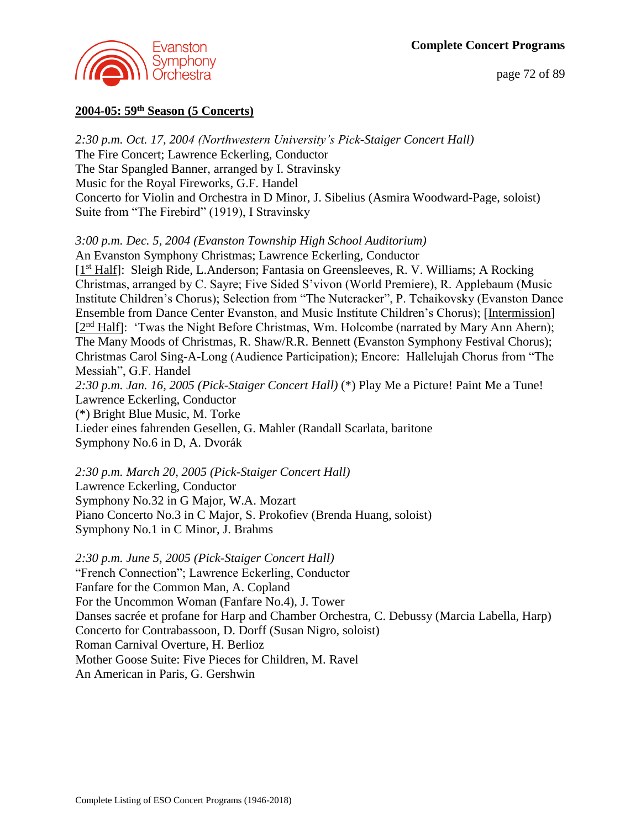



## **2004-05: 59th Season (5 Concerts)**

*2:30 p.m. Oct. 17, 2004 (Northwestern University's Pick-Staiger Concert Hall)* The Fire Concert; Lawrence Eckerling, Conductor The Star Spangled Banner, arranged by I. Stravinsky Music for the Royal Fireworks, G.F. Handel Concerto for Violin and Orchestra in D Minor, J. Sibelius (Asmira Woodward-Page, soloist) Suite from "The Firebird" (1919), I Stravinsky

*3:00 p.m. Dec. 5, 2004 (Evanston Township High School Auditorium)*

An Evanston Symphony Christmas; Lawrence Eckerling, Conductor [1<sup>st</sup> Half]: Sleigh Ride, L.Anderson; Fantasia on Greensleeves, R. V. Williams; A Rocking Christmas, arranged by C. Sayre; Five Sided S'vivon (World Premiere), R. Applebaum (Music Institute Children's Chorus); Selection from "The Nutcracker", P. Tchaikovsky (Evanston Dance Ensemble from Dance Center Evanston, and Music Institute Children's Chorus); [Intermission] [2<sup>nd</sup> Half]: 'Twas the Night Before Christmas, Wm. Holcombe (narrated by Mary Ann Ahern); The Many Moods of Christmas, R. Shaw/R.R. Bennett (Evanston Symphony Festival Chorus); Christmas Carol Sing-A-Long (Audience Participation); Encore: Hallelujah Chorus from "The Messiah", G.F. Handel *2:30 p.m. Jan. 16, 2005 (Pick-Staiger Concert Hall)* (\*) Play Me a Picture! Paint Me a Tune! Lawrence Eckerling, Conductor (\*) Bright Blue Music, M. Torke Lieder eines fahrenden Gesellen, G. Mahler (Randall Scarlata, baritone Symphony No.6 in D, A. Dvorák

*2:30 p.m. March 20, 2005 (Pick-Staiger Concert Hall)* Lawrence Eckerling, Conductor Symphony No.32 in G Major, W.A. Mozart Piano Concerto No.3 in C Major, S. Prokofiev (Brenda Huang, soloist) Symphony No.1 in C Minor, J. Brahms

*2:30 p.m. June 5, 2005 (Pick-Staiger Concert Hall)* "French Connection"; Lawrence Eckerling, Conductor Fanfare for the Common Man, A. Copland For the Uncommon Woman (Fanfare No.4), J. Tower Danses sacrée et profane for Harp and Chamber Orchestra, C. Debussy (Marcia Labella, Harp) Concerto for Contrabassoon, D. Dorff (Susan Nigro, soloist) Roman Carnival Overture, H. Berlioz Mother Goose Suite: Five Pieces for Children, M. Ravel An American in Paris, G. Gershwin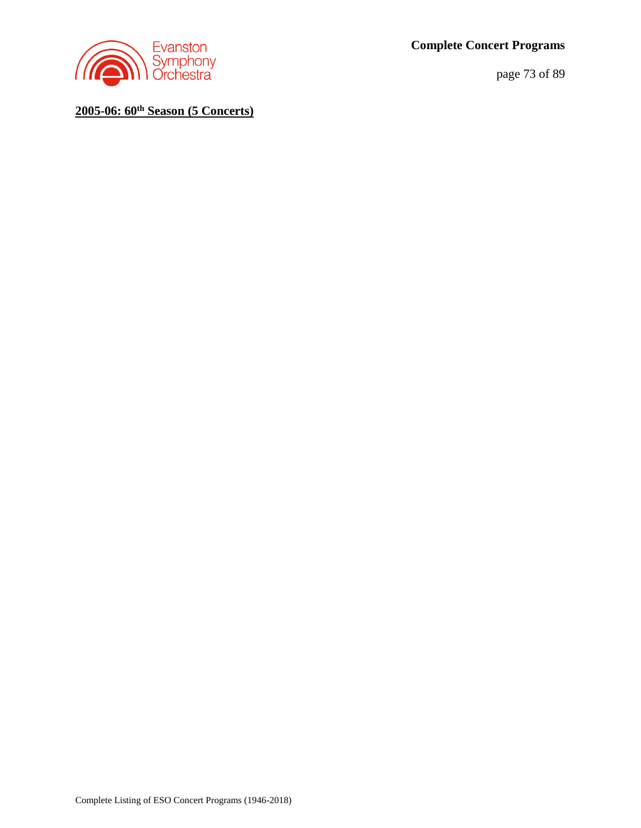





**2005-06: 60th Season (5 Concerts)**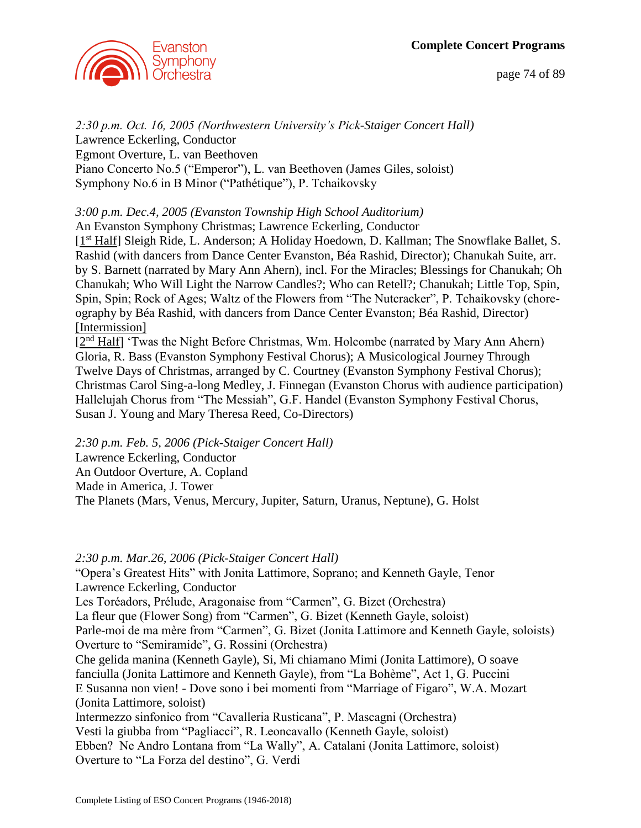#### **Complete Concert Programs**



page 74 of 89

*2:30 p.m. Oct. 16, 2005 (Northwestern University's Pick-Staiger Concert Hall)* Lawrence Eckerling, Conductor Egmont Overture, L. van Beethoven Piano Concerto No.5 ("Emperor"), L. van Beethoven (James Giles, soloist) Symphony No.6 in B Minor ("Pathétique"), P. Tchaikovsky

### *3:00 p.m. Dec.4, 2005 (Evanston Township High School Auditorium)*

An Evanston Symphony Christmas; Lawrence Eckerling, Conductor

[1<sup>st</sup> Half] Sleigh Ride, L. Anderson; A Holiday Hoedown, D. Kallman; The Snowflake Ballet, S. Rashid (with dancers from Dance Center Evanston, Béa Rashid, Director); Chanukah Suite, arr. by S. Barnett (narrated by Mary Ann Ahern), incl. For the Miracles; Blessings for Chanukah; Oh Chanukah; Who Will Light the Narrow Candles?; Who can Retell?; Chanukah; Little Top, Spin, Spin, Spin; Rock of Ages; Waltz of the Flowers from "The Nutcracker", P. Tchaikovsky (choreography by Béa Rashid, with dancers from Dance Center Evanston; Béa Rashid, Director) [Intermission]

[2<sup>nd</sup> Half] 'Twas the Night Before Christmas, Wm. Holcombe (narrated by Mary Ann Ahern) Gloria, R. Bass (Evanston Symphony Festival Chorus); A Musicological Journey Through Twelve Days of Christmas, arranged by C. Courtney (Evanston Symphony Festival Chorus); Christmas Carol Sing-a-long Medley, J. Finnegan (Evanston Chorus with audience participation) Hallelujah Chorus from "The Messiah", G.F. Handel (Evanston Symphony Festival Chorus, Susan J. Young and Mary Theresa Reed, Co-Directors)

*2:30 p.m. Feb. 5, 2006 (Pick-Staiger Concert Hall)*

Lawrence Eckerling, Conductor An Outdoor Overture, A. Copland Made in America, J. Tower The Planets (Mars, Venus, Mercury, Jupiter, Saturn, Uranus, Neptune), G. Holst

*2:30 p.m. Mar.26, 2006 (Pick-Staiger Concert Hall)* "Opera's Greatest Hits" with Jonita Lattimore, Soprano; and Kenneth Gayle, Tenor Lawrence Eckerling, Conductor Les Toréadors, Prélude, Aragonaise from "Carmen", G. Bizet (Orchestra) La fleur que (Flower Song) from "Carmen", G. Bizet (Kenneth Gayle, soloist) Parle-moi de ma mère from "Carmen", G. Bizet (Jonita Lattimore and Kenneth Gayle, soloists) Overture to "Semiramide", G. Rossini (Orchestra) Che gelida manina (Kenneth Gayle), Si, Mi chiamano Mimi (Jonita Lattimore), O soave fanciulla (Jonita Lattimore and Kenneth Gayle), from "La Bohème", Act 1, G. Puccini E Susanna non vien! - Dove sono i bei momenti from "Marriage of Figaro", W.A. Mozart (Jonita Lattimore, soloist) Intermezzo sinfonico from "Cavalleria Rusticana", P. Mascagni (Orchestra) Vesti la giubba from "Pagliacci", R. Leoncavallo (Kenneth Gayle, soloist) Ebben? Ne Andro Lontana from "La Wally", A. Catalani (Jonita Lattimore, soloist) Overture to "La Forza del destino", G. Verdi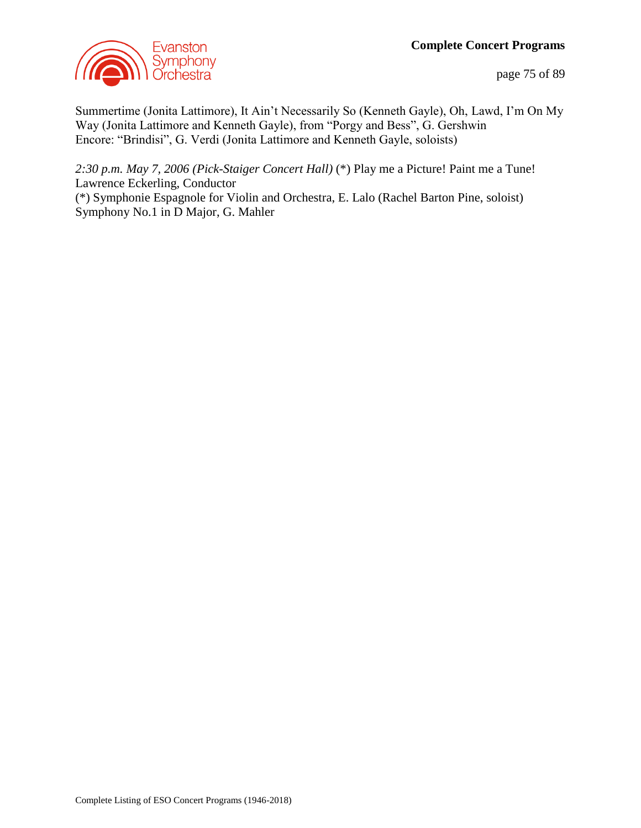

page 75 of 89

Summertime (Jonita Lattimore), It Ain't Necessarily So (Kenneth Gayle), Oh, Lawd, I'm On My Way (Jonita Lattimore and Kenneth Gayle), from "Porgy and Bess", G. Gershwin Encore: "Brindisi", G. Verdi (Jonita Lattimore and Kenneth Gayle, soloists)

*2:30 p.m. May 7, 2006 (Pick-Staiger Concert Hall)* (\*) Play me a Picture! Paint me a Tune! Lawrence Eckerling, Conductor (\*) Symphonie Espagnole for Violin and Orchestra, E. Lalo (Rachel Barton Pine, soloist) Symphony No.1 in D Major, G. Mahler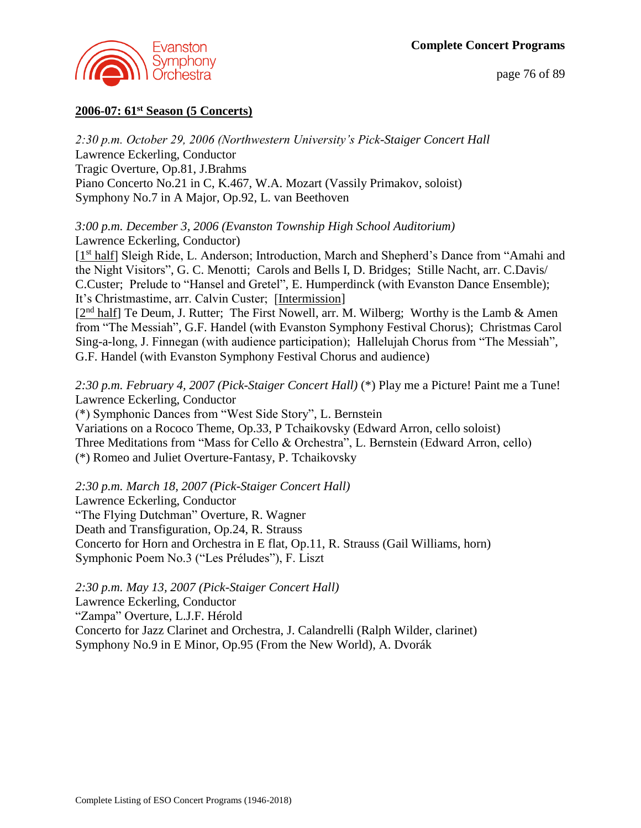



#### **2006-07: 61st Season (5 Concerts)**

*2:30 p.m. October 29, 2006 (Northwestern University's Pick-Staiger Concert Hall*  Lawrence Eckerling, Conductor Tragic Overture, Op.81, J.Brahms Piano Concerto No.21 in C, K.467, W.A. Mozart (Vassily Primakov, soloist) Symphony No.7 in A Major, Op.92, L. van Beethoven

*3:00 p.m. December 3, 2006 (Evanston Township High School Auditorium)* Lawrence Eckerling, Conductor)

[1<sup>st</sup> half] Sleigh Ride, L. Anderson; Introduction, March and Shepherd's Dance from "Amahi and the Night Visitors", G. C. Menotti; Carols and Bells I, D. Bridges; Stille Nacht, arr. C.Davis/ C.Custer; Prelude to "Hansel and Gretel", E. Humperdinck (with Evanston Dance Ensemble); It's Christmastime, arr. Calvin Custer; [Intermission]

[2<sup>nd</sup> half] Te Deum, J. Rutter; The First Nowell, arr. M. Wilberg; Worthy is the Lamb & Amen from "The Messiah", G.F. Handel (with Evanston Symphony Festival Chorus); Christmas Carol Sing-a-long, J. Finnegan (with audience participation); Hallelujah Chorus from "The Messiah", G.F. Handel (with Evanston Symphony Festival Chorus and audience)

*2:30 p.m. February 4, 2007 (Pick-Staiger Concert Hall)* (\*) Play me a Picture! Paint me a Tune! Lawrence Eckerling, Conductor

(\*) Symphonic Dances from "West Side Story", L. Bernstein Variations on a Rococo Theme, Op.33, P Tchaikovsky (Edward Arron, cello soloist) Three Meditations from "Mass for Cello & Orchestra", L. Bernstein (Edward Arron, cello) (\*) Romeo and Juliet Overture-Fantasy, P. Tchaikovsky

*2:30 p.m. March 18, 2007 (Pick-Staiger Concert Hall)*

Lawrence Eckerling, Conductor "The Flying Dutchman" Overture, R. Wagner Death and Transfiguration, Op.24, R. Strauss Concerto for Horn and Orchestra in E flat, Op.11, R. Strauss (Gail Williams, horn) Symphonic Poem No.3 ("Les Préludes"), F. Liszt

*2:30 p.m. May 13, 2007 (Pick-Staiger Concert Hall)*

Lawrence Eckerling, Conductor "Zampa" Overture, L.J.F. Hérold Concerto for Jazz Clarinet and Orchestra, J. Calandrelli (Ralph Wilder, clarinet) Symphony No.9 in E Minor, Op.95 (From the New World), A. Dvorák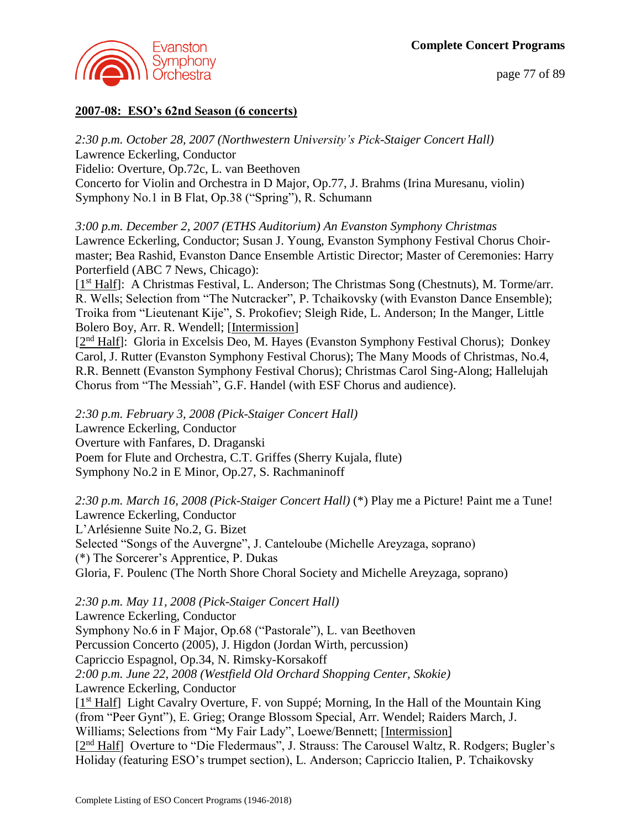



## **2007-08: ESO's 62nd Season (6 concerts)**

*2:30 p.m. October 28, 2007 (Northwestern University's Pick-Staiger Concert Hall)* Lawrence Eckerling, Conductor Fidelio: Overture, Op.72c, L. van Beethoven Concerto for Violin and Orchestra in D Major, Op.77, J. Brahms (Irina Muresanu, violin) Symphony No.1 in B Flat, Op.38 ("Spring"), R. Schumann

*3:00 p.m. December 2, 2007 (ETHS Auditorium) An Evanston Symphony Christmas* Lawrence Eckerling, Conductor; Susan J. Young, Evanston Symphony Festival Chorus Choirmaster; Bea Rashid, Evanston Dance Ensemble Artistic Director; Master of Ceremonies: Harry Porterfield (ABC 7 News, Chicago):

[1<sup>st</sup> Half]: A Christmas Festival, L. Anderson; The Christmas Song (Chestnuts), M. Torme/arr. R. Wells; Selection from "The Nutcracker", P. Tchaikovsky (with Evanston Dance Ensemble); Troika from "Lieutenant Kije", S. Prokofiev; Sleigh Ride, L. Anderson; In the Manger, Little Bolero Boy, Arr. R. Wendell; [Intermission]

[2<sup>nd</sup> Half]: Gloria in Excelsis Deo, M. Hayes (Evanston Symphony Festival Chorus); Donkey Carol, J. Rutter (Evanston Symphony Festival Chorus); The Many Moods of Christmas, No.4, R.R. Bennett (Evanston Symphony Festival Chorus); Christmas Carol Sing-Along; Hallelujah Chorus from "The Messiah", G.F. Handel (with ESF Chorus and audience).

*2:30 p.m. February 3, 2008 (Pick-Staiger Concert Hall)* Lawrence Eckerling, Conductor Overture with Fanfares, D. Draganski Poem for Flute and Orchestra, C.T. Griffes (Sherry Kujala, flute) Symphony No.2 in E Minor, Op.27, S. Rachmaninoff

*2:30 p.m. March 16, 2008 (Pick-Staiger Concert Hall)* (\*) Play me a Picture! Paint me a Tune! Lawrence Eckerling, Conductor L'Arlésienne Suite No.2, G. Bizet Selected "Songs of the Auvergne", J. Canteloube (Michelle Areyzaga, soprano) (\*) The Sorcerer's Apprentice, P. Dukas Gloria, F. Poulenc (The North Shore Choral Society and Michelle Areyzaga, soprano)

*2:30 p.m. May 11, 2008 (Pick-Staiger Concert Hall)* Lawrence Eckerling, Conductor Symphony No.6 in F Major, Op.68 ("Pastorale"), L. van Beethoven Percussion Concerto (2005), J. Higdon (Jordan Wirth, percussion) Capriccio Espagnol, Op.34, N. Rimsky-Korsakoff *2:00 p.m. June 22, 2008 (Westfield Old Orchard Shopping Center, Skokie)* Lawrence Eckerling, Conductor [1<sup>st</sup> Half] Light Cavalry Overture, F. von Suppé; Morning, In the Hall of the Mountain King (from "Peer Gynt"), E. Grieg; Orange Blossom Special, Arr. Wendel; Raiders March, J. Williams; Selections from "My Fair Lady", Loewe/Bennett; [Intermission] [2<sup>nd</sup> Half] Overture to "Die Fledermaus", J. Strauss: The Carousel Waltz, R. Rodgers; Bugler's Holiday (featuring ESO's trumpet section), L. Anderson; Capriccio Italien, P. Tchaikovsky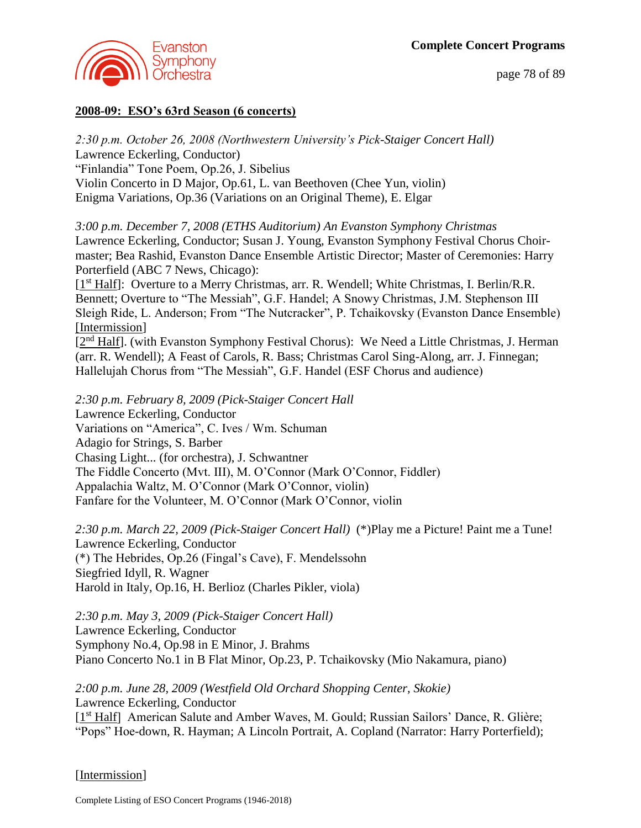



### **2008-09: ESO's 63rd Season (6 concerts)**

*2:30 p.m. October 26, 2008 (Northwestern University's Pick-Staiger Concert Hall)* Lawrence Eckerling, Conductor) "Finlandia" Tone Poem, Op.26, J. Sibelius Violin Concerto in D Major, Op.61, L. van Beethoven (Chee Yun, violin) Enigma Variations, Op.36 (Variations on an Original Theme), E. Elgar

*3:00 p.m. December 7, 2008 (ETHS Auditorium) An Evanston Symphony Christmas* Lawrence Eckerling, Conductor; Susan J. Young, Evanston Symphony Festival Chorus Choirmaster; Bea Rashid, Evanston Dance Ensemble Artistic Director; Master of Ceremonies: Harry Porterfield (ABC 7 News, Chicago):

[1<sup>st</sup> Half]: Overture to a Merry Christmas, arr. R. Wendell; White Christmas, I. Berlin/R.R. Bennett; Overture to "The Messiah", G.F. Handel; A Snowy Christmas, J.M. Stephenson III Sleigh Ride, L. Anderson; From "The Nutcracker", P. Tchaikovsky (Evanston Dance Ensemble) [Intermission]

[2<sup>nd</sup> Half]. (with Evanston Symphony Festival Chorus): We Need a Little Christmas, J. Herman (arr. R. Wendell); A Feast of Carols, R. Bass; Christmas Carol Sing-Along, arr. J. Finnegan; Hallelujah Chorus from "The Messiah", G.F. Handel (ESF Chorus and audience)

*2:30 p.m. February 8, 2009 (Pick-Staiger Concert Hall* Lawrence Eckerling, Conductor Variations on "America", C. Ives / Wm. Schuman Adagio for Strings, S. Barber Chasing Light... (for orchestra), J. Schwantner The Fiddle Concerto (Mvt. III), M. O'Connor (Mark O'Connor, Fiddler) Appalachia Waltz, M. O'Connor (Mark O'Connor, violin) Fanfare for the Volunteer, M. O'Connor (Mark O'Connor, violin

*2:30 p.m. March 22, 2009 (Pick-Staiger Concert Hall)* (\*)Play me a Picture! Paint me a Tune! Lawrence Eckerling, Conductor (\*) The Hebrides, Op.26 (Fingal's Cave), F. Mendelssohn Siegfried Idyll, R. Wagner Harold in Italy, Op.16, H. Berlioz (Charles Pikler, viola)

*2:30 p.m. May 3, 2009 (Pick-Staiger Concert Hall)* Lawrence Eckerling, Conductor Symphony No.4, Op.98 in E Minor, J. Brahms Piano Concerto No.1 in B Flat Minor, Op.23, P. Tchaikovsky (Mio Nakamura, piano)

*2:00 p.m. June 28, 2009 (Westfield Old Orchard Shopping Center, Skokie)* Lawrence Eckerling, Conductor [1<sup>st</sup> Half] American Salute and Amber Waves, M. Gould; Russian Sailors' Dance, R. Glière; "Pops" Hoe-down, R. Hayman; A Lincoln Portrait, A. Copland (Narrator: Harry Porterfield);

[Intermission]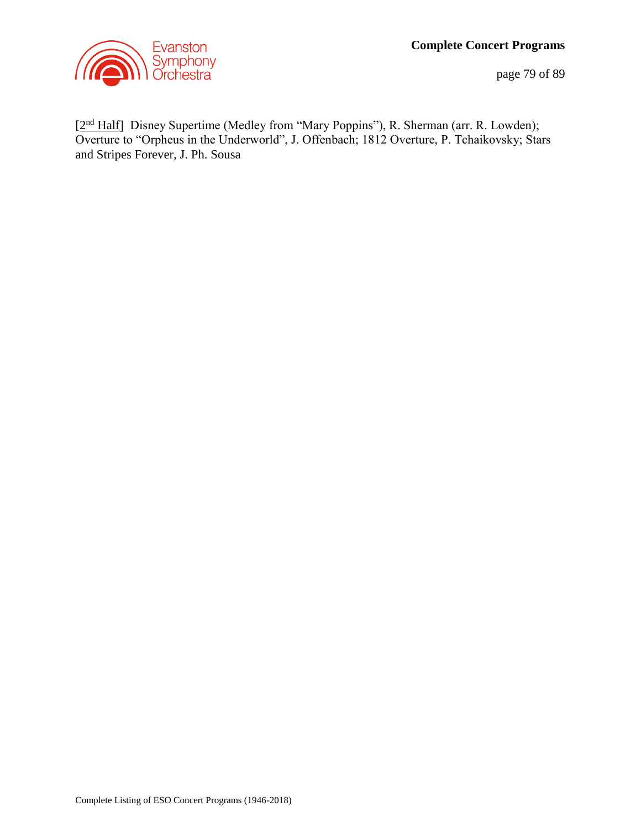**Complete Concert Programs**



page 79 of 89

[2<sup>nd</sup> Half] Disney Supertime (Medley from "Mary Poppins"), R. Sherman (arr. R. Lowden); Overture to "Orpheus in the Underworld", J. Offenbach; 1812 Overture, P. Tchaikovsky; Stars and Stripes Forever, J. Ph. Sousa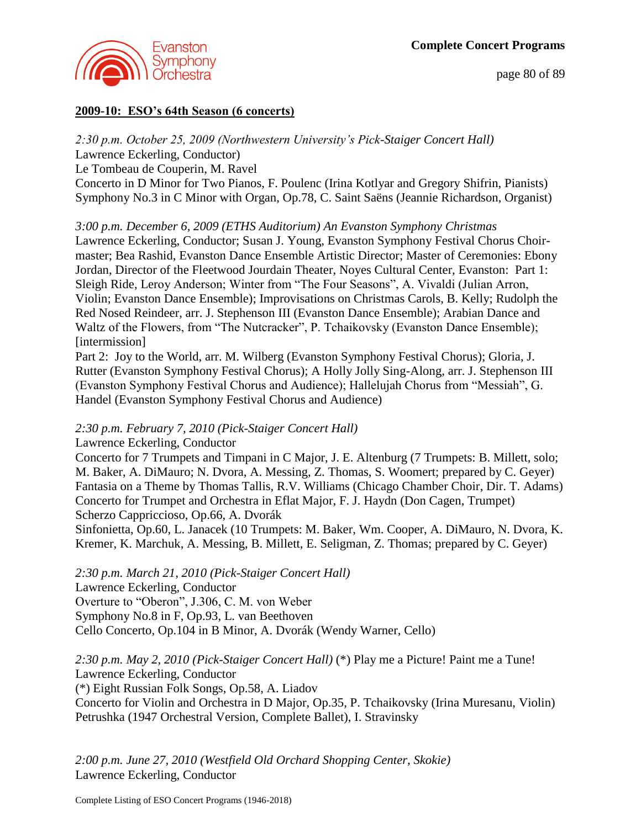



### **2009-10: ESO's 64th Season (6 concerts)**

*2:30 p.m. October 25, 2009 (Northwestern University's Pick-Staiger Concert Hall)* Lawrence Eckerling, Conductor)

Le Tombeau de Couperin, M. Ravel

Concerto in D Minor for Two Pianos, F. Poulenc (Irina Kotlyar and Gregory Shifrin, Pianists) Symphony No.3 in C Minor with Organ, Op.78, C. Saint Saëns (Jeannie Richardson, Organist)

*3:00 p.m. December 6, 2009 (ETHS Auditorium) An Evanston Symphony Christmas*

Lawrence Eckerling, Conductor; Susan J. Young, Evanston Symphony Festival Chorus Choirmaster; Bea Rashid, Evanston Dance Ensemble Artistic Director; Master of Ceremonies: Ebony Jordan, Director of the Fleetwood Jourdain Theater, Noyes Cultural Center, Evanston: Part 1: Sleigh Ride, Leroy Anderson; Winter from "The Four Seasons", A. Vivaldi (Julian Arron, Violin; Evanston Dance Ensemble); Improvisations on Christmas Carols, B. Kelly; Rudolph the Red Nosed Reindeer, arr. J. Stephenson III (Evanston Dance Ensemble); Arabian Dance and Waltz of the Flowers, from "The Nutcracker", P. Tchaikovsky (Evanston Dance Ensemble); [intermission]

Part 2: Joy to the World, arr. M. Wilberg (Evanston Symphony Festival Chorus); Gloria, J. Rutter (Evanston Symphony Festival Chorus); A Holly Jolly Sing-Along, arr. J. Stephenson III (Evanston Symphony Festival Chorus and Audience); Hallelujah Chorus from "Messiah", G. Handel (Evanston Symphony Festival Chorus and Audience)

### *2:30 p.m. February 7, 2010 (Pick-Staiger Concert Hall)*

Lawrence Eckerling, Conductor

Concerto for 7 Trumpets and Timpani in C Major, J. E. Altenburg (7 Trumpets: B. Millett, solo; M. Baker, A. DiMauro; N. Dvora, A. Messing, Z. Thomas, S. Woomert; prepared by C. Geyer) Fantasia on a Theme by Thomas Tallis, R.V. Williams (Chicago Chamber Choir, Dir. T. Adams) Concerto for Trumpet and Orchestra in Eflat Major, F. J. Haydn (Don Cagen, Trumpet) Scherzo Cappriccioso, Op.66, A. Dvorák

Sinfonietta, Op.60, L. Janacek (10 Trumpets: M. Baker, Wm. Cooper, A. DiMauro, N. Dvora, K. Kremer, K. Marchuk, A. Messing, B. Millett, E. Seligman, Z. Thomas; prepared by C. Geyer)

*2:30 p.m. March 21, 2010 (Pick-Staiger Concert Hall)*

Lawrence Eckerling, Conductor Overture to "Oberon", J.306, C. M. von Weber Symphony No.8 in F, Op.93, L. van Beethoven Cello Concerto, Op.104 in B Minor, A. Dvorák (Wendy Warner, Cello)

*2:30 p.m. May 2, 2010 (Pick-Staiger Concert Hall)* (\*) Play me a Picture! Paint me a Tune! Lawrence Eckerling, Conductor (\*) Eight Russian Folk Songs, Op.58, A. Liadov Concerto for Violin and Orchestra in D Major, Op.35, P. Tchaikovsky (Irina Muresanu, Violin) Petrushka (1947 Orchestral Version, Complete Ballet), I. Stravinsky

*2:00 p.m. June 27, 2010 (Westfield Old Orchard Shopping Center, Skokie)* Lawrence Eckerling, Conductor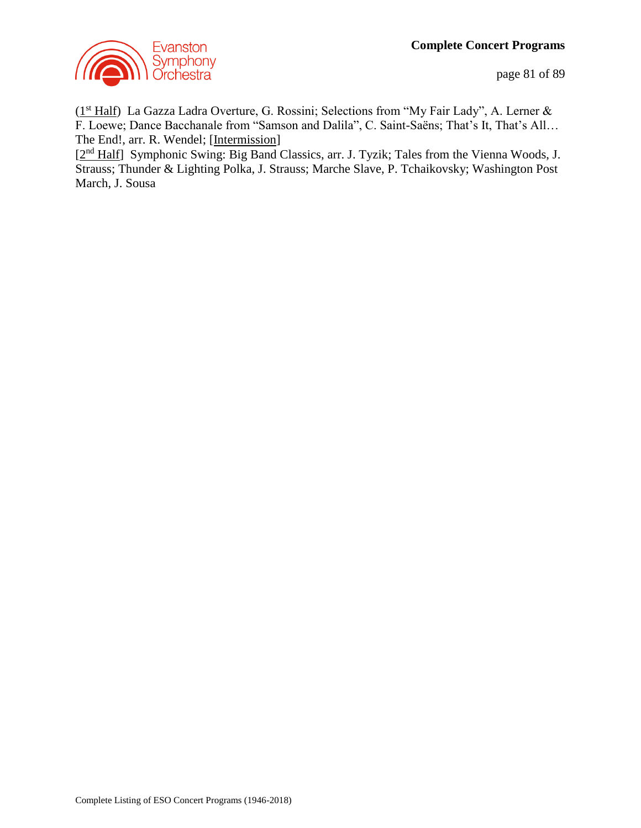

page 81 of 89

(1<sup>st</sup> Half) La Gazza Ladra Overture, G. Rossini; Selections from "My Fair Lady", A. Lerner & F. Loewe; Dance Bacchanale from "Samson and Dalila", C. Saint-Saëns; That's It, That's All… The End!, arr. R. Wendel; [Intermission]

[2<sup>nd</sup> Half] Symphonic Swing: Big Band Classics, arr. J. Tyzik; Tales from the Vienna Woods, J. Strauss; Thunder & Lighting Polka, J. Strauss; Marche Slave, P. Tchaikovsky; Washington Post March, J. Sousa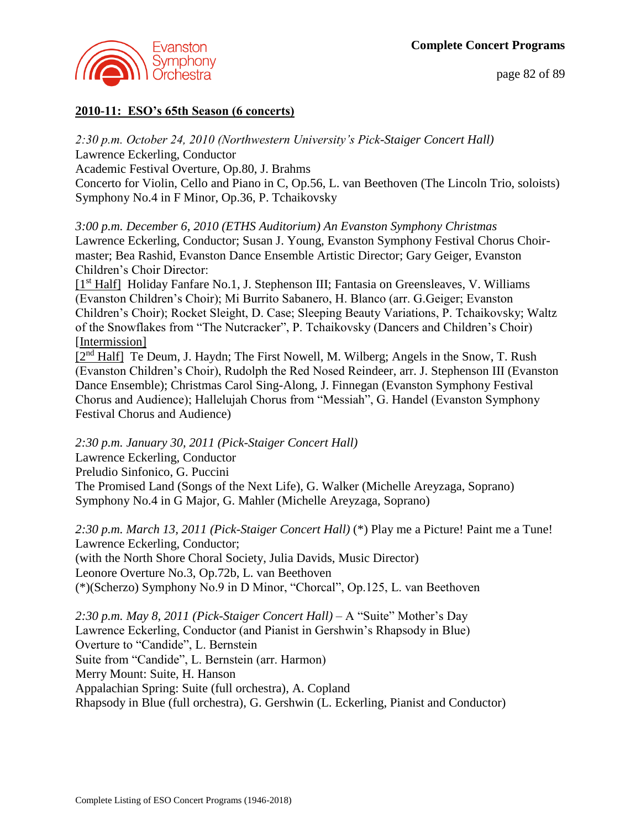

### **2010-11: ESO's 65th Season (6 concerts)**

*2:30 p.m. October 24, 2010 (Northwestern University's Pick-Staiger Concert Hall)* Lawrence Eckerling, Conductor Academic Festival Overture, Op.80, J. Brahms Concerto for Violin, Cello and Piano in C, Op.56, L. van Beethoven (The Lincoln Trio, soloists) Symphony No.4 in F Minor, Op.36, P. Tchaikovsky

*3:00 p.m. December 6, 2010 (ETHS Auditorium) An Evanston Symphony Christmas* Lawrence Eckerling, Conductor; Susan J. Young, Evanston Symphony Festival Chorus Choirmaster; Bea Rashid, Evanston Dance Ensemble Artistic Director; Gary Geiger, Evanston Children's Choir Director:

[1st Half] Holiday Fanfare No.1, J. Stephenson III; Fantasia on Greensleaves, V. Williams (Evanston Children's Choir); Mi Burrito Sabanero, H. Blanco (arr. G.Geiger; Evanston Children's Choir); Rocket Sleight, D. Case; Sleeping Beauty Variations, P. Tchaikovsky; Waltz of the Snowflakes from "The Nutcracker", P. Tchaikovsky (Dancers and Children's Choir) [Intermission]

[2<sup>nd</sup> Half] Te Deum, J. Haydn; The First Nowell, M. Wilberg; Angels in the Snow, T. Rush (Evanston Children's Choir), Rudolph the Red Nosed Reindeer, arr. J. Stephenson III (Evanston Dance Ensemble); Christmas Carol Sing-Along, J. Finnegan (Evanston Symphony Festival Chorus and Audience); Hallelujah Chorus from "Messiah", G. Handel (Evanston Symphony Festival Chorus and Audience)

*2:30 p.m. January 30, 2011 (Pick-Staiger Concert Hall)* Lawrence Eckerling, Conductor Preludio Sinfonico, G. Puccini The Promised Land (Songs of the Next Life), G. Walker (Michelle Areyzaga, Soprano) Symphony No.4 in G Major, G. Mahler (Michelle Areyzaga, Soprano)

*2:30 p.m. March 13, 2011 (Pick-Staiger Concert Hall)* (\*) Play me a Picture! Paint me a Tune! Lawrence Eckerling, Conductor; (with the North Shore Choral Society, Julia Davids, Music Director) Leonore Overture No.3, Op.72b, L. van Beethoven (\*)(Scherzo) Symphony No.9 in D Minor, "Chorcal", Op.125, L. van Beethoven

*2:30 p.m. May 8, 2011 (Pick-Staiger Concert Hall)* – A "Suite" Mother's Day Lawrence Eckerling, Conductor (and Pianist in Gershwin's Rhapsody in Blue) Overture to "Candide", L. Bernstein Suite from "Candide", L. Bernstein (arr. Harmon) Merry Mount: Suite, H. Hanson Appalachian Spring: Suite (full orchestra), A. Copland Rhapsody in Blue (full orchestra), G. Gershwin (L. Eckerling, Pianist and Conductor)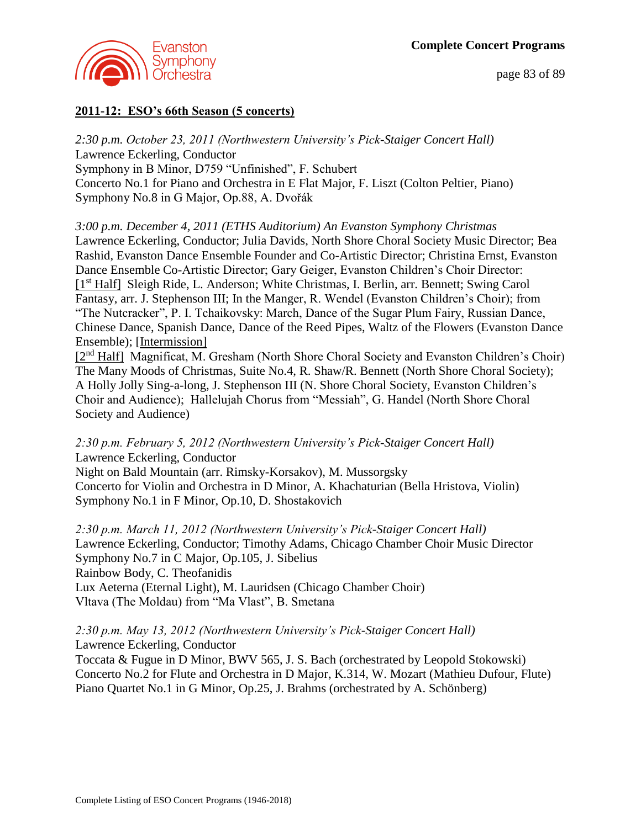



### **2011-12: ESO's 66th Season (5 concerts)**

*2:30 p.m. October 23, 2011 (Northwestern University's Pick-Staiger Concert Hall)* Lawrence Eckerling, Conductor Symphony in B Minor, D759 "Unfinished", F. Schubert Concerto No.1 for Piano and Orchestra in E Flat Major, F. Liszt (Colton Peltier, Piano) Symphony No.8 in G Major, Op.88, A. Dvořák

*3:00 p.m. December 4, 2011 (ETHS Auditorium) An Evanston Symphony Christmas* Lawrence Eckerling, Conductor; Julia Davids, North Shore Choral Society Music Director; Bea

Rashid, Evanston Dance Ensemble Founder and Co-Artistic Director; Christina Ernst, Evanston Dance Ensemble Co-Artistic Director; Gary Geiger, Evanston Children's Choir Director: [1<sup>st</sup> Half] Sleigh Ride, L. Anderson; White Christmas, I. Berlin, arr. Bennett; Swing Carol Fantasy, arr. J. Stephenson III; In the Manger, R. Wendel (Evanston Children's Choir); from "The Nutcracker", P. I. Tchaikovsky: March, Dance of the Sugar Plum Fairy, Russian Dance, Chinese Dance, Spanish Dance, Dance of the Reed Pipes, Waltz of the Flowers (Evanston Dance Ensemble); [Intermission]

[2<sup>nd</sup> Half] Magnificat, M. Gresham (North Shore Choral Society and Evanston Children's Choir) The Many Moods of Christmas, Suite No.4, R. Shaw/R. Bennett (North Shore Choral Society); A Holly Jolly Sing-a-long, J. Stephenson III (N. Shore Choral Society, Evanston Children's Choir and Audience); Hallelujah Chorus from "Messiah", G. Handel (North Shore Choral Society and Audience)

*2:30 p.m. February 5, 2012 (Northwestern University's Pick-Staiger Concert Hall)* Lawrence Eckerling, Conductor Night on Bald Mountain (arr. Rimsky-Korsakov), M. Mussorgsky Concerto for Violin and Orchestra in D Minor, A. Khachaturian (Bella Hristova, Violin) Symphony No.1 in F Minor, Op.10, D. Shostakovich

*2:30 p.m. March 11, 2012 (Northwestern University's Pick-Staiger Concert Hall)* Lawrence Eckerling, Conductor; Timothy Adams, Chicago Chamber Choir Music Director Symphony No.7 in C Major, Op.105, J. Sibelius Rainbow Body, C. Theofanidis Lux Aeterna (Eternal Light), M. Lauridsen (Chicago Chamber Choir) Vltava (The Moldau) from "Ma Vlast", B. Smetana

*2:30 p.m. May 13, 2012 (Northwestern University's Pick-Staiger Concert Hall)* Lawrence Eckerling, Conductor

Toccata & Fugue in D Minor, BWV 565, J. S. Bach (orchestrated by Leopold Stokowski) Concerto No.2 for Flute and Orchestra in D Major, K.314, W. Mozart (Mathieu Dufour, Flute) Piano Quartet No.1 in G Minor, Op.25, J. Brahms (orchestrated by A. Schönberg)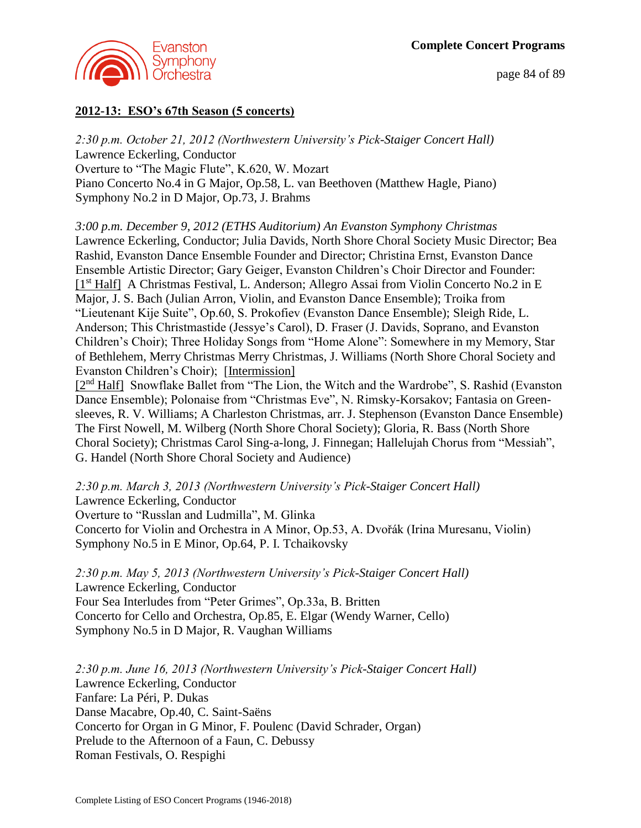



## **2012-13: ESO's 67th Season (5 concerts)**

*2:30 p.m. October 21, 2012 (Northwestern University's Pick-Staiger Concert Hall)* Lawrence Eckerling, Conductor Overture to "The Magic Flute", K.620, W. Mozart Piano Concerto No.4 in G Major, Op.58, L. van Beethoven (Matthew Hagle, Piano) Symphony No.2 in D Major, Op.73, J. Brahms

*3:00 p.m. December 9, 2012 (ETHS Auditorium) An Evanston Symphony Christmas* Lawrence Eckerling, Conductor; Julia Davids, North Shore Choral Society Music Director; Bea Rashid, Evanston Dance Ensemble Founder and Director; Christina Ernst, Evanston Dance Ensemble Artistic Director; Gary Geiger, Evanston Children's Choir Director and Founder: [1st Half] A Christmas Festival, L. Anderson; Allegro Assai from Violin Concerto No.2 in E Major, J. S. Bach (Julian Arron, Violin, and Evanston Dance Ensemble); Troika from "Lieutenant Kije Suite", Op.60, S. Prokofiev (Evanston Dance Ensemble); Sleigh Ride, L. Anderson; This Christmastide (Jessye's Carol), D. Fraser (J. Davids, Soprano, and Evanston Children's Choir); Three Holiday Songs from "Home Alone": Somewhere in my Memory, Star of Bethlehem, Merry Christmas Merry Christmas, J. Williams (North Shore Choral Society and Evanston Children's Choir); [Intermission]

[2<sup>nd</sup> Half] Snowflake Ballet from "The Lion, the Witch and the Wardrobe", S. Rashid (Evanston Dance Ensemble); Polonaise from "Christmas Eve", N. Rimsky-Korsakov; Fantasia on Greensleeves, R. V. Williams; A Charleston Christmas, arr. J. Stephenson (Evanston Dance Ensemble) The First Nowell, M. Wilberg (North Shore Choral Society); Gloria, R. Bass (North Shore Choral Society); Christmas Carol Sing-a-long, J. Finnegan; Hallelujah Chorus from "Messiah", G. Handel (North Shore Choral Society and Audience)

*2:30 p.m. March 3, 2013 (Northwestern University's Pick-Staiger Concert Hall)*

Lawrence Eckerling, Conductor Overture to "Russlan and Ludmilla", M. Glinka Concerto for Violin and Orchestra in A Minor, Op.53, A. Dvořák (Irina Muresanu, Violin) Symphony No.5 in E Minor, Op.64, P. I. Tchaikovsky

*2:30 p.m. May 5, 2013 (Northwestern University's Pick-Staiger Concert Hall)* Lawrence Eckerling, Conductor Four Sea Interludes from "Peter Grimes", Op.33a, B. Britten Concerto for Cello and Orchestra, Op.85, E. Elgar (Wendy Warner, Cello) Symphony No.5 in D Major, R. Vaughan Williams

*2:30 p.m. June 16, 2013 (Northwestern University's Pick-Staiger Concert Hall)* Lawrence Eckerling, Conductor Fanfare: La Péri, P. Dukas Danse Macabre, Op.40, C. Saint-Saëns Concerto for Organ in G Minor, F. Poulenc (David Schrader, Organ) Prelude to the Afternoon of a Faun, C. Debussy Roman Festivals, O. Respighi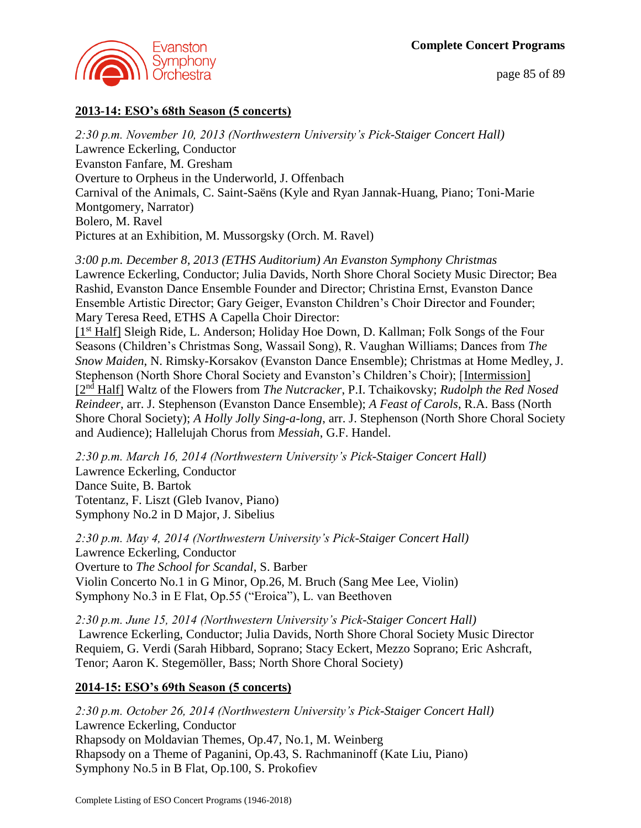



### **2013-14: ESO's 68th Season (5 concerts)**

*2:30 p.m. November 10, 2013 (Northwestern University's Pick-Staiger Concert Hall)* Lawrence Eckerling, Conductor Evanston Fanfare, M. Gresham Overture to Orpheus in the Underworld, J. Offenbach Carnival of the Animals, C. Saint-Saëns (Kyle and Ryan Jannak-Huang, Piano; Toni-Marie Montgomery, Narrator) Bolero, M. Ravel Pictures at an Exhibition, M. Mussorgsky (Orch. M. Ravel)

*3:00 p.m. December 8, 2013 (ETHS Auditorium) An Evanston Symphony Christmas* Lawrence Eckerling, Conductor; Julia Davids, North Shore Choral Society Music Director; Bea Rashid, Evanston Dance Ensemble Founder and Director; Christina Ernst, Evanston Dance Ensemble Artistic Director; Gary Geiger, Evanston Children's Choir Director and Founder; Mary Teresa Reed, ETHS A Capella Choir Director:

[1<sup>st</sup> Half] Sleigh Ride, L. Anderson; Holiday Hoe Down, D. Kallman; Folk Songs of the Four Seasons (Children's Christmas Song, Wassail Song), R. Vaughan Williams; Dances from *The Snow Maiden*, N. Rimsky-Korsakov (Evanston Dance Ensemble); Christmas at Home Medley, J. Stephenson (North Shore Choral Society and Evanston's Children's Choir); [Intermission] [2nd Half] Waltz of the Flowers from *The Nutcracker*, P.I. Tchaikovsky; *Rudolph the Red Nosed Reindeer*, arr. J. Stephenson (Evanston Dance Ensemble); *A Feast of Carols*, R.A. Bass (North Shore Choral Society); *A Holly Jolly Sing-a-long*, arr. J. Stephenson (North Shore Choral Society and Audience); Hallelujah Chorus from *Messiah*, G.F. Handel.

*2:30 p.m. March 16, 2014 (Northwestern University's Pick-Staiger Concert Hall)* Lawrence Eckerling, Conductor Dance Suite, B. Bartok Totentanz, F. Liszt (Gleb Ivanov, Piano) Symphony No.2 in D Major, J. Sibelius

*2:30 p.m. May 4, 2014 (Northwestern University's Pick-Staiger Concert Hall)* Lawrence Eckerling, Conductor Overture to *The School for Scandal*, S. Barber Violin Concerto No.1 in G Minor, Op.26, M. Bruch (Sang Mee Lee, Violin) Symphony No.3 in E Flat, Op.55 ("Eroica"), L. van Beethoven

*2:30 p.m. June 15, 2014 (Northwestern University's Pick-Staiger Concert Hall)* Lawrence Eckerling, Conductor; Julia Davids, North Shore Choral Society Music Director Requiem, G. Verdi (Sarah Hibbard, Soprano; Stacy Eckert, Mezzo Soprano; Eric Ashcraft, Tenor; Aaron K. Stegemöller, Bass; North Shore Choral Society)

### **2014-15: ESO's 69th Season (5 concerts)**

*2:30 p.m. October 26, 2014 (Northwestern University's Pick-Staiger Concert Hall)* Lawrence Eckerling, Conductor Rhapsody on Moldavian Themes, Op.47, No.1, M. Weinberg Rhapsody on a Theme of Paganini, Op.43, S. Rachmaninoff (Kate Liu, Piano) Symphony No.5 in B Flat, Op.100, S. Prokofiev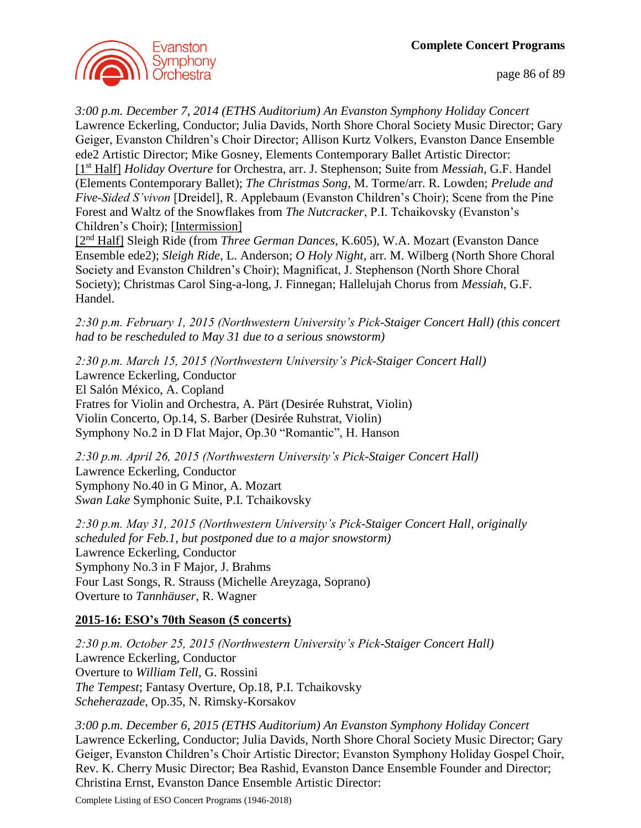

*3:00 p.m. December 7, 2014 (ETHS Auditorium) An Evanston Symphony Holiday Concert* Lawrence Eckerling, Conductor; Julia Davids, North Shore Choral Society Music Director; Gary Geiger, Evanston Children's Choir Director; Allison Kurtz Volkers, Evanston Dance Ensemble ede2 Artistic Director; Mike Gosney, Elements Contemporary Ballet Artistic Director: [1st Half] *Holiday Overture* for Orchestra, arr. J. Stephenson; Suite from *Messiah*, G.F. Handel (Elements Contemporary Ballet); *The Christmas Song*, M. Torme/arr. R. Lowden; *Prelude and Five-Sided S'vivon* [Dreidel], R. Applebaum (Evanston Children's Choir); Scene from the Pine Forest and Waltz of the Snowflakes from *The Nutcracker*, P.I. Tchaikovsky (Evanston's Children's Choir); [Intermission]

[2nd Half] Sleigh Ride (from *Three German Dances*, K.605), W.A. Mozart (Evanston Dance Ensemble ede2); *Sleigh Ride*, L. Anderson; *O Holy Night*, arr. M. Wilberg (North Shore Choral Society and Evanston Children's Choir); Magnificat, J. Stephenson (North Shore Choral Society); Christmas Carol Sing-a-long, J. Finnegan; Hallelujah Chorus from *Messiah*, G.F. Handel.

*2:30 p.m. February 1, 2015 (Northwestern University's Pick-Staiger Concert Hall) (this concert had to be rescheduled to May 31 due to a serious snowstorm)*

*2:30 p.m. March 15, 2015 (Northwestern University's Pick-Staiger Concert Hall)* Lawrence Eckerling, Conductor El Salón México, A. Copland Fratres for Violin and Orchestra, A. Pärt (Desirée Ruhstrat, Violin) Violin Concerto, Op.14, S. Barber (Desirée Ruhstrat, Violin) Symphony No.2 in D Flat Major, Op.30 "Romantic", H. Hanson

*2:30 p.m. April 26, 2015 (Northwestern University's Pick-Staiger Concert Hall)* Lawrence Eckerling, Conductor Symphony No.40 in G Minor, A. Mozart *Swan Lake* Symphonic Suite, P.I. Tchaikovsky

*2:30 p.m. May 31, 2015 (Northwestern University's Pick-Staiger Concert Hall, originally scheduled for Feb.1, but postponed due to a major snowstorm)* Lawrence Eckerling, Conductor Symphony No.3 in F Major, J. Brahms Four Last Songs, R. Strauss (Michelle Areyzaga, Soprano) Overture to *Tannhäuser*, R. Wagner

### **2015-16: ESO's 70th Season (5 concerts)**

*2:30 p.m. October 25, 2015 (Northwestern University's Pick-Staiger Concert Hall)* Lawrence Eckerling, Conductor Overture to *William Tell*, G. Rossini *The Tempest*; Fantasy Overture, Op.18, P.I. Tchaikovsky *Scheherazade*, Op.35, N. Rimsky-Korsakov

*3:00 p.m. December 6, 2015 (ETHS Auditorium) An Evanston Symphony Holiday Concert* Lawrence Eckerling, Conductor; Julia Davids, North Shore Choral Society Music Director; Gary Geiger, Evanston Children's Choir Artistic Director; Evanston Symphony Holiday Gospel Choir, Rev. K. Cherry Music Director; Bea Rashid, Evanston Dance Ensemble Founder and Director; Christina Ernst, Evanston Dance Ensemble Artistic Director:

Complete Listing of ESO Concert Programs (1946-2018)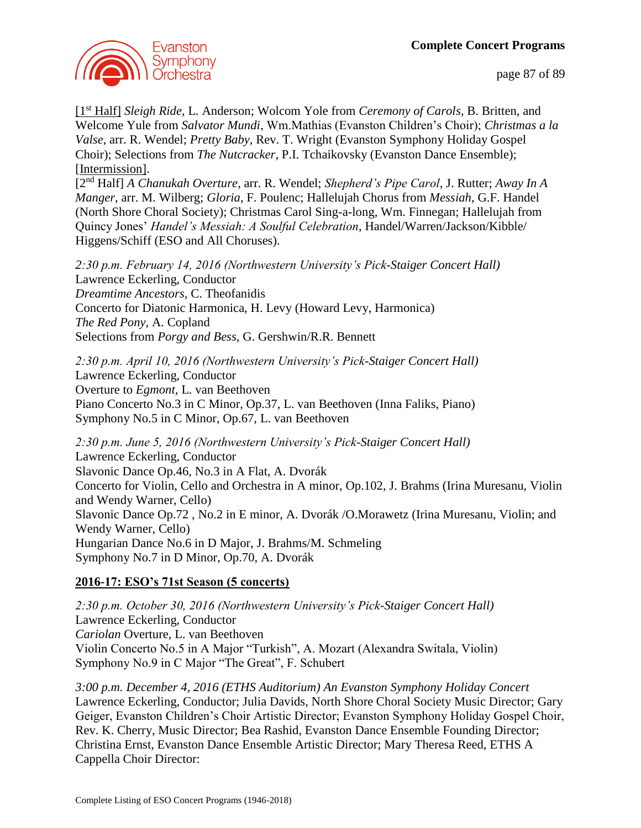

page 87 of 89

[1st Half] *Sleigh Ride*, L. Anderson; Wolcom Yole from *Ceremony of Carols*, B. Britten, and Welcome Yule from *Salvator Mundi*, Wm.Mathias (Evanston Children's Choir); *Christmas a la Valse*, arr. R. Wendel; *Pretty Baby*, Rev. T. Wright (Evanston Symphony Holiday Gospel Choir); Selections from *The Nutcracker*, P.I. Tchaikovsky (Evanston Dance Ensemble); [Intermission].

[2nd Half] *A Chanukah Overture*, arr. R. Wendel; *Shepherd's Pipe Carol*, J. Rutter; *Away In A Manger*, arr. M. Wilberg; *Gloria*, F. Poulenc; Hallelujah Chorus from *Messiah*, G.F. Handel (North Shore Choral Society); Christmas Carol Sing-a-long, Wm. Finnegan; Hallelujah from Quincy Jones' *Handel's Messiah: A Soulful Celebration*, Handel/Warren/Jackson/Kibble/ Higgens/Schiff (ESO and All Choruses).

*2:30 p.m. February 14, 2016 (Northwestern University's Pick-Staiger Concert Hall)* Lawrence Eckerling, Conductor *Dreamtime Ancestors,* C. Theofanidis Concerto for Diatonic Harmonica, H. Levy (Howard Levy, Harmonica) *The Red Pony,* A. Copland Selections from *Porgy and Bess,* G. Gershwin/R.R. Bennett

*2:30 p.m. April 10, 2016 (Northwestern University's Pick-Staiger Concert Hall)* Lawrence Eckerling, Conductor Overture to *Egmont,* L. van Beethoven Piano Concerto No.3 in C Minor, Op.37, L. van Beethoven (Inna Faliks, Piano) Symphony No.5 in C Minor, Op.67, L. van Beethoven

*2:30 p.m. June 5, 2016 (Northwestern University's Pick-Staiger Concert Hall)* Lawrence Eckerling, Conductor Slavonic Dance Op.46, No.3 in A Flat, A. Dvorák Concerto for Violin, Cello and Orchestra in A minor, Op.102, J. Brahms (Irina Muresanu, Violin and Wendy Warner, Cello) Slavonic Dance Op.72 , No.2 in E minor, A. Dvorák /O.Morawetz (Irina Muresanu, Violin; and Wendy Warner, Cello) Hungarian Dance No.6 in D Major, J. Brahms/M. Schmeling Symphony No.7 in D Minor, Op.70, A. Dvorák

# **2016-17: ESO's 71st Season (5 concerts)**

*2:30 p.m. October 30, 2016 (Northwestern University's Pick-Staiger Concert Hall)* Lawrence Eckerling, Conductor *Cariolan* Overture, L. van Beethoven Violin Concerto No.5 in A Major "Turkish", A. Mozart (Alexandra Switala, Violin) Symphony No.9 in C Major "The Great", F. Schubert

*3:00 p.m. December 4, 2016 (ETHS Auditorium) An Evanston Symphony Holiday Concert* Lawrence Eckerling, Conductor; Julia Davids, North Shore Choral Society Music Director; Gary Geiger, Evanston Children's Choir Artistic Director; Evanston Symphony Holiday Gospel Choir, Rev. K. Cherry, Music Director; Bea Rashid, Evanston Dance Ensemble Founding Director; Christina Ernst, Evanston Dance Ensemble Artistic Director; Mary Theresa Reed, ETHS A Cappella Choir Director: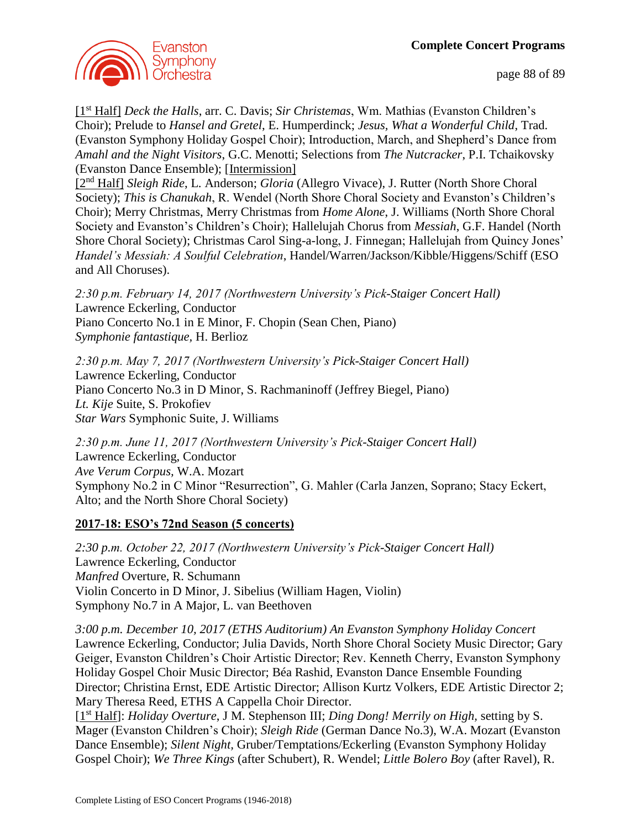

[1st Half] *Deck the Halls*, arr. C. Davis; *Sir Christemas*, Wm. Mathias (Evanston Children's Choir); Prelude to *Hansel and Gretel*, E. Humperdinck; *Jesus, What a Wonderful Child*, Trad. (Evanston Symphony Holiday Gospel Choir); Introduction, March, and Shepherd's Dance from *Amahl and the Night Visitors*, G.C. Menotti; Selections from *The Nutcracker*, P.I. Tchaikovsky (Evanston Dance Ensemble); [Intermission]

[2nd Half] *Sleigh Ride*, L. Anderson; *Gloria* (Allegro Vivace), J. Rutter (North Shore Choral Society); *This is Chanukah*, R. Wendel (North Shore Choral Society and Evanston's Children's Choir); Merry Christmas, Merry Christmas from *Home Alone*, J. Williams (North Shore Choral Society and Evanston's Children's Choir); Hallelujah Chorus from *Messiah*, G.F. Handel (North Shore Choral Society); Christmas Carol Sing-a-long, J. Finnegan; Hallelujah from Quincy Jones' *Handel's Messiah: A Soulful Celebration*, Handel/Warren/Jackson/Kibble/Higgens/Schiff (ESO and All Choruses).

*2:30 p.m. February 14, 2017 (Northwestern University's Pick-Staiger Concert Hall)* Lawrence Eckerling, Conductor Piano Concerto No.1 in E Minor, F. Chopin (Sean Chen, Piano) *Symphonie fantastique,* H. Berlioz

*2:30 p.m. May 7, 2017 (Northwestern University's Pick-Staiger Concert Hall)* Lawrence Eckerling, Conductor Piano Concerto No.3 in D Minor, S. Rachmaninoff (Jeffrey Biegel, Piano) *Lt. Kije* Suite, S. Prokofiev *Star Wars* Symphonic Suite, J. Williams

*2:30 p.m. June 11, 2017 (Northwestern University's Pick-Staiger Concert Hall)* Lawrence Eckerling, Conductor *Ave Verum Corpus,* W.A. Mozart Symphony No.2 in C Minor "Resurrection", G. Mahler (Carla Janzen, Soprano; Stacy Eckert, Alto; and the North Shore Choral Society)

### **2017-18: ESO's 72nd Season (5 concerts)**

*2:30 p.m. October 22, 2017 (Northwestern University's Pick-Staiger Concert Hall)* Lawrence Eckerling, Conductor *Manfred* Overture, R. Schumann Violin Concerto in D Minor, J. Sibelius (William Hagen, Violin) Symphony No.7 in A Major, L. van Beethoven

*3:00 p.m. December 10, 2017 (ETHS Auditorium) An Evanston Symphony Holiday Concert* Lawrence Eckerling, Conductor; Julia Davids, North Shore Choral Society Music Director; Gary Geiger, Evanston Children's Choir Artistic Director; Rev. Kenneth Cherry, Evanston Symphony Holiday Gospel Choir Music Director; Béa Rashid, Evanston Dance Ensemble Founding Director; Christina Ernst, EDE Artistic Director; Allison Kurtz Volkers, EDE Artistic Director 2; Mary Theresa Reed, ETHS A Cappella Choir Director.

[1<sup>st</sup> Half]: *Holiday Overture*, J M. Stephenson III; *Ding Dong! Merrily on High*, setting by S. Mager (Evanston Children's Choir); *Sleigh Ride* (German Dance No.3), W.A. Mozart (Evanston Dance Ensemble); *Silent Night,* Gruber/Temptations/Eckerling (Evanston Symphony Holiday Gospel Choir); *We Three Kings* (after Schubert), R. Wendel; *Little Bolero Boy* (after Ravel), R.